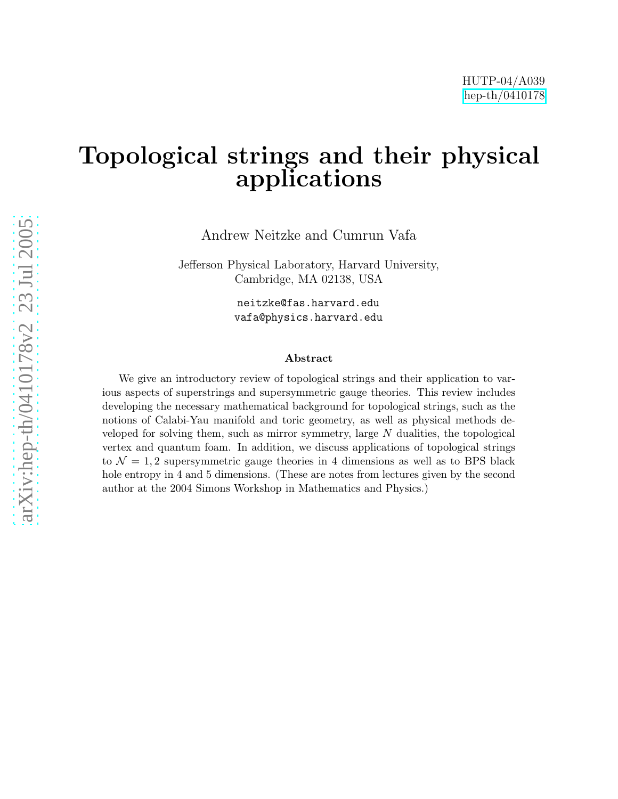# Topological strings and their physical applications

Andrew Neitzke and Cumrun Vafa

Jefferson Physical Laboratory, Harvard University, Cambridge, MA 02138, USA

> neitzke@fas.harvard.edu vafa@physics.harvard.edu

#### Abstract

We give an introductory review of topological strings and their application to various aspects of superstrings and supersymmetric gauge theories. This review includes developing the necessary mathematical background for topological strings, such as the notions of Calabi-Yau manifold and toric geometry, as well as physical methods developed for solving them, such as mirror symmetry, large  $N$  dualities, the topological vertex and quantum foam. In addition, we discuss applications of topological strings to  $\mathcal{N} = 1, 2$  supersymmetric gauge theories in 4 dimensions as well as to BPS black hole entropy in 4 and 5 dimensions. (These are notes from lectures given by the second author at the 2004 Simons Workshop in Mathematics and Physics.)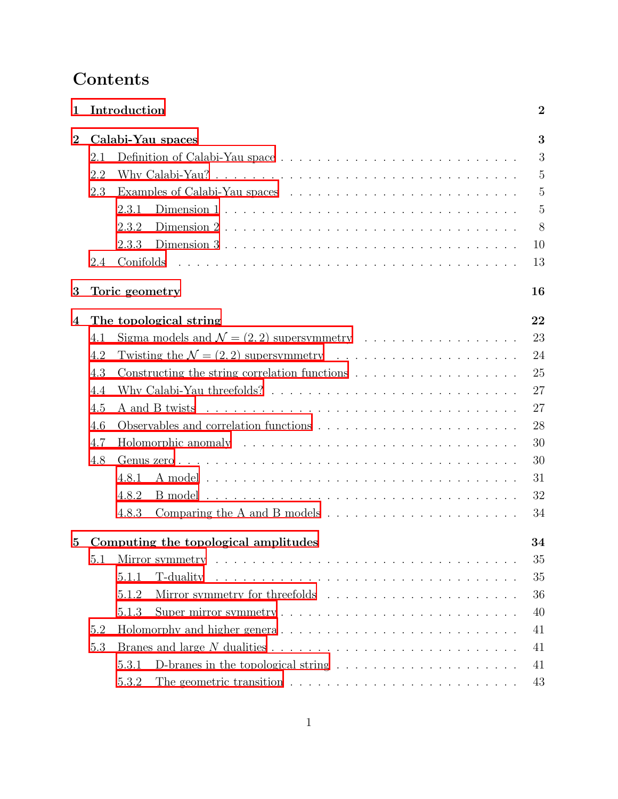# **Contents**

| 1                |                        | Introduction                                                                                                                                                                                                                   | $\overline{2}$ |  |  |  |
|------------------|------------------------|--------------------------------------------------------------------------------------------------------------------------------------------------------------------------------------------------------------------------------|----------------|--|--|--|
| $\boldsymbol{2}$ | 3<br>Calabi-Yau spaces |                                                                                                                                                                                                                                |                |  |  |  |
|                  | 2.1                    |                                                                                                                                                                                                                                | 3              |  |  |  |
|                  | 2.2                    |                                                                                                                                                                                                                                | 5              |  |  |  |
|                  | 2.3                    |                                                                                                                                                                                                                                | $\overline{5}$ |  |  |  |
|                  |                        | 2.3.1                                                                                                                                                                                                                          | $\overline{5}$ |  |  |  |
|                  |                        | 2.3.2                                                                                                                                                                                                                          | 8              |  |  |  |
|                  |                        | 2.3.3                                                                                                                                                                                                                          | 10             |  |  |  |
|                  | 2.4                    | Conifolds                                                                                                                                                                                                                      | 13             |  |  |  |
| 3                |                        | Toric geometry                                                                                                                                                                                                                 | 16             |  |  |  |
| $\overline{4}$   |                        | The topological string                                                                                                                                                                                                         | 22             |  |  |  |
|                  | 4.1                    | Sigma models and $\mathcal{N} = (2, 2)$ supersymmetry                                                                                                                                                                          | 23             |  |  |  |
|                  | 4.2                    |                                                                                                                                                                                                                                | 24             |  |  |  |
|                  | 4.3                    | Constructing the string correlation functions $\ldots \ldots \ldots \ldots \ldots \ldots$                                                                                                                                      | 25             |  |  |  |
|                  | 4.4                    | Why Calabi-Yau threefolds? $\ldots \ldots \ldots \ldots \ldots \ldots \ldots \ldots \ldots$                                                                                                                                    | 27             |  |  |  |
|                  | 4.5                    |                                                                                                                                                                                                                                | 27             |  |  |  |
|                  | 4.6                    |                                                                                                                                                                                                                                | 28             |  |  |  |
|                  | 4.7                    | Holomorphic anomaly resources in the set of the set of the set of the set of the set of the set of the set of the set of the set of the set of the set of the set of the set of the set of the set of the set of the set of th | 30             |  |  |  |
|                  | 4.8                    |                                                                                                                                                                                                                                | 30             |  |  |  |
|                  |                        | 4.8.1                                                                                                                                                                                                                          | 31             |  |  |  |
|                  |                        | 4.8.2                                                                                                                                                                                                                          | 32             |  |  |  |
|                  |                        | 4.8.3                                                                                                                                                                                                                          | 34             |  |  |  |
| $\bf{5}$         |                        | Computing the topological amplitudes                                                                                                                                                                                           | 34             |  |  |  |
|                  | 5.1                    |                                                                                                                                                                                                                                | 35             |  |  |  |
|                  |                        | 5.1.1                                                                                                                                                                                                                          | 35             |  |  |  |
|                  |                        | 5.1.2                                                                                                                                                                                                                          | 36             |  |  |  |
|                  |                        | 5.1.3                                                                                                                                                                                                                          | 40             |  |  |  |
|                  | 5.2                    |                                                                                                                                                                                                                                | 41             |  |  |  |
|                  | 5.3                    |                                                                                                                                                                                                                                | 41             |  |  |  |
|                  |                        | D-branes in the topological string $\dots \dots \dots \dots \dots \dots \dots \dots$<br>5.3.1                                                                                                                                  | 41             |  |  |  |
|                  |                        | 5.3.2                                                                                                                                                                                                                          | 43             |  |  |  |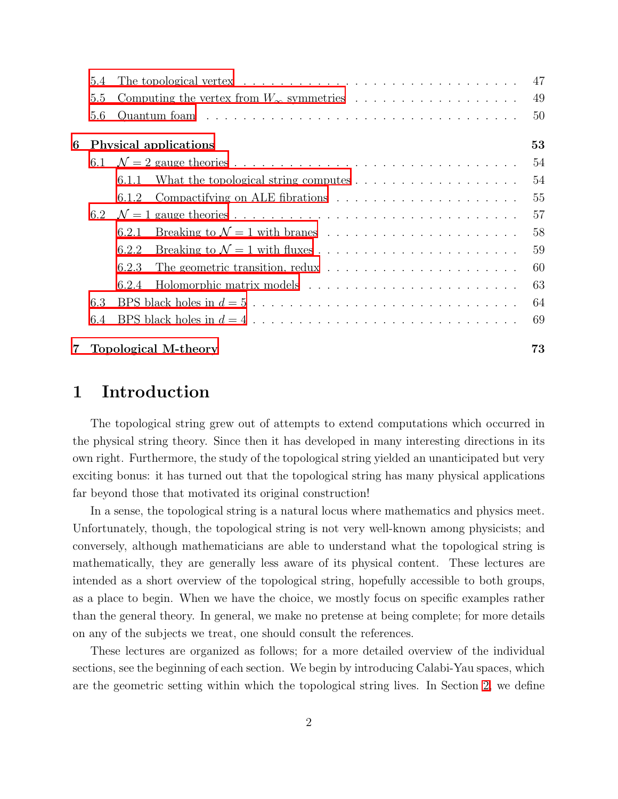|   | 5.4 |                                                                                     | 47 |
|---|-----|-------------------------------------------------------------------------------------|----|
|   | 5.5 | Computing the vertex from $W_{\infty}$ symmetries                                   | 49 |
|   | 5.6 |                                                                                     | 50 |
| 6 |     | Physical applications                                                               | 53 |
|   | 6.1 |                                                                                     | 54 |
|   |     | What the topological string computes $\dots \dots \dots \dots \dots \dots$<br>6.1.1 | 54 |
|   |     |                                                                                     | 55 |
|   | 6.2 |                                                                                     | 57 |
|   |     | 6.2.1                                                                               | 58 |
|   |     | 6.2.2                                                                               | 59 |
|   |     | 6.2.3                                                                               | 60 |
|   |     | 6.2.4                                                                               | 63 |
|   | 6.3 |                                                                                     | 64 |
|   | 6.4 |                                                                                     | 69 |
|   |     | Topological M-theory                                                                | 73 |

## <span id="page-2-0"></span>1 Introduction

The topological string grew out of attempts to extend computations which occurred in the physical string theory. Since then it has developed in many interesting directions in its own right. Furthermore, the study of the topological string yielded an unanticipated but very exciting bonus: it has turned out that the topological string has many physical applications far beyond those that motivated its original construction!

In a sense, the topological string is a natural locus where mathematics and physics meet. Unfortunately, though, the topological string is not very well-known among physicists; and conversely, although mathematicians are able to understand what the topological string is mathematically, they are generally less aware of its physical content. These lectures are intended as a short overview of the topological string, hopefully accessible to both groups, as a place to begin. When we have the choice, we mostly focus on specific examples rather than the general theory. In general, we make no pretense at being complete; for more details on any of the subjects we treat, one should consult the references.

These lectures are organized as follows; for a more detailed overview of the individual sections, see the beginning of each section. We begin by introducing Calabi-Yau spaces, which are the geometric setting within which the topological string lives. In Section [2,](#page-3-0) we define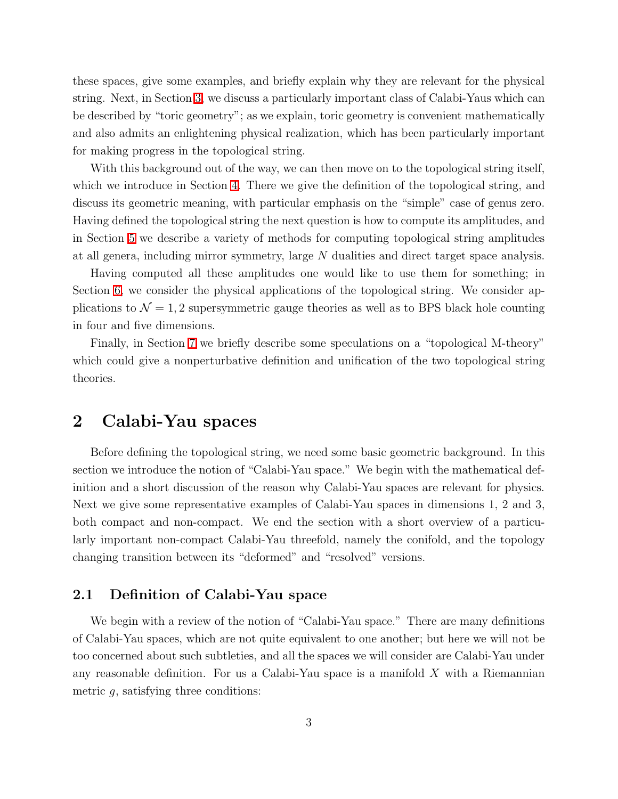these spaces, give some examples, and briefly explain why they are relevant for the physical string. Next, in Section [3,](#page-16-0) we discuss a particularly important class of Calabi-Yaus which can be described by "toric geometry"; as we explain, toric geometry is convenient mathematically and also admits an enlightening physical realization, which has been particularly important for making progress in the topological string.

With this background out of the way, we can then move on to the topological string itself, which we introduce in Section [4.](#page-22-0) There we give the definition of the topological string, and discuss its geometric meaning, with particular emphasis on the "simple" case of genus zero. Having defined the topological string the next question is how to compute its amplitudes, and in Section [5](#page-34-1) we describe a variety of methods for computing topological string amplitudes at all genera, including mirror symmetry, large N dualities and direct target space analysis.

Having computed all these amplitudes one would like to use them for something; in Section [6,](#page-53-0) we consider the physical applications of the topological string. We consider applications to  $\mathcal{N} = 1, 2$  supersymmetric gauge theories as well as to BPS black hole counting in four and five dimensions.

Finally, in Section [7](#page-73-0) we briefly describe some speculations on a "topological M-theory" which could give a nonperturbative definition and unification of the two topological string theories.

## <span id="page-3-0"></span>2 Calabi-Yau spaces

Before defining the topological string, we need some basic geometric background. In this section we introduce the notion of "Calabi-Yau space." We begin with the mathematical definition and a short discussion of the reason why Calabi-Yau spaces are relevant for physics. Next we give some representative examples of Calabi-Yau spaces in dimensions 1, 2 and 3, both compact and non-compact. We end the section with a short overview of a particularly important non-compact Calabi-Yau threefold, namely the conifold, and the topology changing transition between its "deformed" and "resolved" versions.

### <span id="page-3-1"></span>2.1 Definition of Calabi-Yau space

We begin with a review of the notion of "Calabi-Yau space." There are many definitions of Calabi-Yau spaces, which are not quite equivalent to one another; but here we will not be too concerned about such subtleties, and all the spaces we will consider are Calabi-Yau under any reasonable definition. For us a Calabi-Yau space is a manifold  $X$  with a Riemannian metric  $q$ , satisfying three conditions: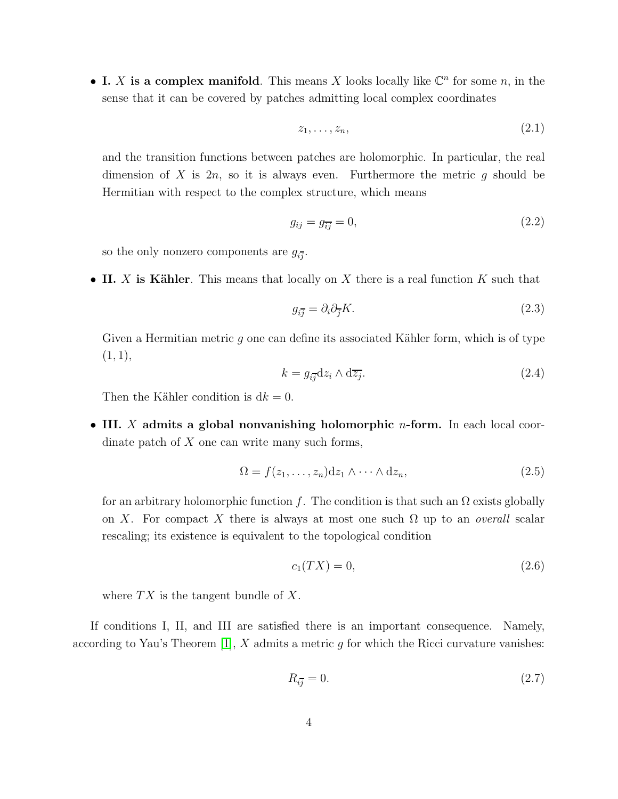• I. X is a complex manifold. This means X looks locally like  $\mathbb{C}^n$  for some n, in the sense that it can be covered by patches admitting local complex coordinates

$$
z_1, \ldots, z_n, \tag{2.1}
$$

and the transition functions between patches are holomorphic. In particular, the real dimension of X is  $2n$ , so it is always even. Furthermore the metric q should be Hermitian with respect to the complex structure, which means

$$
g_{ij} = g_{\overline{ij}} = 0,\tag{2.2}
$$

so the only nonzero components are  $g_{i\overline{j}}$ .

• II. X is Kähler. This means that locally on X there is a real function  $K$  such that

$$
g_{i\overline{j}} = \partial_i \partial_{\overline{j}} K. \tag{2.3}
$$

Given a Hermitian metric  $g$  one can define its associated Kähler form, which is of type  $(1, 1),$ 

$$
k = g_{i\overline{j}} \mathrm{d} z_i \wedge \mathrm{d} \overline{z_j}.\tag{2.4}
$$

Then the Kähler condition is  $dk = 0$ .

• III. X admits a global nonvanishing holomorphic  $n$ -form. In each local coordinate patch of  $X$  one can write many such forms,

$$
\Omega = f(z_1, \dots, z_n) \mathrm{d} z_1 \wedge \dots \wedge \mathrm{d} z_n, \tag{2.5}
$$

for an arbitrary holomorphic function f. The condition is that such an  $\Omega$  exists globally on X. For compact X there is always at most one such  $\Omega$  up to an *overall* scalar rescaling; its existence is equivalent to the topological condition

$$
c_1(TX) = 0,\t\t(2.6)
$$

where  $TX$  is the tangent bundle of X.

If conditions I, II, and III are satisfied there is an important consequence. Namely, according to Yau's Theorem [\[1\]](#page-76-0), X admits a metric q for which the Ricci curvature vanishes:

$$
R_{i\overline{j}} = 0.\t\t(2.7)
$$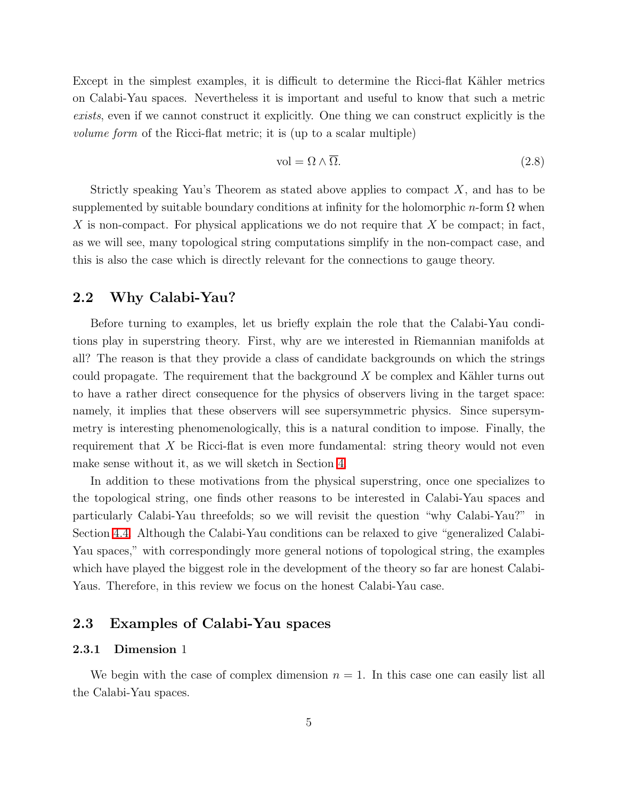Except in the simplest examples, it is difficult to determine the Ricci-flat Kähler metrics on Calabi-Yau spaces. Nevertheless it is important and useful to know that such a metric exists, even if we cannot construct it explicitly. One thing we can construct explicitly is the volume form of the Ricci-flat metric; it is (up to a scalar multiple)

$$
vol = \Omega \wedge \overline{\Omega}.
$$
 (2.8)

Strictly speaking Yau's Theorem as stated above applies to compact  $X$ , and has to be supplemented by suitable boundary conditions at infinity for the holomorphic n-form  $\Omega$  when X is non-compact. For physical applications we do not require that  $X$  be compact; in fact, as we will see, many topological string computations simplify in the non-compact case, and this is also the case which is directly relevant for the connections to gauge theory.

### <span id="page-5-0"></span>2.2 Why Calabi-Yau?

Before turning to examples, let us briefly explain the role that the Calabi-Yau conditions play in superstring theory. First, why are we interested in Riemannian manifolds at all? The reason is that they provide a class of candidate backgrounds on which the strings could propagate. The requirement that the background  $X$  be complex and Kähler turns out to have a rather direct consequence for the physics of observers living in the target space: namely, it implies that these observers will see supersymmetric physics. Since supersymmetry is interesting phenomenologically, this is a natural condition to impose. Finally, the requirement that  $X$  be Ricci-flat is even more fundamental: string theory would not even make sense without it, as we will sketch in Section [4.](#page-22-0)

In addition to these motivations from the physical superstring, once one specializes to the topological string, one finds other reasons to be interested in Calabi-Yau spaces and particularly Calabi-Yau threefolds; so we will revisit the question "why Calabi-Yau?" in Section [4.4.](#page-27-0) Although the Calabi-Yau conditions can be relaxed to give "generalized Calabi-Yau spaces," with correspondingly more general notions of topological string, the examples which have played the biggest role in the development of the theory so far are honest Calabi-Yaus. Therefore, in this review we focus on the honest Calabi-Yau case.

### <span id="page-5-2"></span><span id="page-5-1"></span>2.3 Examples of Calabi-Yau spaces

#### 2.3.1 Dimension 1

We begin with the case of complex dimension  $n = 1$ . In this case one can easily list all the Calabi-Yau spaces.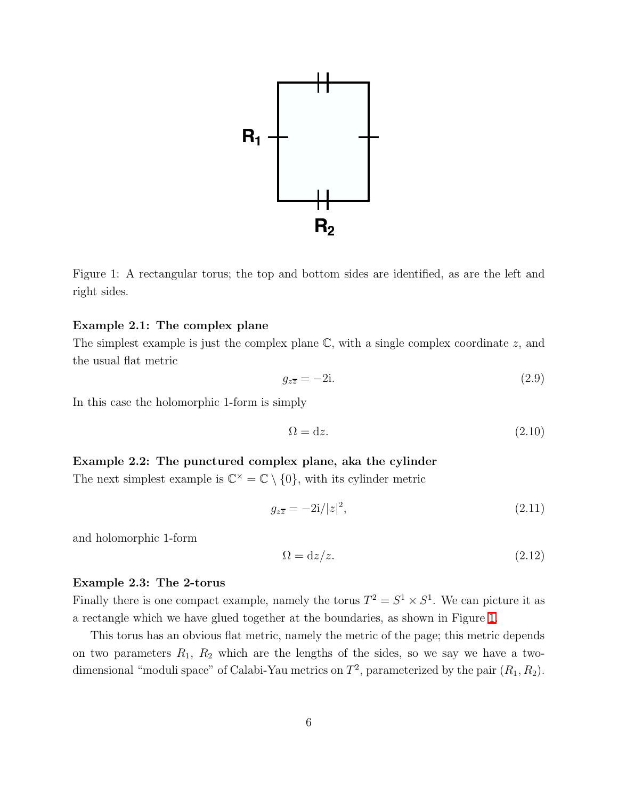

<span id="page-6-0"></span>Figure 1: A rectangular torus; the top and bottom sides are identified, as are the left and right sides.

#### Example 2.1: The complex plane

The simplest example is just the complex plane  $\mathbb{C}$ , with a single complex coordinate  $z$ , and the usual flat metric

$$
g_{z\overline{z}} = -2i. \tag{2.9}
$$

In this case the holomorphic 1-form is simply

$$
\Omega = dz. \tag{2.10}
$$

### Example 2.2: The punctured complex plane, aka the cylinder

The next simplest example is  $\mathbb{C}^{\times} = \mathbb{C} \setminus \{0\}$ , with its cylinder metric

$$
g_{z\overline{z}} = -2i/|z|^2, \tag{2.11}
$$

and holomorphic 1-form

$$
\Omega = dz/z.
$$
\n(2.12)

#### <span id="page-6-1"></span>Example 2.3: The 2-torus

Finally there is one compact example, namely the torus  $T^2 = S^1 \times S^1$ . We can picture it as a rectangle which we have glued together at the boundaries, as shown in Figure [1.](#page-6-0)

This torus has an obvious flat metric, namely the metric of the page; this metric depends on two parameters  $R_1$ ,  $R_2$  which are the lengths of the sides, so we say we have a twodimensional "moduli space" of Calabi-Yau metrics on  $T^2$ , parameterized by the pair  $(R_1, R_2)$ .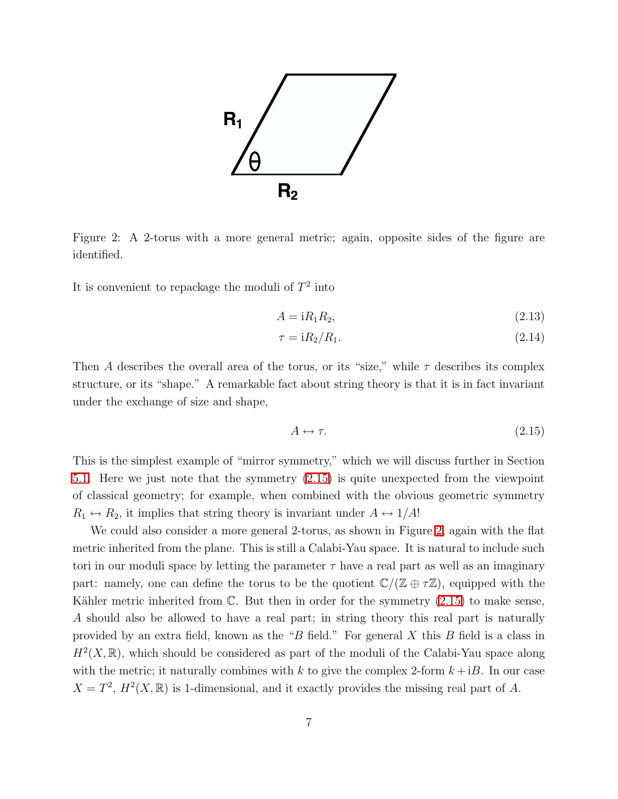

<span id="page-7-1"></span>Figure 2: A 2-torus with a more general metric; again, opposite sides of the figure are identified.

It is convenient to repackage the moduli of  $T^2$  into

$$
A = iR_1R_2,\tag{2.13}
$$

<span id="page-7-0"></span>
$$
\tau = \mathrm{i}R_2/R_1. \tag{2.14}
$$

Then A describes the overall area of the torus, or its "size," while  $\tau$  describes its complex structure, or its "shape." A remarkable fact about string theory is that it is in fact invariant under the exchange of size and shape,

$$
A \leftrightarrow \tau. \tag{2.15}
$$

This is the simplest example of "mirror symmetry," which we will discuss further in Section [5.1.](#page-35-0) Here we just note that the symmetry [\(2.15\)](#page-7-0) is quite unexpected from the viewpoint of classical geometry; for example, when combined with the obvious geometric symmetry  $R_1 \leftrightarrow R_2$ , it implies that string theory is invariant under  $A \leftrightarrow 1/A!$ 

We could also consider a more general 2-torus, as shown in Figure [2,](#page-7-1) again with the flat metric inherited from the plane. This is still a Calabi-Yau space. It is natural to include such tori in our moduli space by letting the parameter  $\tau$  have a real part as well as an imaginary part: namely, one can define the torus to be the quotient  $\mathbb{C}/(\mathbb{Z} \oplus \tau \mathbb{Z})$ , equipped with the Kähler metric inherited from  $\mathbb{C}$ . But then in order for the symmetry [\(2.15\)](#page-7-0) to make sense, A should also be allowed to have a real part; in string theory this real part is naturally provided by an extra field, known as the "B field." For general X this B field is a class in  $H<sup>2</sup>(X,\mathbb{R})$ , which should be considered as part of the moduli of the Calabi-Yau space along with the metric; it naturally combines with k to give the complex 2-form  $k + iB$ . In our case  $X = T<sup>2</sup>$ ,  $H<sup>2</sup>(X, \mathbb{R})$  is 1-dimensional, and it exactly provides the missing real part of A.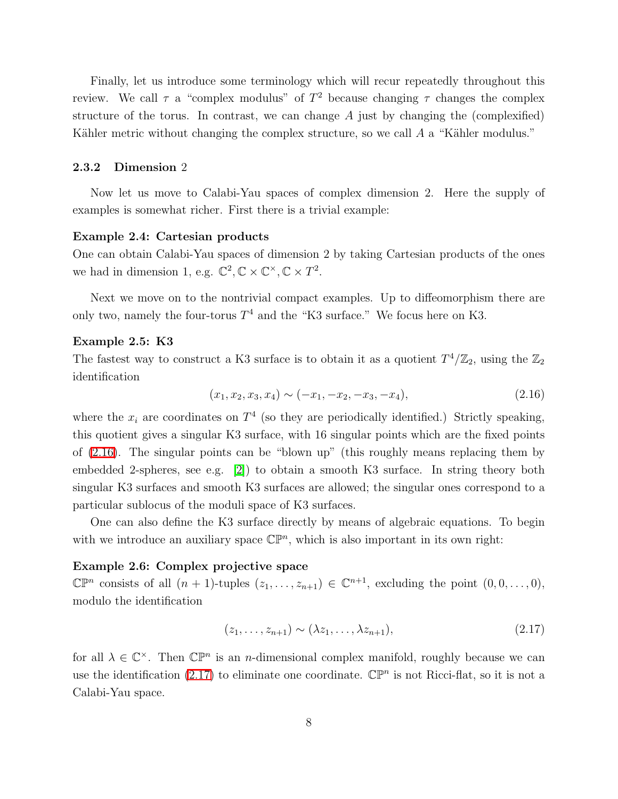Finally, let us introduce some terminology which will recur repeatedly throughout this review. We call  $\tau$  a "complex modulus" of  $T^2$  because changing  $\tau$  changes the complex structure of the torus. In contrast, we can change  $A$  just by changing the (complexified) Kähler metric without changing the complex structure, so we call A a "Kähler modulus."

### <span id="page-8-0"></span>2.3.2 Dimension 2

Now let us move to Calabi-Yau spaces of complex dimension 2. Here the supply of examples is somewhat richer. First there is a trivial example:

#### Example 2.4: Cartesian products

One can obtain Calabi-Yau spaces of dimension 2 by taking Cartesian products of the ones we had in dimension 1, e.g.  $\mathbb{C}^2$ ,  $\mathbb{C} \times \mathbb{C} \times \mathbb{C} \times \mathbb{C}^2$ .

<span id="page-8-3"></span>Next we move on to the nontrivial compact examples. Up to diffeomorphism there are only two, namely the four-torus  $T^4$  and the "K3 surface." We focus here on K3.

### Example 2.5: K3

<span id="page-8-1"></span>The fastest way to construct a K3 surface is to obtain it as a quotient  $T^4/\mathbb{Z}_2$ , using the  $\mathbb{Z}_2$ identification

$$
(x_1, x_2, x_3, x_4) \sim (-x_1, -x_2, -x_3, -x_4), \tag{2.16}
$$

where the  $x_i$  are coordinates on  $T^4$  (so they are periodically identified.) Strictly speaking, this quotient gives a singular K3 surface, with 16 singular points which are the fixed points of [\(2.16\)](#page-8-1). The singular points can be "blown up" (this roughly means replacing them by embedded 2-spheres, see e.g. [\[2\]](#page-76-1)) to obtain a smooth K3 surface. In string theory both singular K3 surfaces and smooth K3 surfaces are allowed; the singular ones correspond to a particular sublocus of the moduli space of K3 surfaces.

One can also define the K3 surface directly by means of algebraic equations. To begin with we introduce an auxiliary space  $\mathbb{CP}^n$ , which is also important in its own right:

### Example 2.6: Complex projective space

<span id="page-8-2"></span> $\mathbb{CP}^n$  consists of all  $(n + 1)$ -tuples  $(z_1, \ldots, z_{n+1}) \in \mathbb{C}^{n+1}$ , excluding the point  $(0, 0, \ldots, 0)$ , modulo the identification

$$
(z_1,\ldots,z_{n+1})\sim(\lambda z_1,\ldots,\lambda z_{n+1}),\qquad(2.17)
$$

for all  $\lambda \in \mathbb{C}^{\times}$ . Then  $\mathbb{CP}^n$  is an *n*-dimensional complex manifold, roughly because we can use the identification [\(2.17\)](#page-8-2) to eliminate one coordinate.  $\mathbb{CP}^n$  is not Ricci-flat, so it is not a Calabi-Yau space.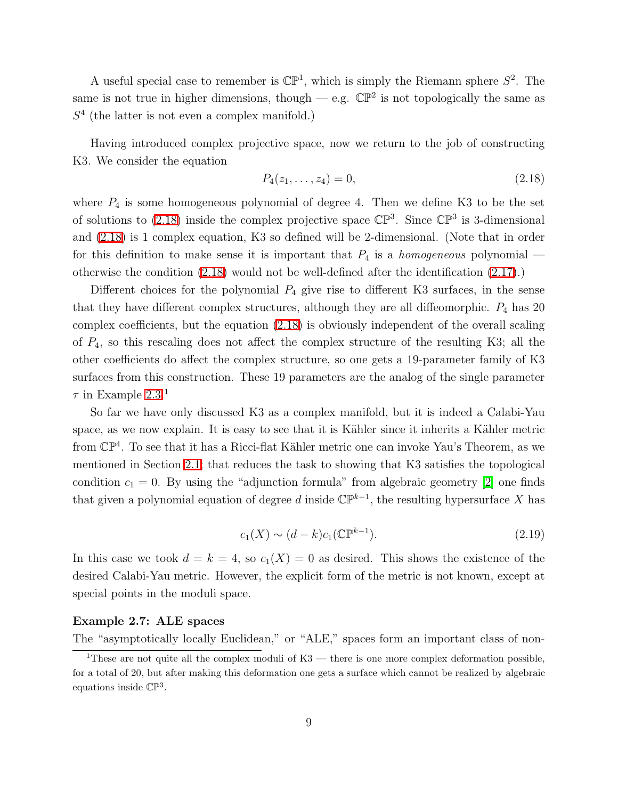A useful special case to remember is  $\mathbb{CP}^1$ , which is simply the Riemann sphere  $S^2$ . The same is not true in higher dimensions, though  $-$  e.g.  $\mathbb{CP}^2$  is not topologically the same as  $S<sup>4</sup>$  (the latter is not even a complex manifold.)

<span id="page-9-0"></span>Having introduced complex projective space, now we return to the job of constructing K3. We consider the equation

$$
P_4(z_1,\ldots,z_4) = 0,\t\t(2.18)
$$

where  $P_4$  is some homogeneous polynomial of degree 4. Then we define K3 to be the set of solutions to [\(2.18\)](#page-9-0) inside the complex projective space  $\mathbb{CP}^3$ . Since  $\mathbb{CP}^3$  is 3-dimensional and [\(2.18\)](#page-9-0) is 1 complex equation, K3 so defined will be 2-dimensional. (Note that in order for this definition to make sense it is important that  $P_4$  is a *homogeneous* polynomial otherwise the condition [\(2.18\)](#page-9-0) would not be well-defined after the identification [\(2.17\)](#page-8-2).)

Different choices for the polynomial  $P_4$  give rise to different K3 surfaces, in the sense that they have different complex structures, although they are all diffeomorphic.  $P_4$  has 20 complex coefficients, but the equation [\(2.18\)](#page-9-0) is obviously independent of the overall scaling of  $P_4$ , so this rescaling does not affect the complex structure of the resulting K3; all the other coefficients do affect the complex structure, so one gets a 19-parameter family of K3 surfaces from this construction. These 19 parameters are the analog of the single parameter  $\tau$  in Example [2.3.](#page-6-1)<sup>1</sup>

So far we have only discussed K3 as a complex manifold, but it is indeed a Calabi-Yau space, as we now explain. It is easy to see that it is Kähler since it inherits a Kähler metric from  $\mathbb{CP}^4$ . To see that it has a Ricci-flat Kähler metric one can invoke Yau's Theorem, as we mentioned in Section [2.1;](#page-3-1) that reduces the task to showing that K3 satisfies the topological condition  $c_1 = 0$ . By using the "adjunction formula" from algebraic geometry [\[2\]](#page-76-1) one finds that given a polynomial equation of degree d inside  $\mathbb{CP}^{k-1}$ , the resulting hypersurface X has

$$
c_1(X) \sim (d-k)c_1(\mathbb{CP}^{k-1}).\tag{2.19}
$$

<span id="page-9-1"></span>In this case we took  $d = k = 4$ , so  $c_1(X) = 0$  as desired. This shows the existence of the desired Calabi-Yau metric. However, the explicit form of the metric is not known, except at special points in the moduli space.

### Example 2.7: ALE spaces

The "asymptotically locally Euclidean," or "ALE," spaces form an important class of non-

 $1$ <sup>1</sup>These are not quite all the complex moduli of K3 — there is one more complex deformation possible, for a total of 20, but after making this deformation one gets a surface which cannot be realized by algebraic equations inside  $\mathbb{CP}^3$ .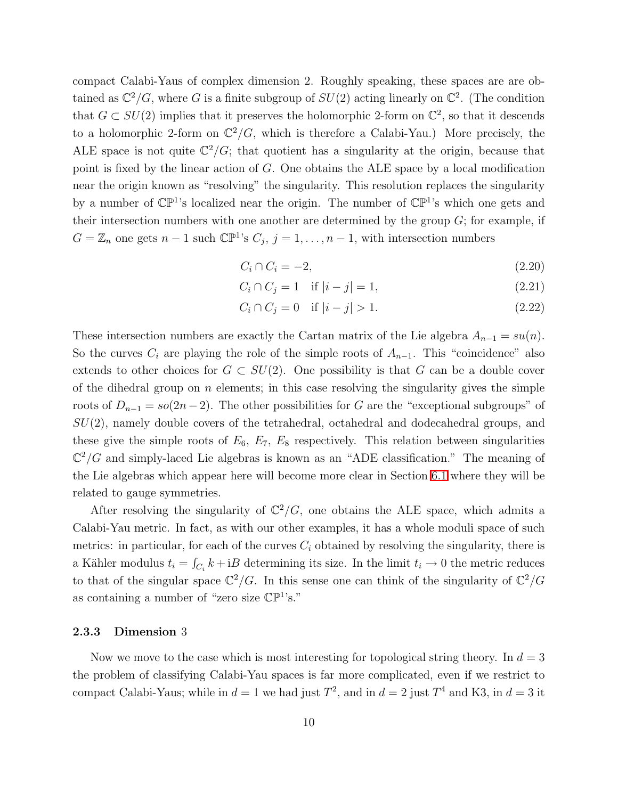compact Calabi-Yaus of complex dimension 2. Roughly speaking, these spaces are are obtained as  $\mathbb{C}^2/G$ , where G is a finite subgroup of  $SU(2)$  acting linearly on  $\mathbb{C}^2$ . (The condition that  $G \subset SU(2)$  implies that it preserves the holomorphic 2-form on  $\mathbb{C}^2$ , so that it descends to a holomorphic 2-form on  $\mathbb{C}^2/G$ , which is therefore a Calabi-Yau.) More precisely, the ALE space is not quite  $\mathbb{C}^2/G$ ; that quotient has a singularity at the origin, because that point is fixed by the linear action of G. One obtains the ALE space by a local modification near the origin known as "resolving" the singularity. This resolution replaces the singularity by a number of  $\mathbb{CP}^1$ 's localized near the origin. The number of  $\mathbb{CP}^1$ 's which one gets and their intersection numbers with one another are determined by the group  $G$ ; for example, if  $G = \mathbb{Z}_n$  one gets  $n-1$  such  $\mathbb{CP}^1$ 's  $C_j$ ,  $j = 1, \ldots, n-1$ , with intersection numbers

$$
C_i \cap C_i = -2,\tag{2.20}
$$

$$
C_i \cap C_j = 1 \quad \text{if } |i - j| = 1,\tag{2.21}
$$

$$
C_i \cap C_j = 0 \quad \text{if } |i - j| > 1. \tag{2.22}
$$

These intersection numbers are exactly the Cartan matrix of the Lie algebra  $A_{n-1} = su(n)$ . So the curves  $C_i$  are playing the role of the simple roots of  $A_{n-1}$ . This "coincidence" also extends to other choices for  $G \subset SU(2)$ . One possibility is that G can be a double cover of the dihedral group on  $n$  elements; in this case resolving the singularity gives the simple roots of  $D_{n-1} = so(2n-2)$ . The other possibilities for G are the "exceptional subgroups" of  $SU(2)$ , namely double covers of the tetrahedral, octahedral and dodecahedral groups, and these give the simple roots of  $E_6$ ,  $E_7$ ,  $E_8$  respectively. This relation between singularities  $\mathbb{C}^2/G$  and simply-laced Lie algebras is known as an "ADE classification." The meaning of the Lie algebras which appear here will become more clear in Section [6.1](#page-54-0) where they will be related to gauge symmetries.

After resolving the singularity of  $\mathbb{C}^2/G$ , one obtains the ALE space, which admits a Calabi-Yau metric. In fact, as with our other examples, it has a whole moduli space of such metrics: in particular, for each of the curves  $C_i$  obtained by resolving the singularity, there is a Kähler modulus  $t_i = \int_{C_i} k + iB$  determining its size. In the limit  $t_i \to 0$  the metric reduces to that of the singular space  $\mathbb{C}^2/G$ . In this sense one can think of the singularity of  $\mathbb{C}^2/G$ as containing a number of "zero size  $\mathbb{CP}^1$ 's."

### <span id="page-10-0"></span>2.3.3 Dimension 3

Now we move to the case which is most interesting for topological string theory. In  $d = 3$ the problem of classifying Calabi-Yau spaces is far more complicated, even if we restrict to compact Calabi-Yaus; while in  $d = 1$  we had just  $T^2$ , and in  $d = 2$  just  $T^4$  and K3, in  $d = 3$  it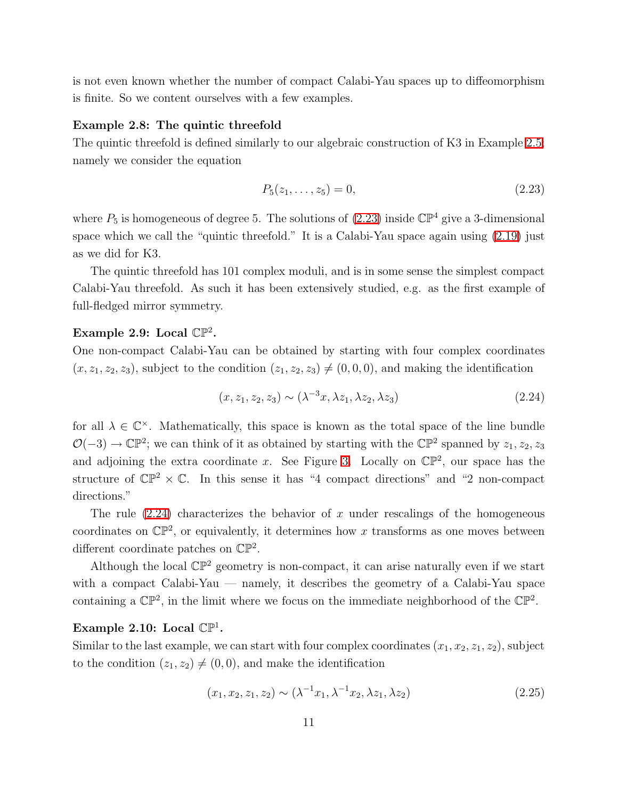<span id="page-11-3"></span>is not even known whether the number of compact Calabi-Yau spaces up to diffeomorphism is finite. So we content ourselves with a few examples.

#### Example 2.8: The quintic threefold

<span id="page-11-0"></span>The quintic threefold is defined similarly to our algebraic construction of K3 in Example [2.5;](#page-8-3) namely we consider the equation

$$
P_5(z_1, \ldots, z_5) = 0,\t\t(2.23)
$$

where  $P_5$  is homogeneous of degree 5. The solutions of [\(2.23\)](#page-11-0) inside  $\mathbb{CP}^4$  give a 3-dimensional space which we call the "quintic threefold." It is a Calabi-Yau space again using  $(2.19)$  just as we did for K3.

The quintic threefold has 101 complex moduli, and is in some sense the simplest compact Calabi-Yau threefold. As such it has been extensively studied, e.g. as the first example of full-fledged mirror symmetry.

### Example 2.9: Local  $\mathbb{CP}^2$ .

One non-compact Calabi-Yau can be obtained by starting with four complex coordinates  $(x, z_1, z_2, z_3)$ , subject to the condition  $(z_1, z_2, z_3) \neq (0, 0, 0)$ , and making the identification

<span id="page-11-1"></span>
$$
(x, z1, z2, z3) \sim (\lambda^{-3}x, \lambda z1, \lambda z2, \lambda z3)
$$
\n(2.24)

for all  $\lambda \in \mathbb{C}^{\times}$ . Mathematically, this space is known as the total space of the line bundle  $\mathcal{O}(-3) \to \mathbb{CP}^2$ ; we can think of it as obtained by starting with the  $\mathbb{CP}^2$  spanned by  $z_1, z_2, z_3$ and adjoining the extra coordinate x. See Figure [3.](#page-12-0) Locally on  $\mathbb{CP}^2$ , our space has the structure of  $\mathbb{CP}^2 \times \mathbb{C}$ . In this sense it has "4 compact directions" and "2 non-compact directions."

The rule  $(2.24)$  characterizes the behavior of x under rescalings of the homogeneous coordinates on  $\mathbb{CP}^2$ , or equivalently, it determines how x transforms as one moves between different coordinate patches on  $\mathbb{CP}^2$ .

Although the local  $\mathbb{CP}^2$  geometry is non-compact, it can arise naturally even if we start with a compact Calabi-Yau — namely, it describes the geometry of a Calabi-Yau space containing a  $\mathbb{CP}^2$ , in the limit where we focus on the immediate neighborhood of the  $\mathbb{CP}^2$ .

### <span id="page-11-2"></span>Example 2.10: Local  $\mathbb{CP}^1$ .

Similar to the last example, we can start with four complex coordinates  $(x_1, x_2, z_1, z_2)$ , subject to the condition  $(z_1, z_2) \neq (0, 0)$ , and make the identification

$$
(x_1, x_2, z_1, z_2) \sim (\lambda^{-1} x_1, \lambda^{-1} x_2, \lambda z_1, \lambda z_2)
$$
\n(2.25)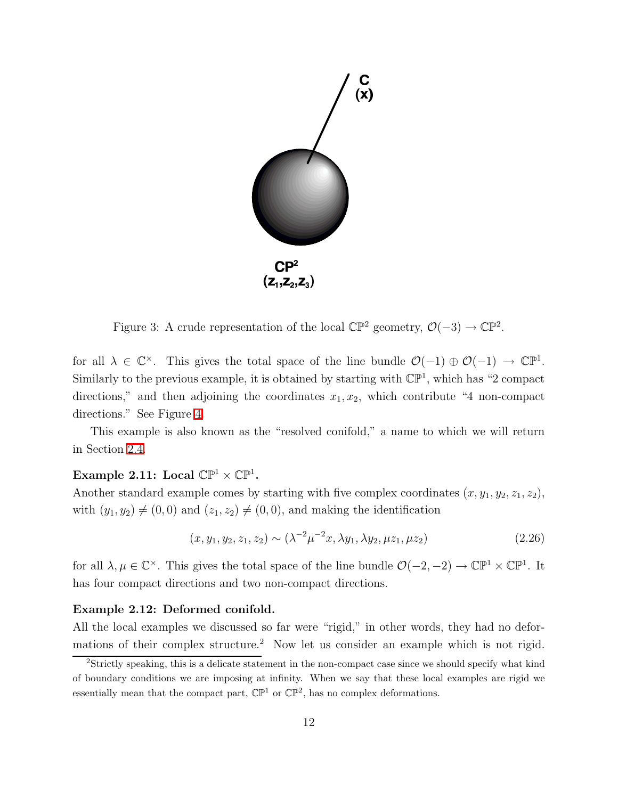

<span id="page-12-0"></span>Figure 3: A crude representation of the local  $\mathbb{CP}^2$  geometry,  $\mathcal{O}(-3) \to \mathbb{CP}^2$ .

for all  $\lambda \in \mathbb{C}^{\times}$ . This gives the total space of the line bundle  $\mathcal{O}(-1) \oplus \mathcal{O}(-1) \to \mathbb{CP}^1$ . Similarly to the previous example, it is obtained by starting with  $\mathbb{CP}^1$ , which has "2 compact directions," and then adjoining the coordinates  $x_1, x_2$ , which contribute "4 non-compact directions." See Figure [4.](#page-13-1)

This example is also known as the "resolved conifold," a name to which we will return in Section [2.4.](#page-13-0)

# Example 2.11: Local  $\mathbb{CP}^1\times \mathbb{CP}^1.$

Another standard example comes by starting with five complex coordinates  $(x, y_1, y_2, z_1, z_2)$ , with  $(y_1, y_2) \neq (0, 0)$  and  $(z_1, z_2) \neq (0, 0)$ , and making the identification

$$
(x, y_1, y_2, z_1, z_2) \sim (\lambda^{-2} \mu^{-2} x, \lambda y_1, \lambda y_2, \mu z_1, \mu z_2)
$$
\n(2.26)

for all  $\lambda, \mu \in \mathbb{C}^{\times}$ . This gives the total space of the line bundle  $\mathcal{O}(-2, -2) \to \mathbb{CP}^1 \times \mathbb{CP}^1$ . It has four compact directions and two non-compact directions.

#### Example 2.12: Deformed conifold.

All the local examples we discussed so far were "rigid," in other words, they had no deformations of their complex structure.<sup>2</sup> Now let us consider an example which is not rigid.

<sup>2</sup>Strictly speaking, this is a delicate statement in the non-compact case since we should specify what kind of boundary conditions we are imposing at infinity. When we say that these local examples are rigid we essentially mean that the compact part,  $\mathbb{CP}^1$  or  $\mathbb{CP}^2$ , has no complex deformations.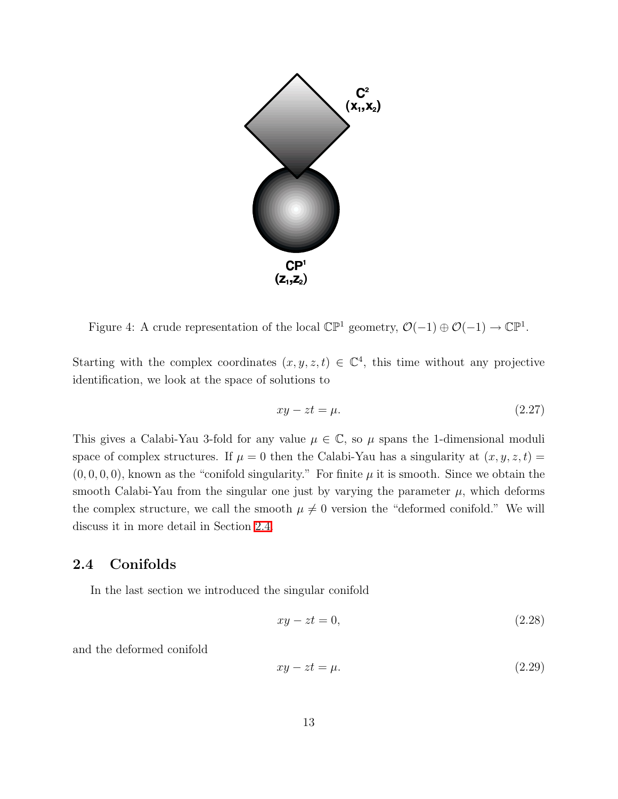

<span id="page-13-1"></span>Figure 4: A crude representation of the local  $\mathbb{CP}^1$  geometry,  $\mathcal{O}(-1) \oplus \mathcal{O}(-1) \to \mathbb{CP}^1$ .

Starting with the complex coordinates  $(x, y, z, t) \in \mathbb{C}^{4}$ , this time without any projective identification, we look at the space of solutions to

$$
xy - zt = \mu. \tag{2.27}
$$

This gives a Calabi-Yau 3-fold for any value  $\mu \in \mathbb{C}$ , so  $\mu$  spans the 1-dimensional moduli space of complex structures. If  $\mu = 0$  then the Calabi-Yau has a singularity at  $(x, y, z, t) =$  $(0, 0, 0, 0)$ , known as the "conifold singularity." For finite  $\mu$  it is smooth. Since we obtain the smooth Calabi-Yau from the singular one just by varying the parameter  $\mu$ , which deforms the complex structure, we call the smooth  $\mu \neq 0$  version the "deformed conifold." We will discuss it in more detail in Section [2.4.](#page-13-0)

### <span id="page-13-0"></span>2.4 Conifolds

<span id="page-13-2"></span>In the last section we introduced the singular conifold

<span id="page-13-3"></span>
$$
xy - zt = 0,\t\t(2.28)
$$

and the deformed conifold

$$
xy - zt = \mu. \tag{2.29}
$$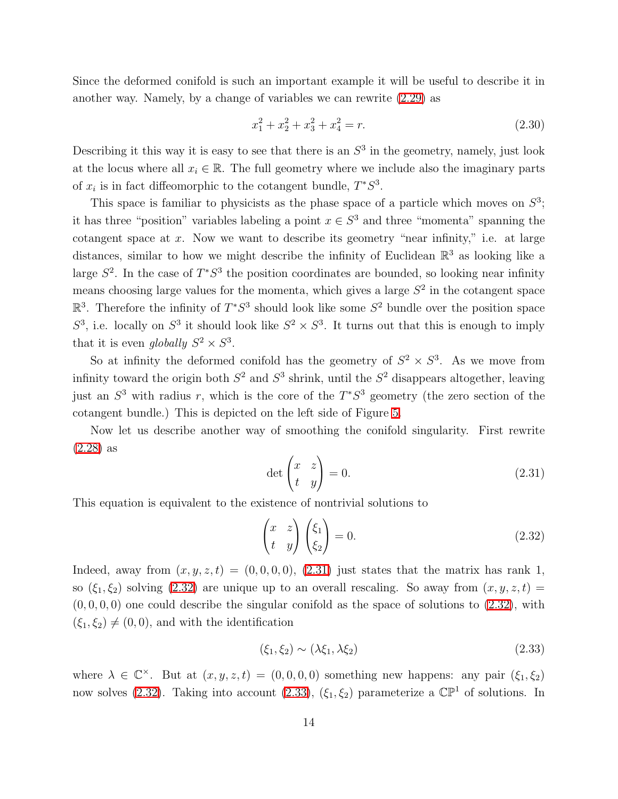Since the deformed conifold is such an important example it will be useful to describe it in another way. Namely, by a change of variables we can rewrite [\(2.29\)](#page-13-2) as

$$
x_1^2 + x_2^2 + x_3^2 + x_4^2 = r.
$$
\n(2.30)

Describing it this way it is easy to see that there is an  $S<sup>3</sup>$  in the geometry, namely, just look at the locus where all  $x_i \in \mathbb{R}$ . The full geometry where we include also the imaginary parts of  $x_i$  is in fact diffeomorphic to the cotangent bundle,  $T^*S^3$ .

This space is familiar to physicists as the phase space of a particle which moves on  $S^3$ ; it has three "position" variables labeling a point  $x \in S^3$  and three "momenta" spanning the cotangent space at  $x$ . Now we want to describe its geometry "near infinity," i.e. at large distances, similar to how we might describe the infinity of Euclidean  $\mathbb{R}^3$  as looking like a large  $S^2$ . In the case of  $T^*S^3$  the position coordinates are bounded, so looking near infinity means choosing large values for the momenta, which gives a large  $S<sup>2</sup>$  in the cotangent space  $\mathbb{R}^3$ . Therefore the infinity of  $T^*S^3$  should look like some  $S^2$  bundle over the position space  $S^3$ , i.e. locally on  $S^3$  it should look like  $S^2 \times S^3$ . It turns out that this is enough to imply that it is even globally  $S^2 \times S^3$ .

So at infinity the deformed conifold has the geometry of  $S^2 \times S^3$ . As we move from infinity toward the origin both  $S^2$  and  $S^3$  shrink, until the  $S^2$  disappears altogether, leaving just an  $S^3$  with radius r, which is the core of the  $T^*S^3$  geometry (the zero section of the cotangent bundle.) This is depicted on the left side of Figure [5.](#page-16-1)

<span id="page-14-0"></span>Now let us describe another way of smoothing the conifold singularity. First rewrite [\(2.28\)](#page-13-3) as

<span id="page-14-1"></span>
$$
\det \begin{pmatrix} x & z \\ t & y \end{pmatrix} = 0.
$$
 (2.31)

This equation is equivalent to the existence of nontrivial solutions to

$$
\begin{pmatrix} x & z \\ t & y \end{pmatrix} \begin{pmatrix} \xi_1 \\ \xi_2 \end{pmatrix} = 0.
$$
 (2.32)

Indeed, away from  $(x, y, z, t) = (0, 0, 0, 0), (2.31)$  $(x, y, z, t) = (0, 0, 0, 0), (2.31)$  just states that the matrix has rank 1, so  $(\xi_1, \xi_2)$  solving [\(2.32\)](#page-14-1) are unique up to an overall rescaling. So away from  $(x, y, z, t)$  $(0, 0, 0, 0)$  one could describe the singular conifold as the space of solutions to  $(2.32)$ , with  $(\xi_1, \xi_2) \neq (0, 0)$ , and with the identification

<span id="page-14-2"></span>
$$
(\xi_1, \xi_2) \sim (\lambda \xi_1, \lambda \xi_2) \tag{2.33}
$$

where  $\lambda \in \mathbb{C}^{\times}$ . But at  $(x, y, z, t) = (0, 0, 0, 0)$  something new happens: any pair  $(\xi_1, \xi_2)$ now solves [\(2.32\)](#page-14-1). Taking into account [\(2.33\)](#page-14-2),  $(\xi_1, \xi_2)$  parameterize a  $\mathbb{CP}^1$  of solutions. In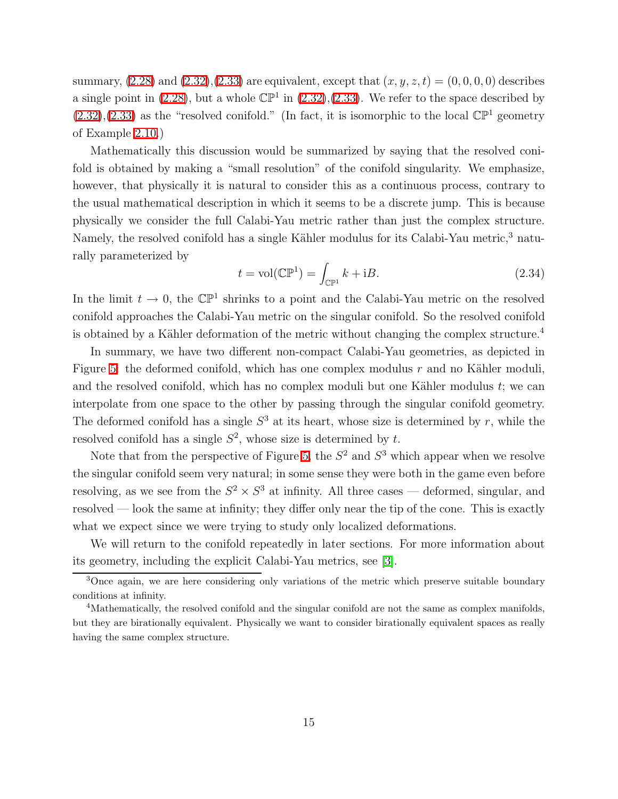summary,  $(2.28)$  and  $(2.32)$ ,  $(2.33)$  are equivalent, except that  $(x, y, z, t) = (0, 0, 0, 0)$  describes a single point in  $(2.28)$ , but a whole  $\mathbb{CP}^1$  in  $(2.32),(2.33)$  $(2.32),(2.33)$ . We refer to the space described by  $(2.32),(2.33)$  $(2.32),(2.33)$  $(2.32),(2.33)$  as the "resolved conifold." (In fact, it is isomorphic to the local  $\mathbb{CP}^1$  geometry of Example [2.10.](#page-11-2))

Mathematically this discussion would be summarized by saying that the resolved conifold is obtained by making a "small resolution" of the conifold singularity. We emphasize, however, that physically it is natural to consider this as a continuous process, contrary to the usual mathematical description in which it seems to be a discrete jump. This is because physically we consider the full Calabi-Yau metric rather than just the complex structure. Namely, the resolved conifold has a single Kähler modulus for its Calabi-Yau metric,<sup>3</sup> naturally parameterized by

$$
t = \text{vol}(\mathbb{CP}^1) = \int_{\mathbb{CP}^1} k + iB. \tag{2.34}
$$

In the limit  $t \to 0$ , the  $\mathbb{CP}^1$  shrinks to a point and the Calabi-Yau metric on the resolved conifold approaches the Calabi-Yau metric on the singular conifold. So the resolved conifold is obtained by a Kähler deformation of the metric without changing the complex structure.<sup>4</sup>

In summary, we have two different non-compact Calabi-Yau geometries, as depicted in Figure [5:](#page-16-1) the deformed conifold, which has one complex modulus  $r$  and no Kähler moduli, and the resolved conifold, which has no complex moduli but one Kähler modulus  $t$ ; we can interpolate from one space to the other by passing through the singular conifold geometry. The deformed conifold has a single  $S<sup>3</sup>$  at its heart, whose size is determined by r, while the resolved conifold has a single  $S^2$ , whose size is determined by t.

Note that from the perspective of Figure [5,](#page-16-1) the  $S^2$  and  $S^3$  which appear when we resolve the singular conifold seem very natural; in some sense they were both in the game even before resolving, as we see from the  $S^2 \times S^3$  at infinity. All three cases — deformed, singular, and resolved — look the same at infinity; they differ only near the tip of the cone. This is exactly what we expect since we were trying to study only localized deformations.

We will return to the conifold repeatedly in later sections. For more information about its geometry, including the explicit Calabi-Yau metrics, see [\[3\]](#page-76-2).

 $3$ Once again, we are here considering only variations of the metric which preserve suitable boundary conditions at infinity.

<sup>&</sup>lt;sup>4</sup>Mathematically, the resolved conifold and the singular conifold are not the same as complex manifolds, but they are birationally equivalent. Physically we want to consider birationally equivalent spaces as really having the same complex structure.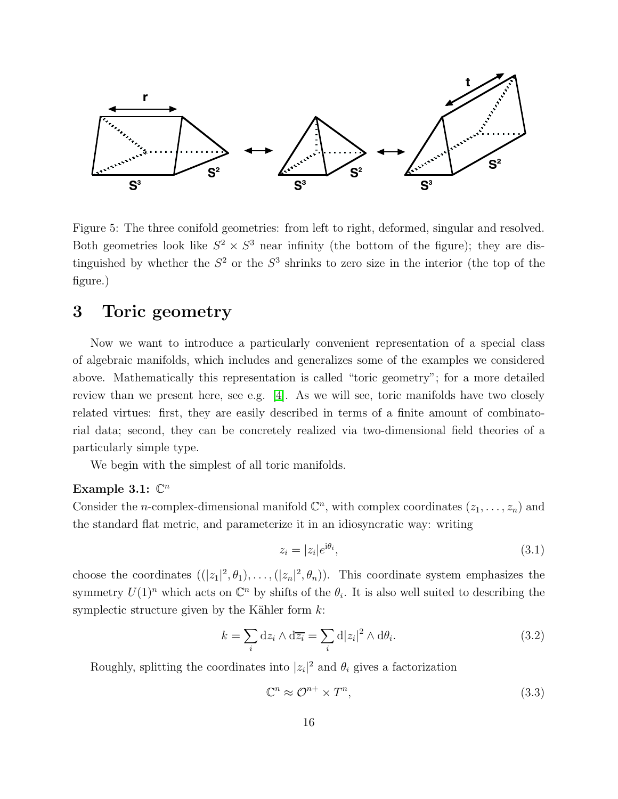

<span id="page-16-1"></span>Figure 5: The three conifold geometries: from left to right, deformed, singular and resolved. Both geometries look like  $S^2 \times S^3$  near infinity (the bottom of the figure); they are distinguished by whether the  $S^2$  or the  $S^3$  shrinks to zero size in the interior (the top of the figure.)

# <span id="page-16-0"></span>3 Toric geometry

Now we want to introduce a particularly convenient representation of a special class of algebraic manifolds, which includes and generalizes some of the examples we considered above. Mathematically this representation is called "toric geometry"; for a more detailed review than we present here, see e.g. [\[4\]](#page-76-3). As we will see, toric manifolds have two closely related virtues: first, they are easily described in terms of a finite amount of combinatorial data; second, they can be concretely realized via two-dimensional field theories of a particularly simple type.

We begin with the simplest of all toric manifolds.

### Example 3.1:  $\mathbb{C}^n$

Consider the *n*-complex-dimensional manifold  $\mathbb{C}^n$ , with complex coordinates  $(z_1, \ldots, z_n)$  and the standard flat metric, and parameterize it in an idiosyncratic way: writing

$$
z_i = |z_i|e^{i\theta_i},\tag{3.1}
$$

choose the coordinates  $((|z_1|^2, \theta_1), \ldots, (|z_n|^2, \theta_n))$ . This coordinate system emphasizes the symmetry  $U(1)^n$  which acts on  $\mathbb{C}^n$  by shifts of the  $\theta_i$ . It is also well suited to describing the symplectic structure given by the Kähler form  $k$ :

$$
k = \sum_{i} \mathrm{d}z_{i} \wedge \mathrm{d}\overline{z_{i}} = \sum_{i} \mathrm{d}|z_{i}|^{2} \wedge \mathrm{d}\theta_{i}.
$$
 (3.2)

Roughly, splitting the coordinates into  $|z_i|^2$  and  $\theta_i$  gives a factorization

<span id="page-16-2"></span>
$$
\mathbb{C}^n \approx \mathcal{O}^{n+} \times T^n,\tag{3.3}
$$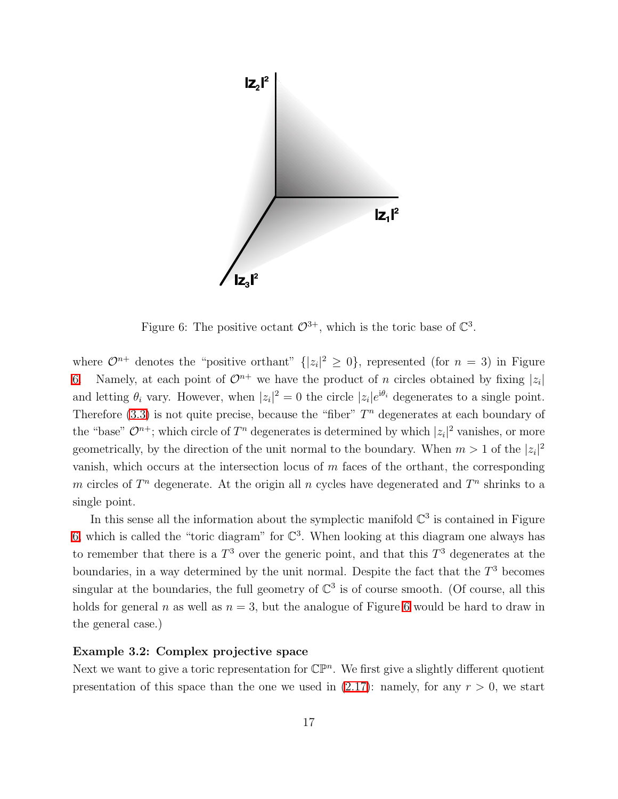

<span id="page-17-0"></span>Figure 6: The positive octant  $\mathcal{O}^{3+}$ , which is the toric base of  $\mathbb{C}^3$ .

where  $\mathcal{O}^{n+}$  denotes the "positive orthant"  $\{|z_i|^2 \geq 0\}$ , represented (for  $n = 3$ ) in Figure [6.](#page-17-0) Namely, at each point of  $\mathcal{O}^{n+}$  we have the product of n circles obtained by fixing  $|z_i|$ and letting  $\theta_i$  vary. However, when  $|z_i|^2 = 0$  the circle  $|z_i|e^{i\theta_i}$  degenerates to a single point. Therefore  $(3.3)$  is not quite precise, because the "fiber"  $T<sup>n</sup>$  degenerates at each boundary of the "base"  $\mathcal{O}^{n+}$ ; which circle of  $T^n$  degenerates is determined by which  $|z_i|^2$  vanishes, or more geometrically, by the direction of the unit normal to the boundary. When  $m > 1$  of the  $|z_i|^2$ vanish, which occurs at the intersection locus of  $m$  faces of the orthant, the corresponding m circles of  $T<sup>n</sup>$  degenerate. At the origin all n cycles have degenerated and  $T<sup>n</sup>$  shrinks to a single point.

In this sense all the information about the symplectic manifold  $\mathbb{C}^3$  is contained in Figure [6,](#page-17-0) which is called the "toric diagram" for  $\mathbb{C}^3$ . When looking at this diagram one always has to remember that there is a  $T^3$  over the generic point, and that this  $T^3$  degenerates at the boundaries, in a way determined by the unit normal. Despite the fact that the  $T<sup>3</sup>$  becomes singular at the boundaries, the full geometry of  $\mathbb{C}^3$  is of course smooth. (Of course, all this holds for general n as well as  $n = 3$ , but the analogue of Figure [6](#page-17-0) would be hard to draw in the general case.)

#### Example 3.2: Complex projective space

Next we want to give a toric representation for  $\mathbb{CP}^n$ . We first give a slightly different quotient presentation of this space than the one we used in  $(2.17)$ : namely, for any  $r > 0$ , we start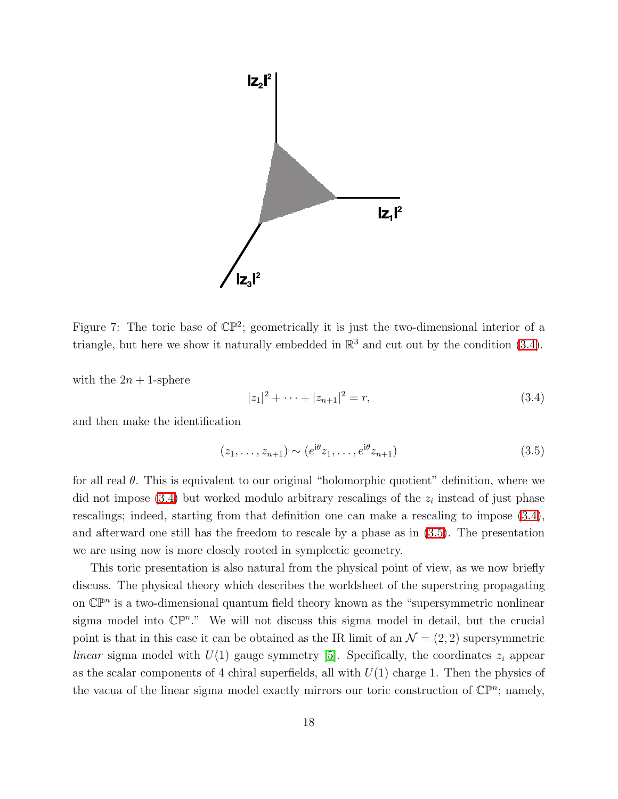

<span id="page-18-2"></span>Figure 7: The toric base of  $\mathbb{CP}^2$ ; geometrically it is just the two-dimensional interior of a triangle, but here we show it naturally embedded in  $\mathbb{R}^3$  and cut out by the condition [\(3.4\)](#page-18-0).

<span id="page-18-0"></span>with the  $2n + 1$ -sphere

$$
|z_1|^2 + \dots + |z_{n+1}|^2 = r,\tag{3.4}
$$

and then make the identification

<span id="page-18-1"></span>
$$
(z_1, \ldots, z_{n+1}) \sim (e^{i\theta} z_1, \ldots, e^{i\theta} z_{n+1})
$$
\n
$$
(3.5)
$$

for all real  $\theta$ . This is equivalent to our original "holomorphic quotient" definition, where we did not impose  $(3.4)$  but worked modulo arbitrary rescalings of the  $z_i$  instead of just phase rescalings; indeed, starting from that definition one can make a rescaling to impose [\(3.4\)](#page-18-0), and afterward one still has the freedom to rescale by a phase as in [\(3.5\)](#page-18-1). The presentation we are using now is more closely rooted in symplectic geometry.

This toric presentation is also natural from the physical point of view, as we now briefly discuss. The physical theory which describes the worldsheet of the superstring propagating on  $\mathbb{CP}^n$  is a two-dimensional quantum field theory known as the "supersymmetric nonlinear sigma model into  $\mathbb{CP}^n$ ." We will not discuss this sigma model in detail, but the crucial point is that in this case it can be obtained as the IR limit of an  $\mathcal{N} = (2, 2)$  supersymmetric linear sigma model with  $U(1)$  gauge symmetry [\[5\]](#page-76-4). Specifically, the coordinates  $z_i$  appear as the scalar components of 4 chiral superfields, all with  $U(1)$  charge 1. Then the physics of the vacua of the linear sigma model exactly mirrors our toric construction of  $\mathbb{CP}^n$ ; namely,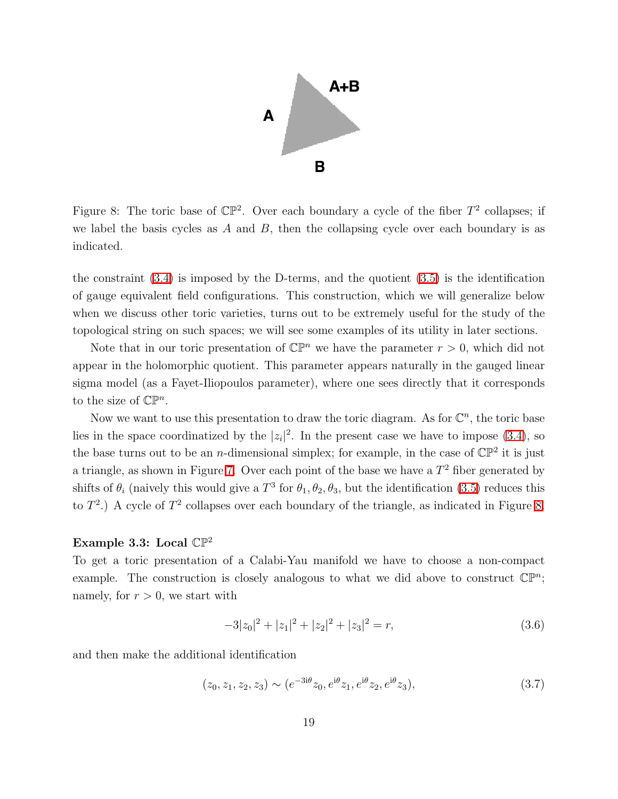

<span id="page-19-0"></span>Figure 8: The toric base of  $\mathbb{CP}^2$ . Over each boundary a cycle of the fiber  $T^2$  collapses; if we label the basis cycles as  $A$  and  $B$ , then the collapsing cycle over each boundary is as indicated.

the constraint [\(3.4\)](#page-18-0) is imposed by the D-terms, and the quotient [\(3.5\)](#page-18-1) is the identification of gauge equivalent field configurations. This construction, which we will generalize below when we discuss other toric varieties, turns out to be extremely useful for the study of the topological string on such spaces; we will see some examples of its utility in later sections.

Note that in our toric presentation of  $\mathbb{CP}^n$  we have the parameter  $r > 0$ , which did not appear in the holomorphic quotient. This parameter appears naturally in the gauged linear sigma model (as a Fayet-Iliopoulos parameter), where one sees directly that it corresponds to the size of  $\mathbb{C}\mathbb{P}^n$ .

Now we want to use this presentation to draw the toric diagram. As for  $\mathbb{C}^n$ , the toric base lies in the space coordinatized by the  $|z_i|^2$ . In the present case we have to impose [\(3.4\)](#page-18-0), so the base turns out to be an *n*-dimensional simplex; for example, in the case of  $\mathbb{CP}^2$  it is just a triangle, as shown in Figure [7.](#page-18-2) Over each point of the base we have a  $T^2$  fiber generated by shifts of  $\theta_i$  (naively this would give a  $T^3$  for  $\theta_1, \theta_2, \theta_3$ , but the identification [\(3.5\)](#page-18-1) reduces this to  $T^2$ .) A cycle of  $T^2$  collapses over each boundary of the triangle, as indicated in Figure [8.](#page-19-0)

### Example 3.3: Local  $\mathbb{CP}^2$

To get a toric presentation of a Calabi-Yau manifold we have to choose a non-compact example. The construction is closely analogous to what we did above to construct  $\mathbb{CP}^n$ ; namely, for  $r > 0$ , we start with

<span id="page-19-1"></span>
$$
-3|z_0|^2 + |z_1|^2 + |z_2|^2 + |z_3|^2 = r,
$$
\n(3.6)

and then make the additional identification

$$
(z_0, z_1, z_2, z_3) \sim (e^{-3i\theta} z_0, e^{i\theta} z_1, e^{i\theta} z_2, e^{i\theta} z_3), \tag{3.7}
$$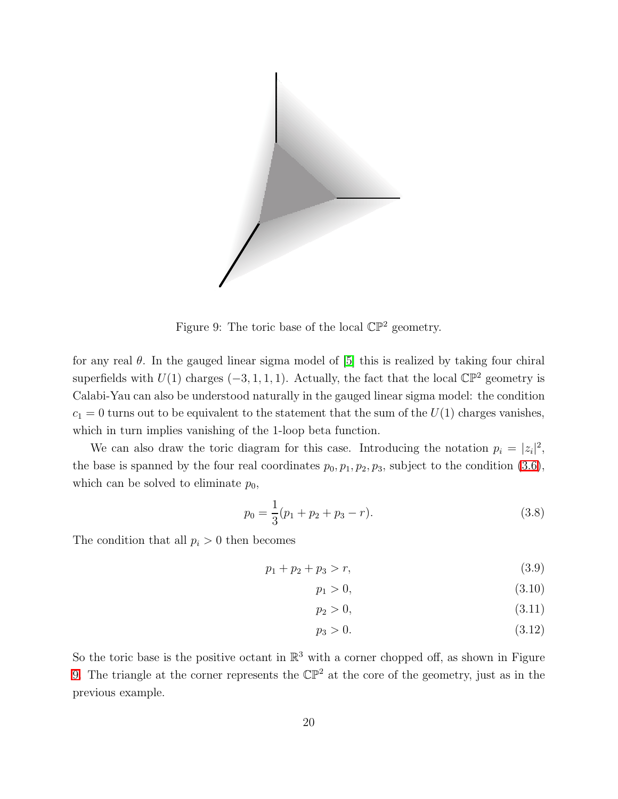

<span id="page-20-0"></span>Figure 9: The toric base of the local  $\mathbb{CP}^2$  geometry.

for any real  $\theta$ . In the gauged linear sigma model of [\[5\]](#page-76-4) this is realized by taking four chiral superfields with  $U(1)$  charges (-3, 1, 1, 1). Actually, the fact that the local  $\mathbb{CP}^2$  geometry is Calabi-Yau can also be understood naturally in the gauged linear sigma model: the condition  $c_1 = 0$  turns out to be equivalent to the statement that the sum of the  $U(1)$  charges vanishes, which in turn implies vanishing of the 1-loop beta function.

We can also draw the toric diagram for this case. Introducing the notation  $p_i = |z_i|^2$ , the base is spanned by the four real coordinates  $p_0, p_1, p_2, p_3$ , subject to the condition [\(3.6\)](#page-19-1), which can be solved to eliminate  $p_0$ ,

$$
p_0 = \frac{1}{3}(p_1 + p_2 + p_3 - r). \tag{3.8}
$$

The condition that all  $p_i > 0$  then becomes

$$
p_1 + p_2 + p_3 > r,\t\t(3.9)
$$

$$
p_1 > 0,\t\t(3.10)
$$

$$
p_2 > 0,\t\t(3.11)
$$

$$
p_3 > 0. \t\t(3.12)
$$

So the toric base is the positive octant in  $\mathbb{R}^3$  with a corner chopped off, as shown in Figure [9.](#page-20-0) The triangle at the corner represents the  $\mathbb{CP}^2$  at the core of the geometry, just as in the previous example.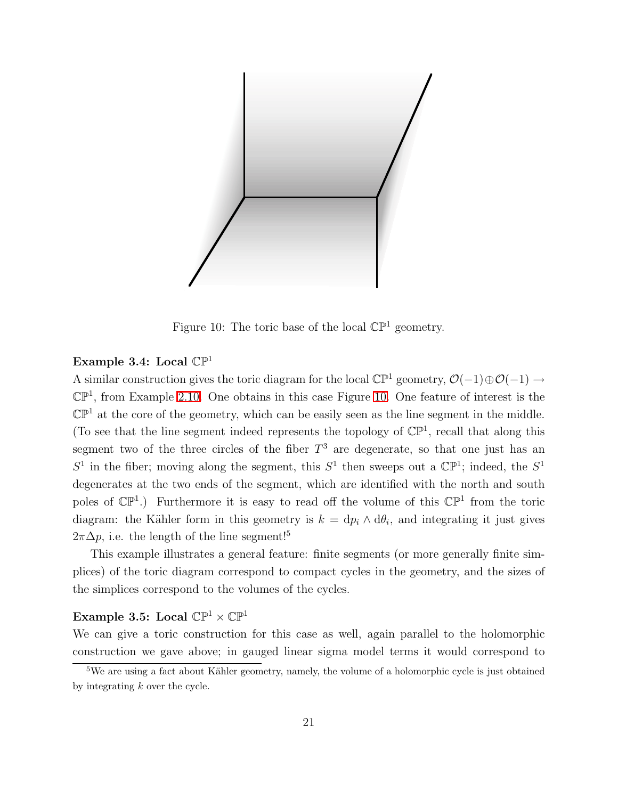

<span id="page-21-0"></span>Figure 10: The toric base of the local  $\mathbb{CP}^1$  geometry.

### Example 3.4: Local  $\mathbb{CP}^1$

A similar construction gives the toric diagram for the local  $\mathbb{CP}^1$  geometry,  $\mathcal{O}(-1)\oplus \mathcal{O}(-1) \rightarrow$  $\mathbb{CP}^1$ , from Example [2.10.](#page-11-2) One obtains in this case Figure [10.](#page-21-0) One feature of interest is the  $\mathbb{CP}^1$  at the core of the geometry, which can be easily seen as the line segment in the middle. (To see that the line segment indeed represents the topology of  $\mathbb{CP}^1$ , recall that along this segment two of the three circles of the fiber  $T^3$  are degenerate, so that one just has an  $S^1$  in the fiber; moving along the segment, this  $S^1$  then sweeps out a  $\mathbb{CP}^1$ ; indeed, the  $S^1$ degenerates at the two ends of the segment, which are identified with the north and south poles of  $\mathbb{CP}^1$ .) Furthermore it is easy to read off the volume of this  $\mathbb{CP}^1$  from the toric diagram: the Kähler form in this geometry is  $k = dp_i \wedge d\theta_i$ , and integrating it just gives  $2\pi\Delta p$ , i.e. the length of the line segment!<sup>5</sup>

This example illustrates a general feature: finite segments (or more generally finite simplices) of the toric diagram correspond to compact cycles in the geometry, and the sizes of the simplices correspond to the volumes of the cycles.

### Example 3.5: Local  $\mathbb{CP}^1 \times \mathbb{CP}^1$

We can give a toric construction for this case as well, again parallel to the holomorphic construction we gave above; in gauged linear sigma model terms it would correspond to

 $5W$ e are using a fact about Kähler geometry, namely, the volume of a holomorphic cycle is just obtained by integrating k over the cycle.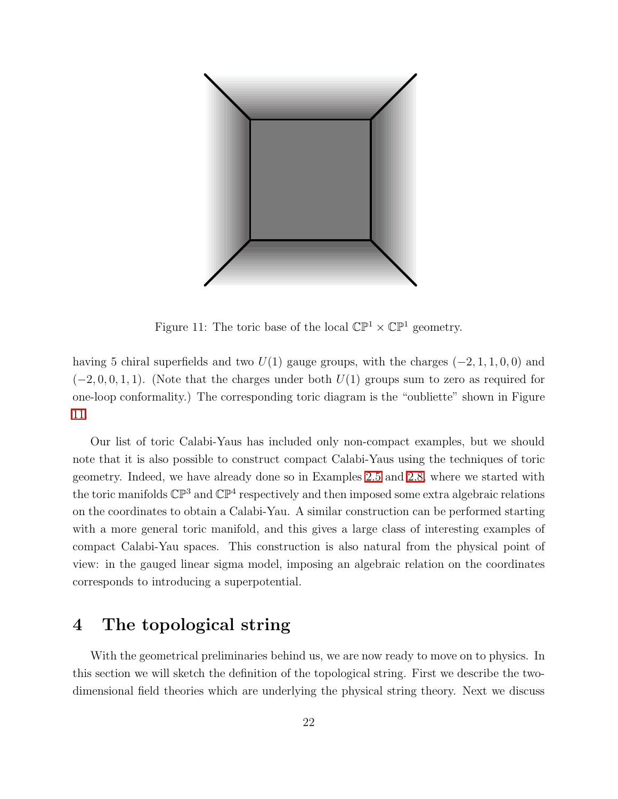

<span id="page-22-1"></span>Figure 11: The toric base of the local  $\mathbb{CP}^1 \times \mathbb{CP}^1$  geometry.

having 5 chiral superfields and two  $U(1)$  gauge groups, with the charges  $(-2, 1, 1, 0, 0)$  and  $(-2, 0, 0, 1, 1)$ . (Note that the charges under both  $U(1)$  groups sum to zero as required for one-loop conformality.) The corresponding toric diagram is the "oubliette" shown in Figure [11.](#page-22-1)

Our list of toric Calabi-Yaus has included only non-compact examples, but we should note that it is also possible to construct compact Calabi-Yaus using the techniques of toric geometry. Indeed, we have already done so in Examples [2.5](#page-8-3) and [2.8,](#page-11-3) where we started with the toric manifolds  $\mathbb{CP}^3$  and  $\mathbb{CP}^4$  respectively and then imposed some extra algebraic relations on the coordinates to obtain a Calabi-Yau. A similar construction can be performed starting with a more general toric manifold, and this gives a large class of interesting examples of compact Calabi-Yau spaces. This construction is also natural from the physical point of view: in the gauged linear sigma model, imposing an algebraic relation on the coordinates corresponds to introducing a superpotential.

# <span id="page-22-0"></span>4 The topological string

With the geometrical preliminaries behind us, we are now ready to move on to physics. In this section we will sketch the definition of the topological string. First we describe the twodimensional field theories which are underlying the physical string theory. Next we discuss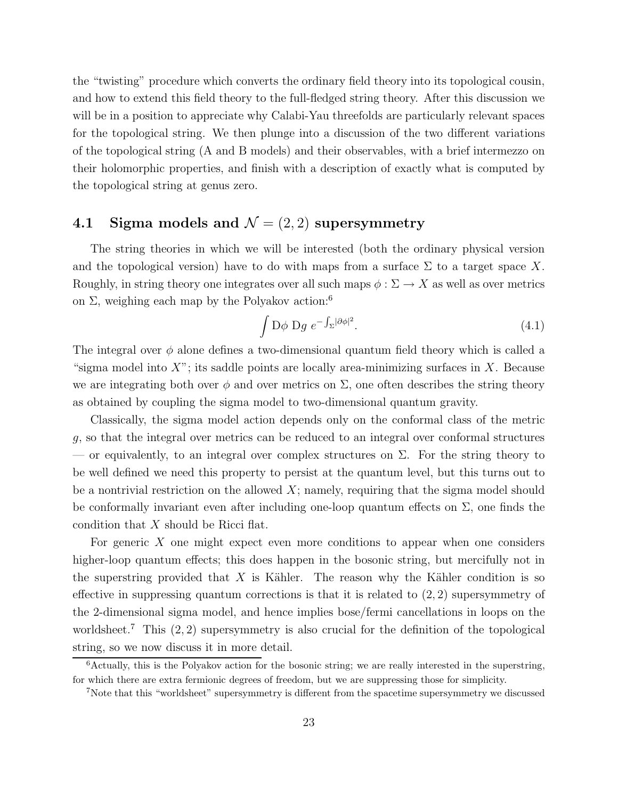the "twisting" procedure which converts the ordinary field theory into its topological cousin, and how to extend this field theory to the full-fledged string theory. After this discussion we will be in a position to appreciate why Calabi-Yau threefolds are particularly relevant spaces for the topological string. We then plunge into a discussion of the two different variations of the topological string (A and B models) and their observables, with a brief intermezzo on their holomorphic properties, and finish with a description of exactly what is computed by the topological string at genus zero.

### <span id="page-23-0"></span>4.1 Sigma models and  $\mathcal{N} = (2, 2)$  supersymmetry

The string theories in which we will be interested (both the ordinary physical version and the topological version) have to do with maps from a surface  $\Sigma$  to a target space X. Roughly, in string theory one integrates over all such maps  $\phi : \Sigma \to X$  as well as over metrics on  $\Sigma$ , weighing each map by the Polyakov action:<sup>6</sup>

$$
\int D\phi \ Dg \ e^{-\int_{\Sigma} |\partial \phi|^2}.
$$
\n(4.1)

The integral over  $\phi$  alone defines a two-dimensional quantum field theory which is called a "sigma model into  $X$ "; its saddle points are locally area-minimizing surfaces in  $X$ . Because we are integrating both over  $\phi$  and over metrics on  $\Sigma$ , one often describes the string theory as obtained by coupling the sigma model to two-dimensional quantum gravity.

Classically, the sigma model action depends only on the conformal class of the metric g, so that the integral over metrics can be reduced to an integral over conformal structures — or equivalently, to an integral over complex structures on  $\Sigma$ . For the string theory to be well defined we need this property to persist at the quantum level, but this turns out to be a nontrivial restriction on the allowed  $X$ ; namely, requiring that the sigma model should be conformally invariant even after including one-loop quantum effects on  $\Sigma$ , one finds the condition that X should be Ricci flat.

For generic  $X$  one might expect even more conditions to appear when one considers higher-loop quantum effects; this does happen in the bosonic string, but mercifully not in the superstring provided that  $X$  is Kähler. The reason why the Kähler condition is so effective in suppressing quantum corrections is that it is related to  $(2, 2)$  supersymmetry of the 2-dimensional sigma model, and hence implies bose/fermi cancellations in loops on the worldsheet.<sup>7</sup> This  $(2, 2)$  supersymmetry is also crucial for the definition of the topological string, so we now discuss it in more detail.

 $6$ Actually, this is the Polyakov action for the bosonic string; we are really interested in the superstring, for which there are extra fermionic degrees of freedom, but we are suppressing those for simplicity.

<sup>7</sup>Note that this "worldsheet" supersymmetry is different from the spacetime supersymmetry we discussed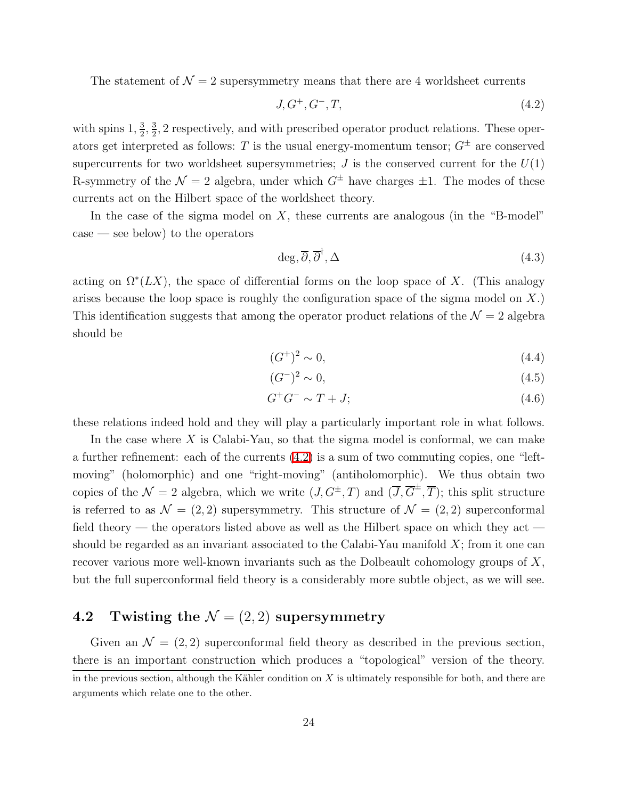The statement of  $\mathcal{N} = 2$  supersymmetry means that there are 4 worldsheet currents

<span id="page-24-1"></span>
$$
J, G^+, G^-, T, \tag{4.2}
$$

with spins  $1, \frac{3}{2}$  $\frac{3}{2}$ ,  $\frac{3}{2}$  $\frac{3}{2}$ , 2 respectively, and with prescribed operator product relations. These operators get interpreted as follows: T is the usual energy-momentum tensor;  $G^{\pm}$  are conserved supercurrents for two worldsheet supersymmetries;  $J$  is the conserved current for the  $U(1)$ R-symmetry of the  $\mathcal{N} = 2$  algebra, under which  $G^{\pm}$  have charges  $\pm 1$ . The modes of these currents act on the Hilbert space of the worldsheet theory.

In the case of the sigma model on  $X$ , these currents are analogous (in the "B-model" case — see below) to the operators

$$
\deg, \overline{\partial}, \overline{\partial}^{\dagger}, \Delta \tag{4.3}
$$

acting on  $\Omega^*(LX)$ , the space of differential forms on the loop space of X. (This analogy arises because the loop space is roughly the configuration space of the sigma model on  $X$ .) This identification suggests that among the operator product relations of the  $\mathcal{N}=2$  algebra should be

$$
(G^+)^2 \sim 0,\tag{4.4}
$$

$$
(G-)2 \sim 0,
$$
\n
$$
(4.5)
$$

$$
G^+G^- \sim T + J; \tag{4.6}
$$

these relations indeed hold and they will play a particularly important role in what follows.

In the case where  $X$  is Calabi-Yau, so that the sigma model is conformal, we can make a further refinement: each of the currents [\(4.2\)](#page-24-1) is a sum of two commuting copies, one "leftmoving" (holomorphic) and one "right-moving" (antiholomorphic). We thus obtain two copies of the  $\mathcal{N}=2$  algebra, which we write  $(J, G^{\pm}, T)$  and  $(\overline{J}, \overline{G}^{\pm}, \overline{T})$ ; this split structure is referred to as  $\mathcal{N} = (2, 2)$  supersymmetry. This structure of  $\mathcal{N} = (2, 2)$  superconformal field theory — the operators listed above as well as the Hilbert space on which they act should be regarded as an invariant associated to the Calabi-Yau manifold  $X$ ; from it one can recover various more well-known invariants such as the Dolbeault cohomology groups of  $X$ , but the full superconformal field theory is a considerably more subtle object, as we will see.

### <span id="page-24-0"></span>4.2 Twisting the  $\mathcal{N} = (2, 2)$  supersymmetry

Given an  $\mathcal{N} = (2, 2)$  superconformal field theory as described in the previous section, there is an important construction which produces a "topological" version of the theory. in the previous section, although the Kähler condition on  $X$  is ultimately responsible for both, and there are arguments which relate one to the other.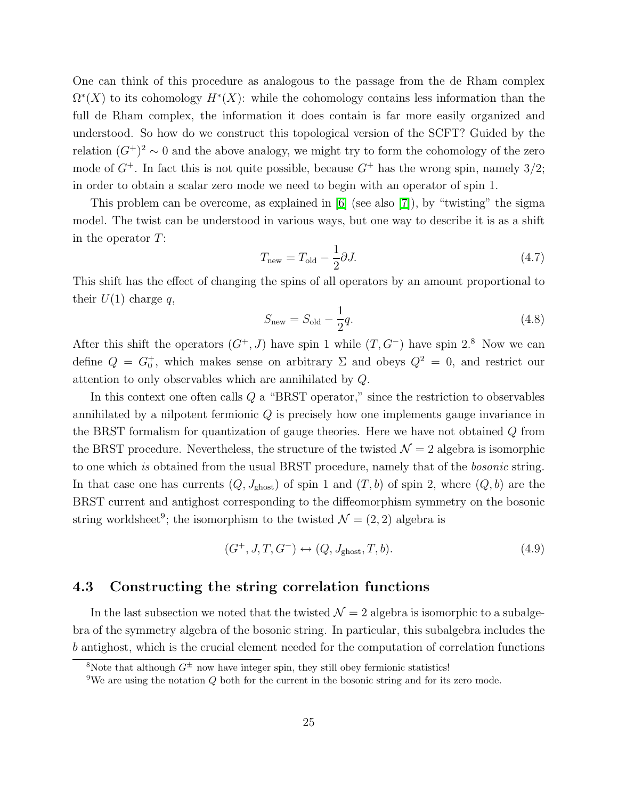One can think of this procedure as analogous to the passage from the de Rham complex  $\Omega^*(X)$  to its cohomology  $H^*(X)$ : while the cohomology contains less information than the full de Rham complex, the information it does contain is far more easily organized and understood. So how do we construct this topological version of the SCFT? Guided by the relation  $(G^+)^2 \sim 0$  and the above analogy, we might try to form the cohomology of the zero mode of  $G^+$ . In fact this is not quite possible, because  $G^+$  has the wrong spin, namely 3/2; in order to obtain a scalar zero mode we need to begin with an operator of spin 1.

<span id="page-25-1"></span>This problem can be overcome, as explained in [\[6\]](#page-76-5) (see also [\[7\]](#page-77-0)), by "twisting" the sigma model. The twist can be understood in various ways, but one way to describe it is as a shift in the operator T:

$$
T_{\text{new}} = T_{\text{old}} - \frac{1}{2} \partial J. \tag{4.7}
$$

This shift has the effect of changing the spins of all operators by an amount proportional to their  $U(1)$  charge q,

$$
S_{\text{new}} = S_{\text{old}} - \frac{1}{2}q. \tag{4.8}
$$

After this shift the operators  $(G^+, J)$  have spin 1 while  $(T, G^-)$  have spin 2.<sup>8</sup> Now we can define  $Q = G_0^+$ , which makes sense on arbitrary  $\Sigma$  and obeys  $Q^2 = 0$ , and restrict our attention to only observables which are annihilated by Q.

In this context one often calls Q a "BRST operator," since the restriction to observables annihilated by a nilpotent fermionic Q is precisely how one implements gauge invariance in the BRST formalism for quantization of gauge theories. Here we have not obtained Q from the BRST procedure. Nevertheless, the structure of the twisted  $\mathcal{N}=2$  algebra is isomorphic to one which is obtained from the usual BRST procedure, namely that of the bosonic string. In that case one has currents  $(Q, J<sub>ghost</sub>)$  of spin 1 and  $(T, b)$  of spin 2, where  $(Q, b)$  are the BRST current and antighost corresponding to the diffeomorphism symmetry on the bosonic string worldsheet<sup>9</sup>; the isomorphism to the twisted  $\mathcal{N} = (2, 2)$  algebra is

$$
(G^+, J, T, G^-) \leftrightarrow (Q, J_{\text{ghost}}, T, b). \tag{4.9}
$$

### <span id="page-25-0"></span>4.3 Constructing the string correlation functions

In the last subsection we noted that the twisted  $\mathcal{N}=2$  algebra is isomorphic to a subalgebra of the symmetry algebra of the bosonic string. In particular, this subalgebra includes the b antighost, which is the crucial element needed for the computation of correlation functions

<sup>&</sup>lt;sup>8</sup>Note that although  $G^{\pm}$  now have integer spin, they still obey fermionic statistics!

<sup>&</sup>lt;sup>9</sup>We are using the notation  $Q$  both for the current in the bosonic string and for its zero mode.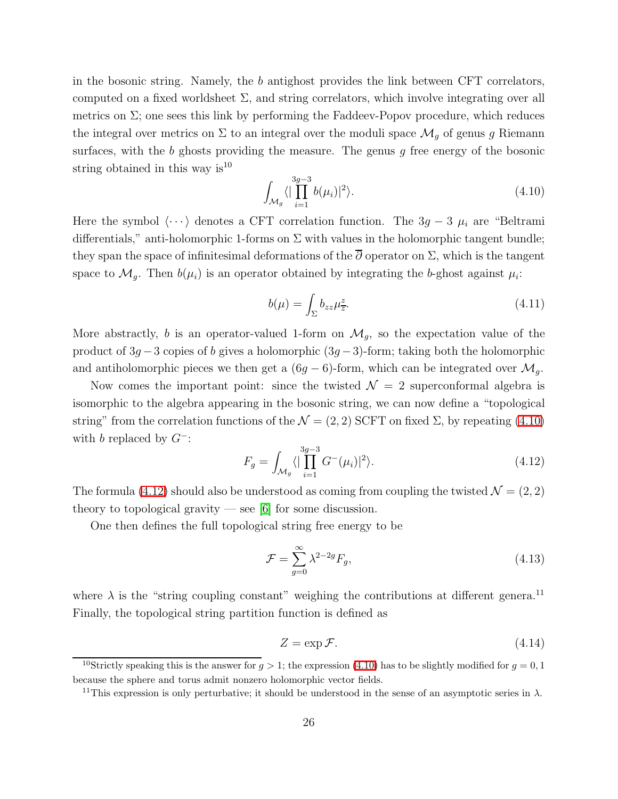in the bosonic string. Namely, the b antighost provides the link between CFT correlators, computed on a fixed worldsheet  $\Sigma$ , and string correlators, which involve integrating over all metrics on  $\Sigma$ ; one sees this link by performing the Faddeev-Popov procedure, which reduces the integral over metrics on  $\Sigma$  to an integral over the moduli space  $\mathcal{M}_g$  of genus g Riemann surfaces, with the  $b$  ghosts providing the measure. The genus  $q$  free energy of the bosonic string obtained in this way  $is^{10}$ 

<span id="page-26-0"></span>
$$
\int_{\mathcal{M}_g} \langle |\prod_{i=1}^{3g-3} b(\mu_i)|^2 \rangle.
$$
\n(4.10)

Here the symbol  $\langle \cdots \rangle$  denotes a CFT correlation function. The 3g − 3  $\mu_i$  are "Beltrami differentials," anti-holomorphic 1-forms on  $\Sigma$  with values in the holomorphic tangent bundle; they span the space of infinitesimal deformations of the  $\partial$  operator on  $\Sigma$ , which is the tangent space to  $\mathcal{M}_g$ . Then  $b(\mu_i)$  is an operator obtained by integrating the b-ghost against  $\mu_i$ :

$$
b(\mu) = \int_{\Sigma} b_{zz} \mu_{\overline{z}}^2. \tag{4.11}
$$

More abstractly, b is an operator-valued 1-form on  $\mathcal{M}_g$ , so the expectation value of the product of  $3g - 3$  copies of b gives a holomorphic  $(3g - 3)$ -form; taking both the holomorphic and antiholomorphic pieces we then get a  $(6g - 6)$ -form, which can be integrated over  $\mathcal{M}_q$ .

<span id="page-26-1"></span>Now comes the important point: since the twisted  $\mathcal{N} = 2$  superconformal algebra is isomorphic to the algebra appearing in the bosonic string, we can now define a "topological string" from the correlation functions of the  $\mathcal{N} = (2, 2)$  SCFT on fixed  $\Sigma$ , by repeating  $(4.10)$ with b replaced by  $G^-$ :

$$
F_g = \int_{\mathcal{M}_g} \langle |\prod_{i=1}^{3g-3} G^{-}(\mu_i)|^2 \rangle.
$$
 (4.12)

The formula [\(4.12\)](#page-26-1) should also be understood as coming from coupling the twisted  $\mathcal{N} = (2, 2)$ theory to topological gravity — see  $[6]$  for some discussion.

One then defines the full topological string free energy to be

$$
\mathcal{F} = \sum_{g=0}^{\infty} \lambda^{2-2g} F_g,
$$
\n(4.13)

where  $\lambda$  is the "string coupling constant" weighing the contributions at different genera.<sup>11</sup> Finally, the topological string partition function is defined as

$$
Z = \exp \mathcal{F}.\tag{4.14}
$$

<sup>&</sup>lt;sup>10</sup>Strictly speaking this is the answer for  $g > 1$ ; the expression [\(4.10\)](#page-26-0) has to be slightly modified for  $g = 0, 1$ because the sphere and torus admit nonzero holomorphic vector fields.

<sup>&</sup>lt;sup>11</sup>This expression is only perturbative; it should be understood in the sense of an asymptotic series in  $\lambda$ .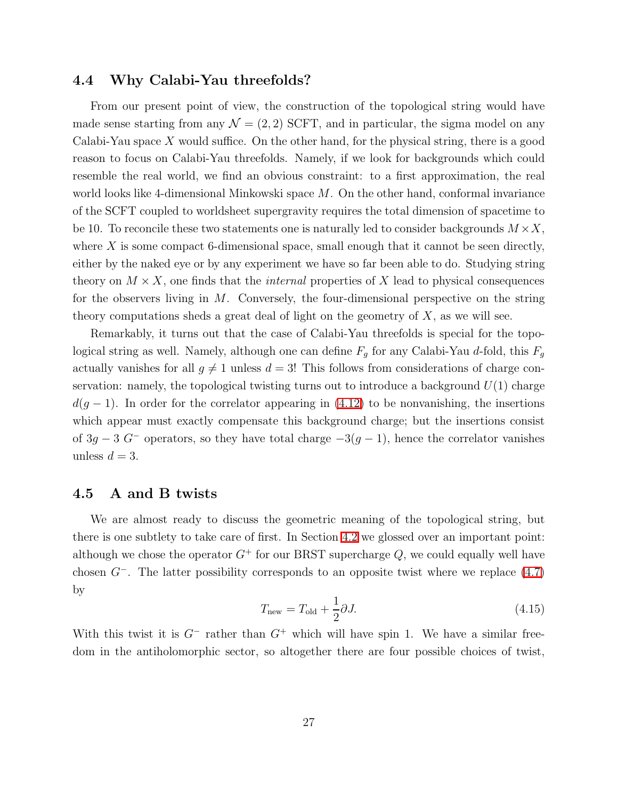### <span id="page-27-0"></span>4.4 Why Calabi-Yau threefolds?

From our present point of view, the construction of the topological string would have made sense starting from any  $\mathcal{N} = (2, 2)$  SCFT, and in particular, the sigma model on any Calabi-Yau space  $X$  would suffice. On the other hand, for the physical string, there is a good reason to focus on Calabi-Yau threefolds. Namely, if we look for backgrounds which could resemble the real world, we find an obvious constraint: to a first approximation, the real world looks like 4-dimensional Minkowski space M. On the other hand, conformal invariance of the SCFT coupled to worldsheet supergravity requires the total dimension of spacetime to be 10. To reconcile these two statements one is naturally led to consider backgrounds  $M \times X$ , where  $X$  is some compact 6-dimensional space, small enough that it cannot be seen directly, either by the naked eye or by any experiment we have so far been able to do. Studying string theory on  $M \times X$ , one finds that the *internal* properties of X lead to physical consequences for the observers living in  $M$ . Conversely, the four-dimensional perspective on the string theory computations sheds a great deal of light on the geometry of  $X$ , as we will see.

Remarkably, it turns out that the case of Calabi-Yau threefolds is special for the topological string as well. Namely, although one can define  $F_q$  for any Calabi-Yau d-fold, this  $F_q$ actually vanishes for all  $g \neq 1$  unless  $d = 3!$  This follows from considerations of charge conservation: namely, the topological twisting turns out to introduce a background  $U(1)$  charge  $d(g-1)$ . In order for the correlator appearing in [\(4.12\)](#page-26-1) to be nonvanishing, the insertions which appear must exactly compensate this background charge; but the insertions consist of 3g − 3  $G^-$  operators, so they have total charge  $-3(g-1)$ , hence the correlator vanishes unless  $d = 3$ .

### <span id="page-27-1"></span>4.5 A and B twists

We are almost ready to discuss the geometric meaning of the topological string, but there is one subtlety to take care of first. In Section [4.2](#page-24-0) we glossed over an important point: although we chose the operator  $G^+$  for our BRST supercharge Q, we could equally well have chosen  $G^-$ . The latter possibility corresponds to an opposite twist where we replace [\(4.7\)](#page-25-1) by

$$
T_{\text{new}} = T_{\text{old}} + \frac{1}{2}\partial J. \tag{4.15}
$$

With this twist it is  $G^-$  rather than  $G^+$  which will have spin 1. We have a similar freedom in the antiholomorphic sector, so altogether there are four possible choices of twist,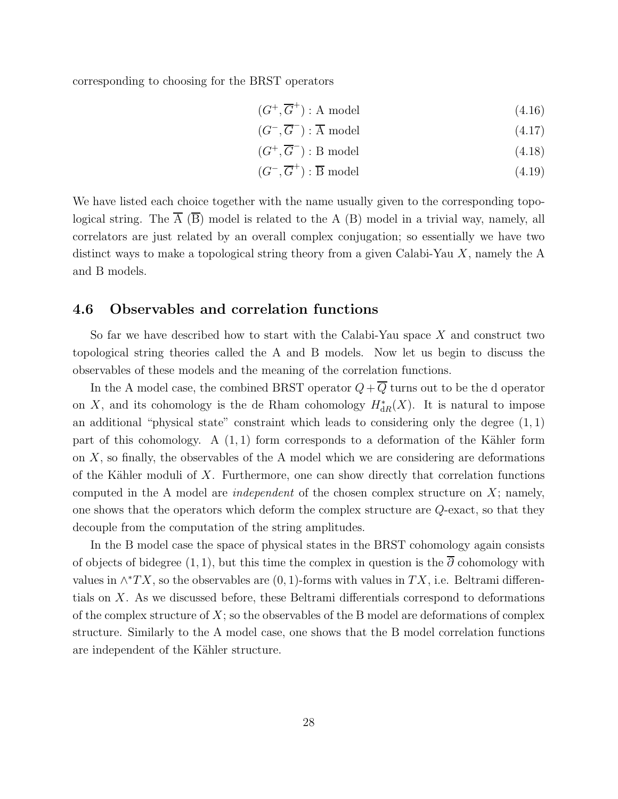corresponding to choosing for the BRST operators

- $(G^+$ ,  $\overline{G}^+$ ) : A model (4.16)
- $(G^-,\overline{G}^-): \overline{A} \text{ model}$  (4.17)
- $(G^+$ ,  $\overline{G}^-)$ : B model (4.18)

$$
(G^-, \overline{G}^+) : \overline{B} \text{ model} \tag{4.19}
$$

We have listed each choice together with the name usually given to the corresponding topological string. The A (B) model is related to the A (B) model in a trivial way, namely, all correlators are just related by an overall complex conjugation; so essentially we have two distinct ways to make a topological string theory from a given Calabi-Yau  $X$ , namely the A and B models.

### <span id="page-28-0"></span>4.6 Observables and correlation functions

So far we have described how to start with the Calabi-Yau space X and construct two topological string theories called the A and B models. Now let us begin to discuss the observables of these models and the meaning of the correlation functions.

In the A model case, the combined BRST operator  $Q + \overline{Q}$  turns out to be the d operator on X, and its cohomology is the de Rham cohomology  $H^*_{dR}(X)$ . It is natural to impose an additional "physical state" constraint which leads to considering only the degree  $(1, 1)$ part of this cohomology. A  $(1, 1)$  form corresponds to a deformation of the Kähler form on  $X$ , so finally, the observables of the A model which we are considering are deformations of the Kähler moduli of  $X$ . Furthermore, one can show directly that correlation functions computed in the A model are *independent* of the chosen complex structure on  $X$ ; namely, one shows that the operators which deform the complex structure are Q-exact, so that they decouple from the computation of the string amplitudes.

In the B model case the space of physical states in the BRST cohomology again consists of objects of bidegree  $(1, 1)$ , but this time the complex in question is the  $\overline{\partial}$  cohomology with values in  $\wedge^* TX$ , so the observables are  $(0, 1)$ -forms with values in  $TX$ , i.e. Beltrami differentials on X. As we discussed before, these Beltrami differentials correspond to deformations of the complex structure of  $X$ ; so the observables of the B model are deformations of complex structure. Similarly to the A model case, one shows that the B model correlation functions are independent of the Kähler structure.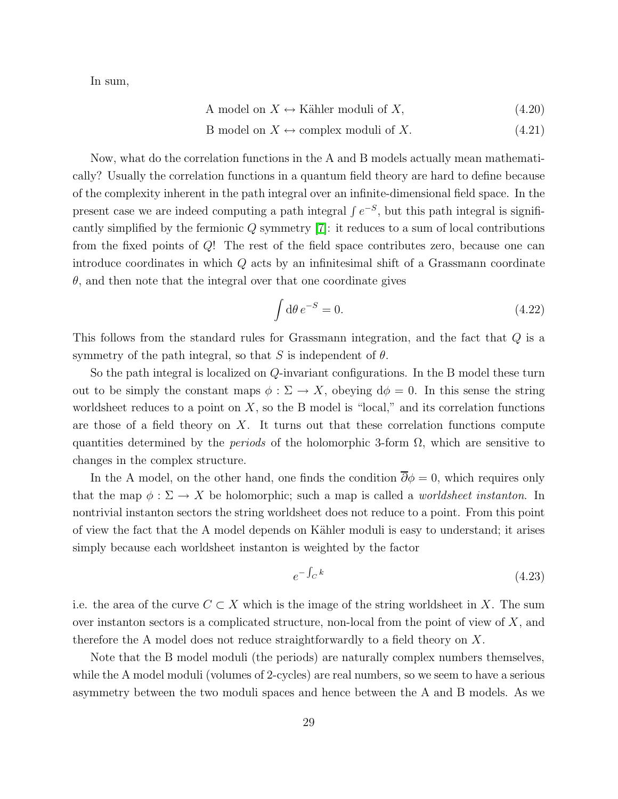In sum,

A model on 
$$
X \leftrightarrow
$$
 Kähler moduli of X, 
$$
(4.20)
$$

B model on 
$$
X \leftrightarrow
$$
 complex moduli of X. (4.21)

Now, what do the correlation functions in the A and B models actually mean mathematically? Usually the correlation functions in a quantum field theory are hard to define because of the complexity inherent in the path integral over an infinite-dimensional field space. In the present case we are indeed computing a path integral  $\int e^{-S}$ , but this path integral is significantly simplified by the fermionic  $Q$  symmetry  $[7]$ : it reduces to a sum of local contributions from the fixed points of Q! The rest of the field space contributes zero, because one can introduce coordinates in which Q acts by an infinitesimal shift of a Grassmann coordinate  $\theta$ , and then note that the integral over that one coordinate gives

$$
\int d\theta \, e^{-S} = 0. \tag{4.22}
$$

This follows from the standard rules for Grassmann integration, and the fact that Q is a symmetry of the path integral, so that S is independent of  $\theta$ .

So the path integral is localized on Q-invariant configurations. In the B model these turn out to be simply the constant maps  $\phi : \Sigma \to X$ , obeying  $d\phi = 0$ . In this sense the string worldsheet reduces to a point on  $X$ , so the B model is "local," and its correlation functions are those of a field theory on  $X$ . It turns out that these correlation functions compute quantities determined by the *periods* of the holomorphic 3-form  $\Omega$ , which are sensitive to changes in the complex structure.

In the A model, on the other hand, one finds the condition  $\overline{\partial}\phi = 0$ , which requires only that the map  $\phi : \Sigma \to X$  be holomorphic; such a map is called a *worldsheet instanton*. In nontrivial instanton sectors the string worldsheet does not reduce to a point. From this point of view the fact that the A model depends on K¨ahler moduli is easy to understand; it arises simply because each worldsheet instanton is weighted by the factor

$$
e^{-\int_C k} \tag{4.23}
$$

i.e. the area of the curve  $C \subset X$  which is the image of the string worldsheet in X. The sum over instanton sectors is a complicated structure, non-local from the point of view of  $X$ , and therefore the A model does not reduce straightforwardly to a field theory on X.

Note that the B model moduli (the periods) are naturally complex numbers themselves, while the A model moduli (volumes of 2-cycles) are real numbers, so we seem to have a serious asymmetry between the two moduli spaces and hence between the A and B models. As we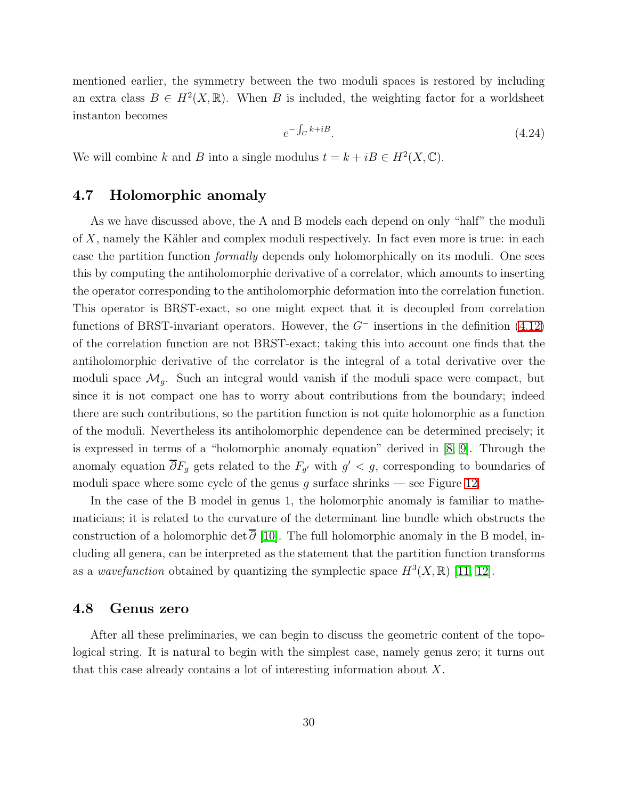mentioned earlier, the symmetry between the two moduli spaces is restored by including an extra class  $B \in H^2(X,\mathbb{R})$ . When B is included, the weighting factor for a worldsheet instanton becomes

$$
e^{-\int_C k + iB}.\tag{4.24}
$$

<span id="page-30-0"></span>We will combine k and B into a single modulus  $t = k + iB \in H^2(X, \mathbb{C})$ .

### 4.7 Holomorphic anomaly

As we have discussed above, the A and B models each depend on only "half" the moduli of  $X$ , namely the Kähler and complex moduli respectively. In fact even more is true: in each case the partition function formally depends only holomorphically on its moduli. One sees this by computing the antiholomorphic derivative of a correlator, which amounts to inserting the operator corresponding to the antiholomorphic deformation into the correlation function. This operator is BRST-exact, so one might expect that it is decoupled from correlation functions of BRST-invariant operators. However, the  $G^-$  insertions in the definition [\(4.12\)](#page-26-1) of the correlation function are not BRST-exact; taking this into account one finds that the antiholomorphic derivative of the correlator is the integral of a total derivative over the moduli space  $\mathcal{M}_q$ . Such an integral would vanish if the moduli space were compact, but since it is not compact one has to worry about contributions from the boundary; indeed there are such contributions, so the partition function is not quite holomorphic as a function of the moduli. Nevertheless its antiholomorphic dependence can be determined precisely; it is expressed in terms of a "holomorphic anomaly equation" derived in [\[8,](#page-77-1) [9\]](#page-77-2). Through the anomaly equation  $\overline{\partial} F_g$  gets related to the  $F_{g'}$  with  $g' < g$ , corresponding to boundaries of moduli space where some cycle of the genus  $q$  surface shrinks — see Figure [12.](#page-31-1)

In the case of the B model in genus 1, the holomorphic anomaly is familiar to mathematicians; it is related to the curvature of the determinant line bundle which obstructs the construction of a holomorphic det  $\partial$  [\[10\]](#page-77-3). The full holomorphic anomaly in the B model, including all genera, can be interpreted as the statement that the partition function transforms as a *wavefunction* obtained by quantizing the symplectic space  $H^3(X, \mathbb{R})$  [\[11,](#page-77-4) [12\]](#page-77-5).

### <span id="page-30-1"></span>4.8 Genus zero

After all these preliminaries, we can begin to discuss the geometric content of the topological string. It is natural to begin with the simplest case, namely genus zero; it turns out that this case already contains a lot of interesting information about X.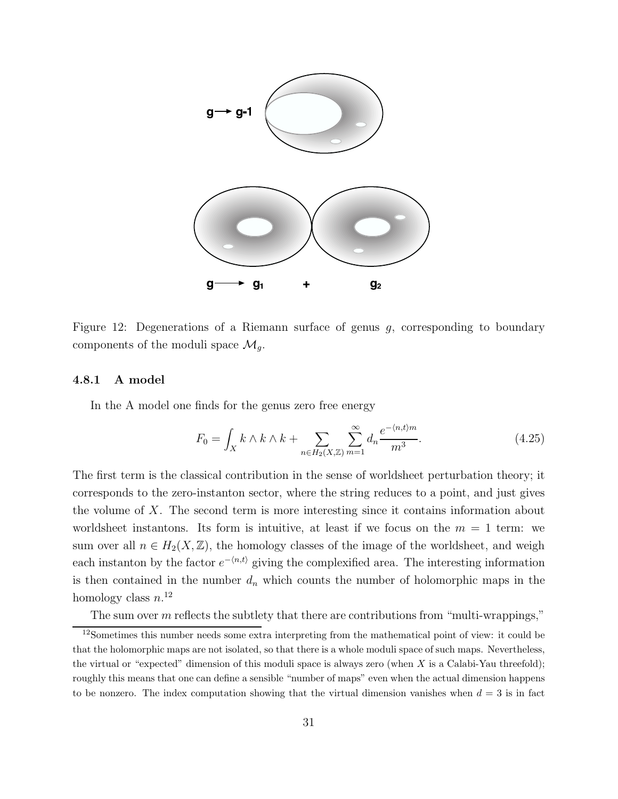

<span id="page-31-1"></span>Figure 12: Degenerations of a Riemann surface of genus  $g$ , corresponding to boundary components of the moduli space  $\mathcal{M}_g$ .

### <span id="page-31-0"></span>4.8.1 A model

In the A model one finds for the genus zero free energy

$$
F_0 = \int_X k \wedge k \wedge k + \sum_{n \in H_2(X, \mathbb{Z})} \sum_{m=1}^{\infty} d_n \frac{e^{-\langle n, t \rangle m}}{m^3}.
$$
 (4.25)

The first term is the classical contribution in the sense of worldsheet perturbation theory; it corresponds to the zero-instanton sector, where the string reduces to a point, and just gives the volume of X. The second term is more interesting since it contains information about worldsheet instantons. Its form is intuitive, at least if we focus on the  $m = 1$  term: we sum over all  $n \in H_2(X,\mathbb{Z})$ , the homology classes of the image of the worldsheet, and weigh each instanton by the factor  $e^{-\langle n,t\rangle}$  giving the complexified area. The interesting information is then contained in the number  $d_n$  which counts the number of holomorphic maps in the homology class  $n^{12}$ 

The sum over m reflects the subtlety that there are contributions from "multi-wrappings,"

<sup>12</sup>Sometimes this number needs some extra interpreting from the mathematical point of view: it could be that the holomorphic maps are not isolated, so that there is a whole moduli space of such maps. Nevertheless, the virtual or "expected" dimension of this moduli space is always zero (when  $X$  is a Calabi-Yau threefold); roughly this means that one can define a sensible "number of maps" even when the actual dimension happens to be nonzero. The index computation showing that the virtual dimension vanishes when  $d = 3$  is in fact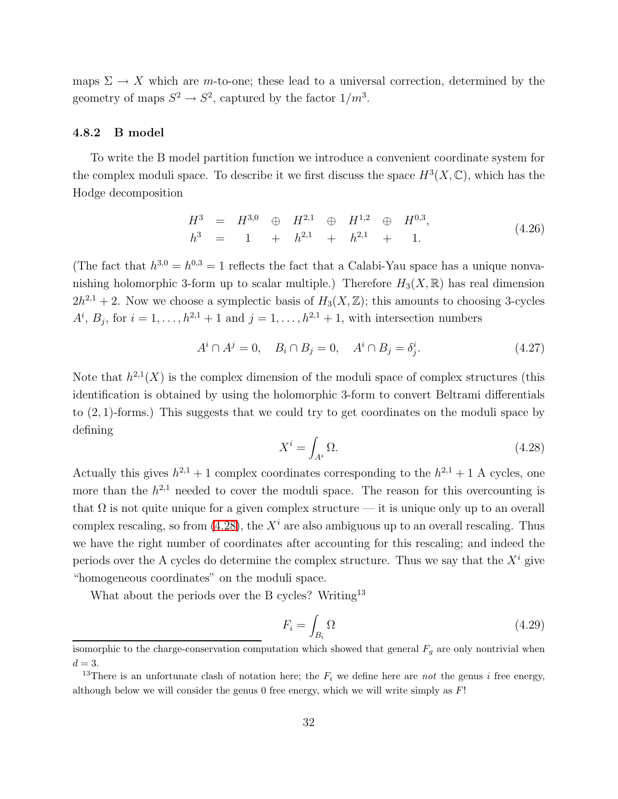maps  $\Sigma \to X$  which are m-to-one; these lead to a universal correction, determined by the geometry of maps  $S^2 \to S^2$ , captured by the factor  $1/m^3$ .

### <span id="page-32-0"></span>4.8.2 B model

To write the B model partition function we introduce a convenient coordinate system for the complex moduli space. To describe it we first discuss the space  $H^3(X, \mathbb{C})$ , which has the Hodge decomposition

$$
H^{3} = H^{3,0} \oplus H^{2,1} \oplus H^{1,2} \oplus H^{0,3},
$$
  
\n
$$
h^{3} = 1 + h^{2,1} + h^{2,1} + 1.
$$
\n(4.26)

(The fact that  $h^{3,0} = h^{0,3} = 1$  reflects the fact that a Calabi-Yau space has a unique nonvanishing holomorphic 3-form up to scalar multiple.) Therefore  $H_3(X,\mathbb{R})$  has real dimension  $2h^{2,1} + 2$ . Now we choose a symplectic basis of  $H_3(X, \mathbb{Z})$ ; this amounts to choosing 3-cycles  $A^i$ ,  $B_j$ , for  $i = 1, \ldots, h^{2,1} + 1$  and  $j = 1, \ldots, h^{2,1} + 1$ , with intersection numbers

$$
A^{i} \cap A^{j} = 0, \quad B_{i} \cap B_{j} = 0, \quad A^{i} \cap B_{j} = \delta_{j}^{i}.
$$
 (4.27)

<span id="page-32-1"></span>Note that  $h^{2,1}(X)$  is the complex dimension of the moduli space of complex structures (this identification is obtained by using the holomorphic 3-form to convert Beltrami differentials to (2, 1)-forms.) This suggests that we could try to get coordinates on the moduli space by defining

$$
X^i = \int_{A^i} \Omega. \tag{4.28}
$$

Actually this gives  $h^{2,1} + 1$  complex coordinates corresponding to the  $h^{2,1} + 1$  A cycles, one more than the  $h^{2,1}$  needed to cover the moduli space. The reason for this overcounting is that  $\Omega$  is not quite unique for a given complex structure — it is unique only up to an overall complex rescaling, so from [\(4.28\)](#page-32-1), the  $X<sup>i</sup>$  are also ambiguous up to an overall rescaling. Thus we have the right number of coordinates after accounting for this rescaling; and indeed the periods over the A cycles do determine the complex structure. Thus we say that the  $X^i$  give "homogeneous coordinates" on the moduli space.

What about the periods over the B cycles? Writing<sup>13</sup>

$$
F_i = \int_{B_i} \Omega \tag{4.29}
$$

isomorphic to the charge-conservation computation which showed that general  $F_g$  are only nontrivial when  $d=3$ .

<sup>&</sup>lt;sup>13</sup>There is an unfortunate clash of notation here; the  $F_i$  we define here are not the genus i free energy, although below we will consider the genus  $0$  free energy, which we will write simply as  $F!$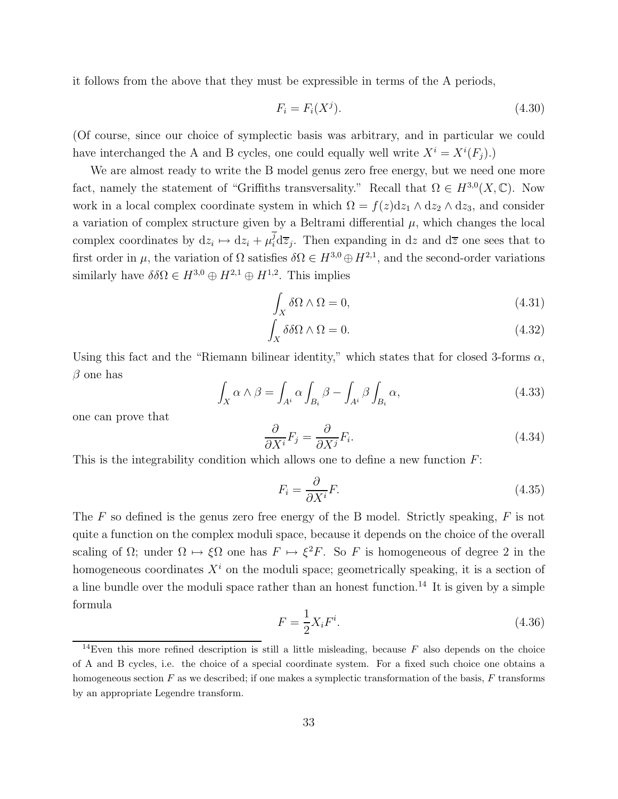it follows from the above that they must be expressible in terms of the A periods,

$$
F_i = F_i(X^j). \tag{4.30}
$$

(Of course, since our choice of symplectic basis was arbitrary, and in particular we could have interchanged the A and B cycles, one could equally well write  $X^i = X^i(F_j)$ .

We are almost ready to write the B model genus zero free energy, but we need one more fact, namely the statement of "Griffiths transversality." Recall that  $\Omega \in H^{3,0}(X,\mathbb{C})$ . Now work in a local complex coordinate system in which  $\Omega = f(z)dz_1 \wedge dz_2 \wedge dz_3$ , and consider a variation of complex structure given by a Beltrami differential  $\mu$ , which changes the local complex coordinates by  $dz_i \mapsto dz_i + \mu_i^j d\overline{z}_j$ . Then expanding in dz and  $d\overline{z}$  one sees that to first order in  $\mu$ , the variation of  $\Omega$  satisfies  $\delta \Omega \in H^{3,0} \oplus H^{2,1}$ , and the second-order variations similarly have  $\delta \delta \Omega \in H^{3,0} \oplus H^{2,1} \oplus H^{1,2}$ . This implies

$$
\int_{X} \delta\Omega \wedge \Omega = 0,\tag{4.31}
$$

$$
\int_{X} \delta \delta \Omega \wedge \Omega = 0. \tag{4.32}
$$

Using this fact and the "Riemann bilinear identity," which states that for closed 3-forms  $\alpha$ ,  $\beta$  one has

$$
\int_{X} \alpha \wedge \beta = \int_{A^i} \alpha \int_{B_i} \beta - \int_{A^i} \beta \int_{B_i} \alpha, \tag{4.33}
$$

one can prove that

$$
\frac{\partial}{\partial X^i} F_j = \frac{\partial}{\partial X^j} F_i.
$$
\n(4.34)

This is the integrability condition which allows one to define a new function  $F$ :

$$
F_i = \frac{\partial}{\partial X^i} F. \tag{4.35}
$$

The F so defined is the genus zero free energy of the B model. Strictly speaking,  $F$  is not quite a function on the complex moduli space, because it depends on the choice of the overall scaling of  $\Omega$ ; under  $\Omega \mapsto \xi \Omega$  one has  $F \mapsto \xi^2 F$ . So F is homogeneous of degree 2 in the homogeneous coordinates  $X^i$  on the moduli space; geometrically speaking, it is a section of a line bundle over the moduli space rather than an honest function.<sup>14</sup> It is given by a simple formula

$$
F = \frac{1}{2}X_i F^i. \tag{4.36}
$$

<sup>&</sup>lt;sup>14</sup>Even this more refined description is still a little misleading, because  $F$  also depends on the choice of A and B cycles, i.e. the choice of a special coordinate system. For a fixed such choice one obtains a homogeneous section  $F$  as we described; if one makes a symplectic transformation of the basis,  $F$  transforms by an appropriate Legendre transform.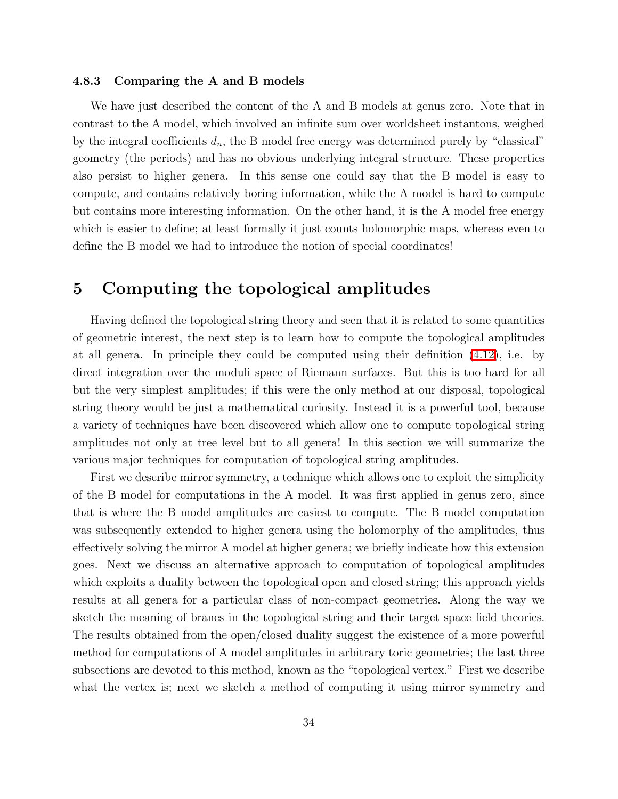#### <span id="page-34-0"></span>4.8.3 Comparing the A and B models

We have just described the content of the A and B models at genus zero. Note that in contrast to the A model, which involved an infinite sum over worldsheet instantons, weighed by the integral coefficients  $d_n$ , the B model free energy was determined purely by "classical" geometry (the periods) and has no obvious underlying integral structure. These properties also persist to higher genera. In this sense one could say that the B model is easy to compute, and contains relatively boring information, while the A model is hard to compute but contains more interesting information. On the other hand, it is the A model free energy which is easier to define; at least formally it just counts holomorphic maps, whereas even to define the B model we had to introduce the notion of special coordinates!

# <span id="page-34-1"></span>5 Computing the topological amplitudes

Having defined the topological string theory and seen that it is related to some quantities of geometric interest, the next step is to learn how to compute the topological amplitudes at all genera. In principle they could be computed using their definition [\(4.12\)](#page-26-1), i.e. by direct integration over the moduli space of Riemann surfaces. But this is too hard for all but the very simplest amplitudes; if this were the only method at our disposal, topological string theory would be just a mathematical curiosity. Instead it is a powerful tool, because a variety of techniques have been discovered which allow one to compute topological string amplitudes not only at tree level but to all genera! In this section we will summarize the various major techniques for computation of topological string amplitudes.

First we describe mirror symmetry, a technique which allows one to exploit the simplicity of the B model for computations in the A model. It was first applied in genus zero, since that is where the B model amplitudes are easiest to compute. The B model computation was subsequently extended to higher genera using the holomorphy of the amplitudes, thus effectively solving the mirror A model at higher genera; we briefly indicate how this extension goes. Next we discuss an alternative approach to computation of topological amplitudes which exploits a duality between the topological open and closed string; this approach yields results at all genera for a particular class of non-compact geometries. Along the way we sketch the meaning of branes in the topological string and their target space field theories. The results obtained from the open/closed duality suggest the existence of a more powerful method for computations of A model amplitudes in arbitrary toric geometries; the last three subsections are devoted to this method, known as the "topological vertex." First we describe what the vertex is; next we sketch a method of computing it using mirror symmetry and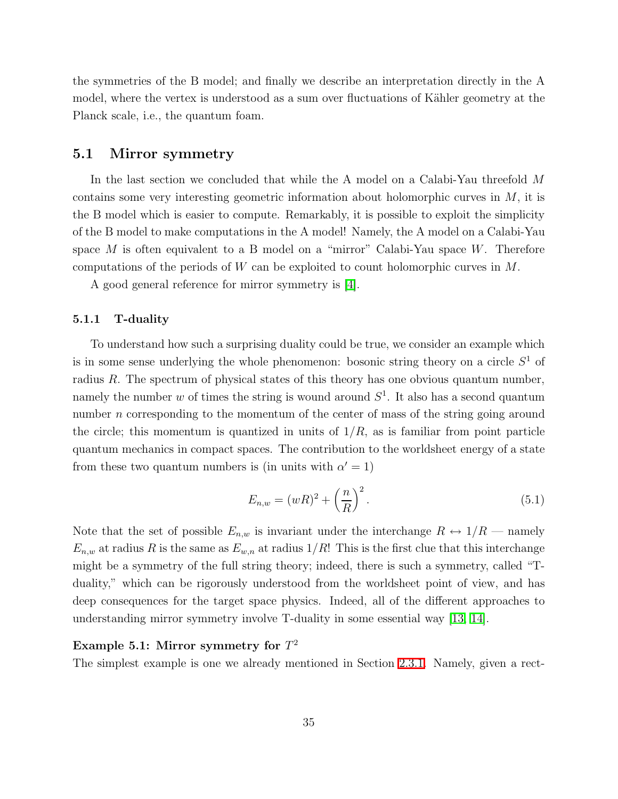the symmetries of the B model; and finally we describe an interpretation directly in the A model, where the vertex is understood as a sum over fluctuations of Kähler geometry at the Planck scale, i.e., the quantum foam.

### <span id="page-35-0"></span>5.1 Mirror symmetry

In the last section we concluded that while the A model on a Calabi-Yau threefold M contains some very interesting geometric information about holomorphic curves in M, it is the B model which is easier to compute. Remarkably, it is possible to exploit the simplicity of the B model to make computations in the A model! Namely, the A model on a Calabi-Yau space  $M$  is often equivalent to a B model on a "mirror" Calabi-Yau space  $W$ . Therefore computations of the periods of  $W$  can be exploited to count holomorphic curves in  $M$ .

A good general reference for mirror symmetry is [\[4\]](#page-76-3).

#### <span id="page-35-1"></span>5.1.1 T-duality

To understand how such a surprising duality could be true, we consider an example which is in some sense underlying the whole phenomenon: bosonic string theory on a circle  $S<sup>1</sup>$  of radius  $R$ . The spectrum of physical states of this theory has one obvious quantum number, namely the number w of times the string is wound around  $S<sup>1</sup>$ . It also has a second quantum number *n* corresponding to the momentum of the center of mass of the string going around the circle; this momentum is quantized in units of  $1/R$ , as is familiar from point particle quantum mechanics in compact spaces. The contribution to the worldsheet energy of a state from these two quantum numbers is (in units with  $\alpha' = 1$ )

$$
E_{n,w} = (wR)^2 + \left(\frac{n}{R}\right)^2.
$$
\n(5.1)

Note that the set of possible  $E_{n,w}$  is invariant under the interchange  $R \leftrightarrow 1/R$  — namely  $E_{n,w}$  at radius R is the same as  $E_{w,n}$  at radius  $1/R!$  This is the first clue that this interchange might be a symmetry of the full string theory; indeed, there is such a symmetry, called "Tduality," which can be rigorously understood from the worldsheet point of view, and has deep consequences for the target space physics. Indeed, all of the different approaches to understanding mirror symmetry involve T-duality in some essential way [\[13,](#page-77-6) [14\]](#page-77-7).

### Example 5.1: Mirror symmetry for  $T^2$

The simplest example is one we already mentioned in Section [2.3.1.](#page-5-2) Namely, given a rect-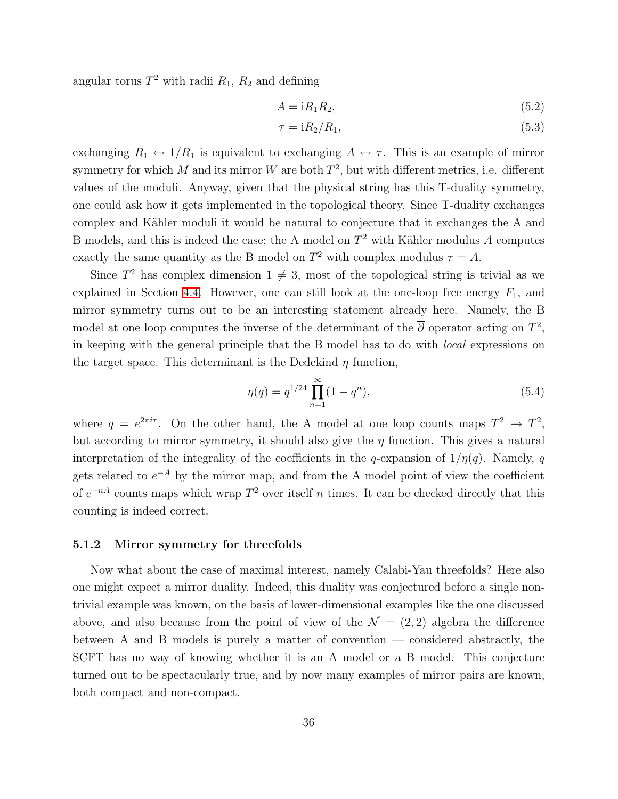angular torus  $T^2$  with radii  $R_1, R_2$  and defining

$$
A = iR_1R_2,\tag{5.2}
$$

$$
\tau = iR_2/R_1,\tag{5.3}
$$

exchanging  $R_1 \leftrightarrow 1/R_1$  is equivalent to exchanging  $A \leftrightarrow \tau$ . This is an example of mirror symmetry for which M and its mirror W are both  $T^2$ , but with different metrics, i.e. different values of the moduli. Anyway, given that the physical string has this T-duality symmetry, one could ask how it gets implemented in the topological theory. Since T-duality exchanges complex and Kähler moduli it would be natural to conjecture that it exchanges the A and B models, and this is indeed the case; the A model on  $T^2$  with Kähler modulus A computes exactly the same quantity as the B model on  $T^2$  with complex modulus  $\tau = A$ .

Since  $T^2$  has complex dimension  $1 \neq 3$ , most of the topological string is trivial as we explained in Section [4.4.](#page-27-0) However, one can still look at the one-loop free energy  $F_1$ , and mirror symmetry turns out to be an interesting statement already here. Namely, the B model at one loop computes the inverse of the determinant of the  $\overline{\partial}$  operator acting on  $T^2$ , in keeping with the general principle that the B model has to do with local expressions on the target space. This determinant is the Dedekind  $\eta$  function,

$$
\eta(q) = q^{1/24} \prod_{n=1}^{\infty} (1 - q^n),\tag{5.4}
$$

where  $q = e^{2\pi i \tau}$ . On the other hand, the A model at one loop counts maps  $T^2 \to T^2$ , but according to mirror symmetry, it should also give the  $\eta$  function. This gives a natural interpretation of the integrality of the coefficients in the q-expansion of  $1/\eta(q)$ . Namely, q gets related to  $e^{-A}$  by the mirror map, and from the A model point of view the coefficient of  $e^{-nA}$  counts maps which wrap  $T^2$  over itself n times. It can be checked directly that this counting is indeed correct.

#### 5.1.2 Mirror symmetry for threefolds

Now what about the case of maximal interest, namely Calabi-Yau threefolds? Here also one might expect a mirror duality. Indeed, this duality was conjectured before a single nontrivial example was known, on the basis of lower-dimensional examples like the one discussed above, and also because from the point of view of the  $\mathcal{N} = (2, 2)$  algebra the difference between A and B models is purely a matter of convention — considered abstractly, the SCFT has no way of knowing whether it is an A model or a B model. This conjecture turned out to be spectacularly true, and by now many examples of mirror pairs are known, both compact and non-compact.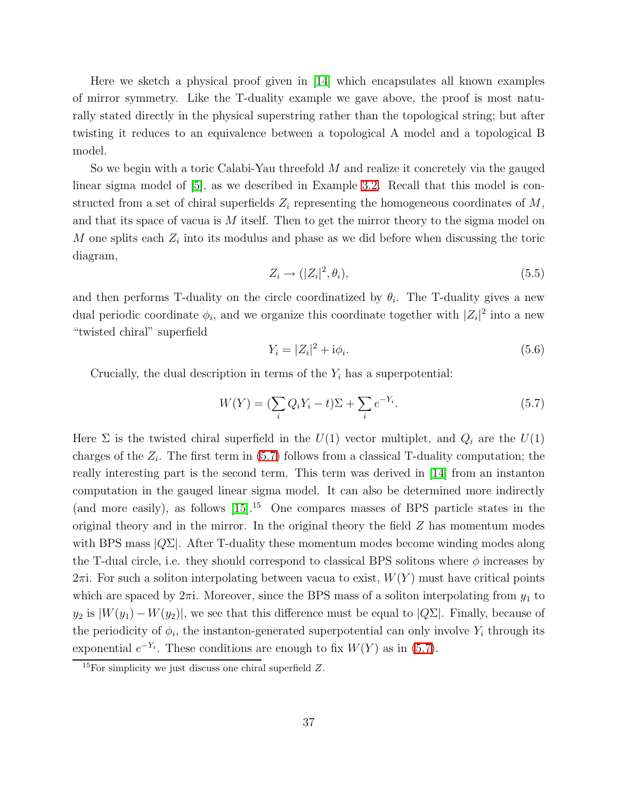Here we sketch a physical proof given in [\[14\]](#page-77-0) which encapsulates all known examples of mirror symmetry. Like the T-duality example we gave above, the proof is most naturally stated directly in the physical superstring rather than the topological string; but after twisting it reduces to an equivalence between a topological A model and a topological B model.

So we begin with a toric Calabi-Yau threefold M and realize it concretely via the gauged linear sigma model of [\[5\]](#page-76-0), as we described in Example [3.2.](#page-17-0) Recall that this model is constructed from a set of chiral superfields  $Z_i$  representing the homogeneous coordinates of  $M$ , and that its space of vacua is M itself. Then to get the mirror theory to the sigma model on  $M$  one splits each  $Z_i$  into its modulus and phase as we did before when discussing the toric diagram,

$$
Z_i \to (|Z_i|^2, \theta_i), \tag{5.5}
$$

and then performs T-duality on the circle coordinatized by  $\theta_i$ . The T-duality gives a new dual periodic coordinate  $\phi_i$ , and we organize this coordinate together with  $|Z_i|^2$  into a new "twisted chiral" superfield

<span id="page-37-0"></span>
$$
Y_i = |Z_i|^2 + \mathrm{i}\phi_i. \tag{5.6}
$$

Crucially, the dual description in terms of the  $Y_i$  has a superpotential:

$$
W(Y) = (\sum_{i} Q_i Y_i - t) \Sigma + \sum_{i} e^{-Y_i}.
$$
\n(5.7)

Here  $\Sigma$  is the twisted chiral superfield in the  $U(1)$  vector multiplet, and  $Q_i$  are the  $U(1)$ charges of the  $Z_i$ . The first term in [\(5.7\)](#page-37-0) follows from a classical T-duality computation; the really interesting part is the second term. This term was derived in [\[14\]](#page-77-0) from an instanton computation in the gauged linear sigma model. It can also be determined more indirectly (and more easily), as follows  $[15]$ <sup>15</sup> One compares masses of BPS particle states in the original theory and in the mirror. In the original theory the field Z has momentum modes with BPS mass  $|Q\Sigma|$ . After T-duality these momentum modes become winding modes along the T-dual circle, i.e. they should correspond to classical BPS solitons where  $\phi$  increases by  $2\pi$ i. For such a soliton interpolating between vacua to exist,  $W(Y)$  must have critical points which are spaced by  $2\pi i$ . Moreover, since the BPS mass of a soliton interpolating from  $y_1$  to  $y_2$  is  $|W(y_1) - W(y_2)|$ , we see that this difference must be equal to  $|Q\Sigma|$ . Finally, because of the periodicity of  $\phi_i$ , the instanton-generated superpotential can only involve  $Y_i$  through its exponential  $e^{-Y_i}$ . These conditions are enough to fix  $W(Y)$  as in [\(5.7\)](#page-37-0).

<sup>&</sup>lt;sup>15</sup>For simplicity we just discuss one chiral superfield  $Z$ .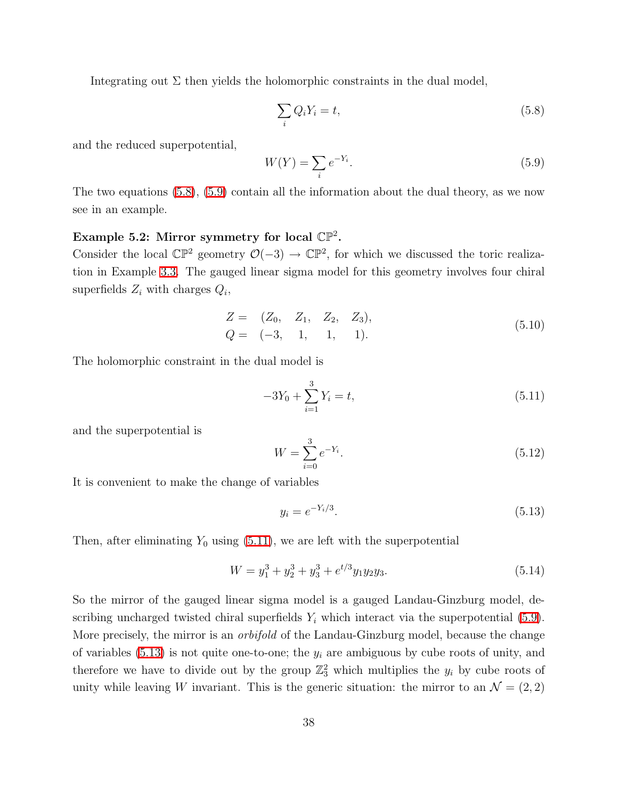<span id="page-38-1"></span>Integrating out  $\Sigma$  then yields the holomorphic constraints in the dual model,

<span id="page-38-0"></span>
$$
\sum_{i} Q_i Y_i = t,\tag{5.8}
$$

and the reduced superpotential,

$$
W(Y) = \sum_{i} e^{-Y_i}.
$$
\n(5.9)

The two equations [\(5.8\)](#page-38-0), [\(5.9\)](#page-38-1) contain all the information about the dual theory, as we now see in an example.

## Example 5.2: Mirror symmetry for local  $\mathbb{CP}^2$ .

Consider the local  $\mathbb{CP}^2$  geometry  $\mathcal{O}(-3) \to \mathbb{CP}^2$ , for which we discussed the toric realization in Example [3.3.](#page-19-0) The gauged linear sigma model for this geometry involves four chiral superfields  $Z_i$  with charges  $Q_i$ ,

<span id="page-38-2"></span>
$$
Z = (Z_0, Z_1, Z_2, Z_3), Q = (-3, 1, 1, 1).
$$
 (5.10)

The holomorphic constraint in the dual model is

$$
-3Y_0 + \sum_{i=1}^{3} Y_i = t,\t\t(5.11)
$$

and the superpotential is

<span id="page-38-3"></span>
$$
W = \sum_{i=0}^{3} e^{-Y_i}.
$$
\n(5.12)

It is convenient to make the change of variables

<span id="page-38-4"></span>
$$
y_i = e^{-Y_i/3}.\t\t(5.13)
$$

Then, after eliminating  $Y_0$  using [\(5.11\)](#page-38-2), we are left with the superpotential

$$
W = y_1^3 + y_2^3 + y_3^3 + e^{t/3}y_1y_2y_3.
$$
\n(5.14)

So the mirror of the gauged linear sigma model is a gauged Landau-Ginzburg model, describing uncharged twisted chiral superfields  $Y_i$  which interact via the superpotential [\(5.9\)](#page-38-1). More precisely, the mirror is an orbifold of the Landau-Ginzburg model, because the change of variables  $(5.13)$  is not quite one-to-one; the  $y_i$  are ambiguous by cube roots of unity, and therefore we have to divide out by the group  $\mathbb{Z}_3^2$  which multiplies the  $y_i$  by cube roots of unity while leaving W invariant. This is the generic situation: the mirror to an  $\mathcal{N} = (2, 2)$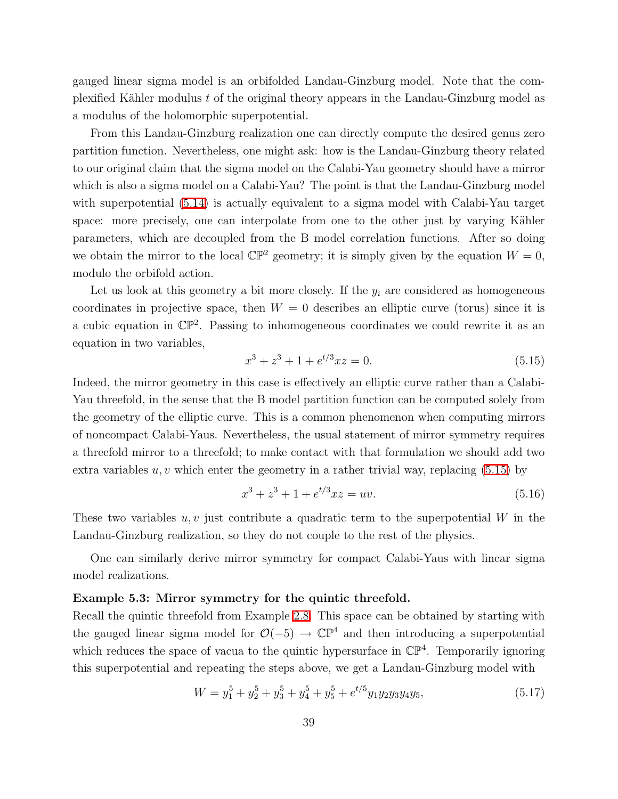gauged linear sigma model is an orbifolded Landau-Ginzburg model. Note that the complexified K¨ahler modulus t of the original theory appears in the Landau-Ginzburg model as a modulus of the holomorphic superpotential.

From this Landau-Ginzburg realization one can directly compute the desired genus zero partition function. Nevertheless, one might ask: how is the Landau-Ginzburg theory related to our original claim that the sigma model on the Calabi-Yau geometry should have a mirror which is also a sigma model on a Calabi-Yau? The point is that the Landau-Ginzburg model with superpotential [\(5.14\)](#page-38-4) is actually equivalent to a sigma model with Calabi-Yau target space: more precisely, one can interpolate from one to the other just by varying Kähler parameters, which are decoupled from the B model correlation functions. After so doing we obtain the mirror to the local  $\mathbb{CP}^2$  geometry; it is simply given by the equation  $W = 0$ , modulo the orbifold action.

<span id="page-39-0"></span>Let us look at this geometry a bit more closely. If the  $y_i$  are considered as homogeneous coordinates in projective space, then  $W = 0$  describes an elliptic curve (torus) since it is a cubic equation in  $\mathbb{CP}^2$ . Passing to inhomogeneous coordinates we could rewrite it as an equation in two variables,

$$
x^3 + z^3 + 1 + e^{t/3}xz = 0.
$$
 (5.15)

Indeed, the mirror geometry in this case is effectively an elliptic curve rather than a Calabi-Yau threefold, in the sense that the B model partition function can be computed solely from the geometry of the elliptic curve. This is a common phenomenon when computing mirrors of noncompact Calabi-Yaus. Nevertheless, the usual statement of mirror symmetry requires a threefold mirror to a threefold; to make contact with that formulation we should add two extra variables  $u, v$  which enter the geometry in a rather trivial way, replacing [\(5.15\)](#page-39-0) by

$$
x^3 + z^3 + 1 + e^{t/3}xz = uv.
$$
\n(5.16)

These two variables  $u, v$  just contribute a quadratic term to the superpotential W in the Landau-Ginzburg realization, so they do not couple to the rest of the physics.

One can similarly derive mirror symmetry for compact Calabi-Yaus with linear sigma model realizations.

#### Example 5.3: Mirror symmetry for the quintic threefold.

Recall the quintic threefold from Example [2.8.](#page-11-0) This space can be obtained by starting with the gauged linear sigma model for  $\mathcal{O}(-5) \to \mathbb{CP}^4$  and then introducing a superpotential which reduces the space of vacua to the quintic hypersurface in  $\mathbb{CP}^4$ . Temporarily ignoring this superpotential and repeating the steps above, we get a Landau-Ginzburg model with

$$
W = y_1^5 + y_2^5 + y_3^5 + y_4^5 + y_5^5 + e^{t/5}y_1y_2y_3y_4y_5,
$$
\n
$$
(5.17)
$$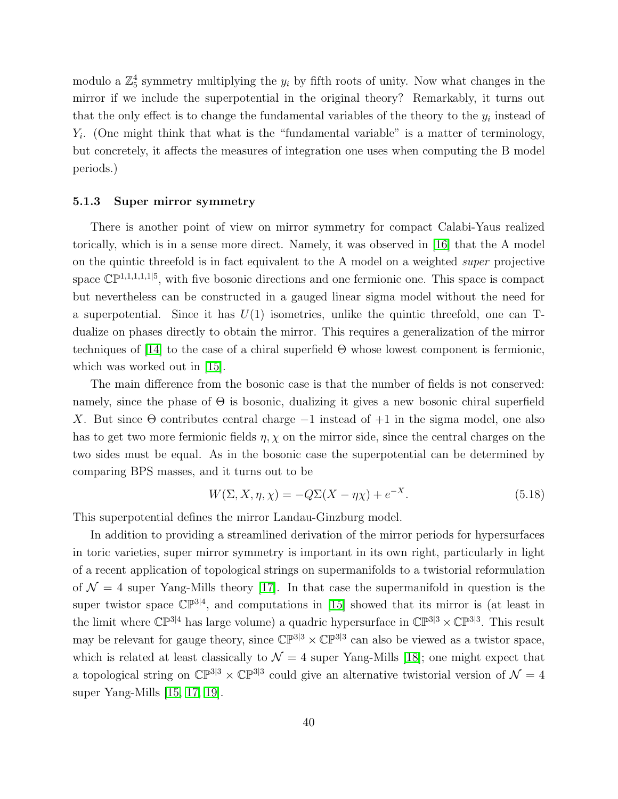modulo a  $\mathbb{Z}_5^4$  symmetry multiplying the  $y_i$  by fifth roots of unity. Now what changes in the mirror if we include the superpotential in the original theory? Remarkably, it turns out that the only effect is to change the fundamental variables of the theory to the  $y_i$  instead of  $Y_i$ . (One might think that what is the "fundamental variable" is a matter of terminology, but concretely, it affects the measures of integration one uses when computing the B model periods.)

#### 5.1.3 Super mirror symmetry

There is another point of view on mirror symmetry for compact Calabi-Yaus realized torically, which is in a sense more direct. Namely, it was observed in [\[16\]](#page-77-2) that the A model on the quintic threefold is in fact equivalent to the A model on a weighted super projective space  $\mathbb{CP}^{1,1,1,1,1\vert5}$ , with five bosonic directions and one fermionic one. This space is compact but nevertheless can be constructed in a gauged linear sigma model without the need for a superpotential. Since it has  $U(1)$  isometries, unlike the quintic threefold, one can Tdualize on phases directly to obtain the mirror. This requires a generalization of the mirror techniques of [\[14\]](#page-77-0) to the case of a chiral superfield  $\Theta$  whose lowest component is fermionic, which was worked out in [\[15\]](#page-77-1).

The main difference from the bosonic case is that the number of fields is not conserved: namely, since the phase of  $\Theta$  is bosonic, dualizing it gives a new bosonic chiral superfield X. But since  $\Theta$  contributes central charge  $-1$  instead of  $+1$  in the sigma model, one also has to get two more fermionic fields  $\eta$ ,  $\chi$  on the mirror side, since the central charges on the two sides must be equal. As in the bosonic case the superpotential can be determined by comparing BPS masses, and it turns out to be

$$
W(\Sigma, X, \eta, \chi) = -Q\Sigma(X - \eta\chi) + e^{-X}.
$$
\n(5.18)

This superpotential defines the mirror Landau-Ginzburg model.

In addition to providing a streamlined derivation of the mirror periods for hypersurfaces in toric varieties, super mirror symmetry is important in its own right, particularly in light of a recent application of topological strings on supermanifolds to a twistorial reformulation of  $\mathcal{N} = 4$  super Yang-Mills theory [\[17\]](#page-77-3). In that case the supermanifold in question is the super twistor space  $\mathbb{CP}^{3|4}$ , and computations in [\[15\]](#page-77-1) showed that its mirror is (at least in the limit where  $\mathbb{CP}^{3|4}$  has large volume) a quadric hypersurface in  $\mathbb{CP}^{3|3} \times \mathbb{CP}^{3|3}$ . This result may be relevant for gauge theory, since  $\mathbb{CP}^{3|3} \times \mathbb{CP}^{3|3}$  can also be viewed as a twistor space, which is related at least classically to  $\mathcal{N} = 4$  super Yang-Mills [\[18\]](#page-77-4); one might expect that a topological string on  $\mathbb{CP}^{3|3} \times \mathbb{CP}^{3|3}$  could give an alternative twistorial version of  $\mathcal{N}=4$ super Yang-Mills [\[15,](#page-77-1) [17,](#page-77-3) [19\]](#page-77-5).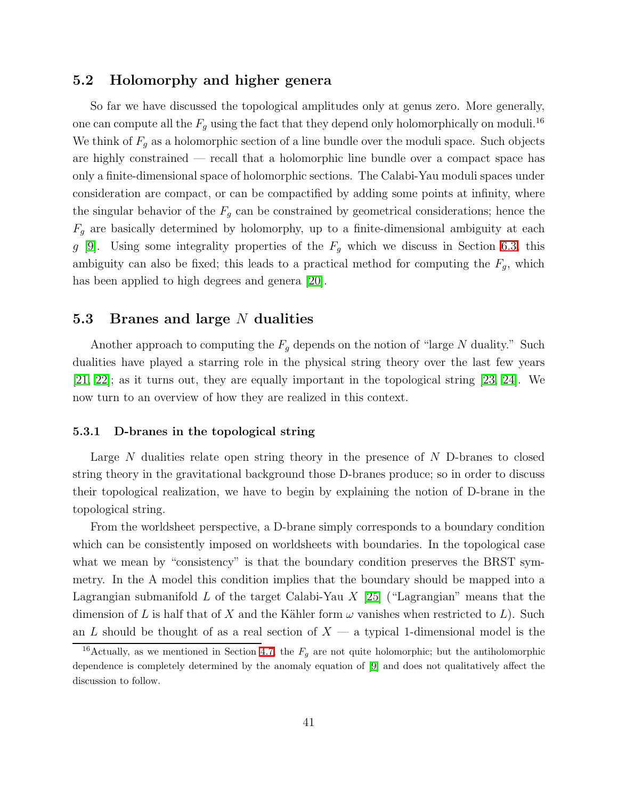## 5.2 Holomorphy and higher genera

So far we have discussed the topological amplitudes only at genus zero. More generally, one can compute all the  $F_q$  using the fact that they depend only holomorphically on moduli.<sup>16</sup> We think of  $F<sub>g</sub>$  as a holomorphic section of a line bundle over the moduli space. Such objects are highly constrained — recall that a holomorphic line bundle over a compact space has only a finite-dimensional space of holomorphic sections. The Calabi-Yau moduli spaces under consideration are compact, or can be compactified by adding some points at infinity, where the singular behavior of the  $F<sub>g</sub>$  can be constrained by geometrical considerations; hence the  $F_g$  are basically determined by holomorphy, up to a finite-dimensional ambiguity at each g [\[9\]](#page-77-6). Using some integrality properties of the  $F<sub>g</sub>$  which we discuss in Section [6.3,](#page-64-0) this ambiguity can also be fixed; this leads to a practical method for computing the  $F_g$ , which has been applied to high degrees and genera [\[20\]](#page-77-7).

#### 5.3 Branes and large N dualities

Another approach to computing the  $F_g$  depends on the notion of "large N duality." Such dualities have played a starring role in the physical string theory over the last few years [\[21,](#page-77-8) [22\]](#page-77-9); as it turns out, they are equally important in the topological string [\[23,](#page-77-10) [24\]](#page-78-0). We now turn to an overview of how they are realized in this context.

#### <span id="page-41-0"></span>5.3.1 D-branes in the topological string

Large N dualities relate open string theory in the presence of N D-branes to closed string theory in the gravitational background those D-branes produce; so in order to discuss their topological realization, we have to begin by explaining the notion of D-brane in the topological string.

From the worldsheet perspective, a D-brane simply corresponds to a boundary condition which can be consistently imposed on worldsheets with boundaries. In the topological case what we mean by "consistency" is that the boundary condition preserves the BRST symmetry. In the A model this condition implies that the boundary should be mapped into a Lagrangian submanifold L of the target Calabi-Yau X [\[25\]](#page-78-1) ("Lagrangian" means that the dimension of L is half that of X and the Kähler form  $\omega$  vanishes when restricted to L). Such an L should be thought of as a real section of  $X$  — a typical 1-dimensional model is the

<sup>&</sup>lt;sup>16</sup>Actually, as we mentioned in Section [4.7,](#page-30-0) the  $F<sub>g</sub>$  are not quite holomorphic; but the antiholomorphic dependence is completely determined by the anomaly equation of [\[9\]](#page-77-6) and does not qualitatively affect the discussion to follow.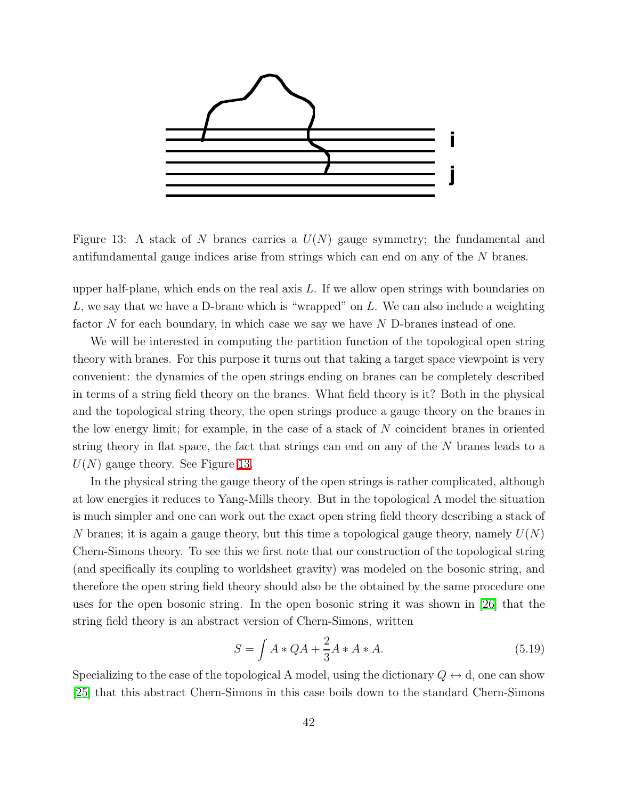

<span id="page-42-0"></span>Figure 13: A stack of N branes carries a  $U(N)$  gauge symmetry; the fundamental and antifundamental gauge indices arise from strings which can end on any of the N branes.

upper half-plane, which ends on the real axis  $L$ . If we allow open strings with boundaries on L, we say that we have a D-brane which is "wrapped" on  $L$ . We can also include a weighting factor N for each boundary, in which case we say we have N D-branes instead of one.

We will be interested in computing the partition function of the topological open string theory with branes. For this purpose it turns out that taking a target space viewpoint is very convenient: the dynamics of the open strings ending on branes can be completely described in terms of a string field theory on the branes. What field theory is it? Both in the physical and the topological string theory, the open strings produce a gauge theory on the branes in the low energy limit; for example, in the case of a stack of N coincident branes in oriented string theory in flat space, the fact that strings can end on any of the  $N$  branes leads to a  $U(N)$  gauge theory. See Figure [13.](#page-42-0)

In the physical string the gauge theory of the open strings is rather complicated, although at low energies it reduces to Yang-Mills theory. But in the topological A model the situation is much simpler and one can work out the exact open string field theory describing a stack of N branes; it is again a gauge theory, but this time a topological gauge theory, namely  $U(N)$ Chern-Simons theory. To see this we first note that our construction of the topological string (and specifically its coupling to worldsheet gravity) was modeled on the bosonic string, and therefore the open string field theory should also be the obtained by the same procedure one uses for the open bosonic string. In the open bosonic string it was shown in [\[26\]](#page-78-2) that the string field theory is an abstract version of Chern-Simons, written

$$
S = \int A \ast QA + \frac{2}{3}A \ast A \ast A. \tag{5.19}
$$

Specializing to the case of the topological A model, using the dictionary  $Q \leftrightarrow d$ , one can show [\[25\]](#page-78-1) that this abstract Chern-Simons in this case boils down to the standard Chern-Simons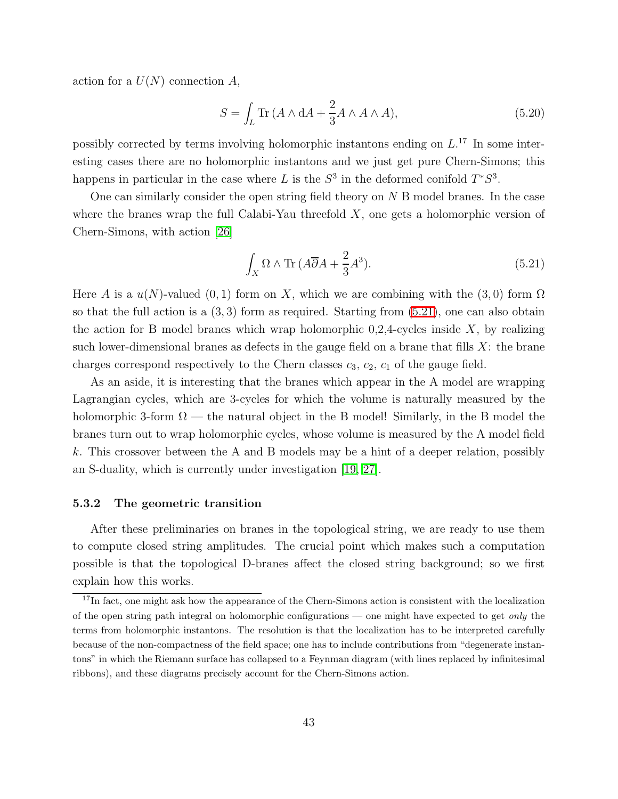action for a  $U(N)$  connection A,

$$
S = \int_{L} \text{Tr} \left( A \wedge \mathrm{d}A + \frac{2}{3} A \wedge A \wedge A \right), \tag{5.20}
$$

possibly corrected by terms involving holomorphic instantons ending on  $L^{17}$  In some interesting cases there are no holomorphic instantons and we just get pure Chern-Simons; this happens in particular in the case where L is the  $S^3$  in the deformed conifold  $T^*S^3$ .

<span id="page-43-0"></span>One can similarly consider the open string field theory on  $N$  B model branes. In the case where the branes wrap the full Calabi-Yau threefold  $X$ , one gets a holomorphic version of Chern-Simons, with action [\[26\]](#page-78-2)

$$
\int_{X} \Omega \wedge \text{Tr} \, (A \overline{\partial} A + \frac{2}{3} A^3). \tag{5.21}
$$

Here A is a  $u(N)$ -valued  $(0, 1)$  form on X, which we are combining with the  $(3, 0)$  form  $\Omega$ so that the full action is a  $(3,3)$  form as required. Starting from  $(5.21)$ , one can also obtain the action for B model branes which wrap holomorphic  $0.2,4$ -cycles inside X, by realizing such lower-dimensional branes as defects in the gauge field on a brane that fills  $X$ : the brane charges correspond respectively to the Chern classes  $c_3, c_2, c_1$  of the gauge field.

As an aside, it is interesting that the branes which appear in the A model are wrapping Lagrangian cycles, which are 3-cycles for which the volume is naturally measured by the holomorphic 3-form  $\Omega$  — the natural object in the B model! Similarly, in the B model the branes turn out to wrap holomorphic cycles, whose volume is measured by the A model field k. This crossover between the A and B models may be a hint of a deeper relation, possibly an S-duality, which is currently under investigation [\[19,](#page-77-5) [27\]](#page-78-3).

#### <span id="page-43-1"></span>5.3.2 The geometric transition

After these preliminaries on branes in the topological string, we are ready to use them to compute closed string amplitudes. The crucial point which makes such a computation possible is that the topological D-branes affect the closed string background; so we first explain how this works.

<sup>&</sup>lt;sup>17</sup>In fact, one might ask how the appearance of the Chern-Simons action is consistent with the localization of the open string path integral on holomorphic configurations — one might have expected to get only the terms from holomorphic instantons. The resolution is that the localization has to be interpreted carefully because of the non-compactness of the field space; one has to include contributions from "degenerate instantons" in which the Riemann surface has collapsed to a Feynman diagram (with lines replaced by infinitesimal ribbons), and these diagrams precisely account for the Chern-Simons action.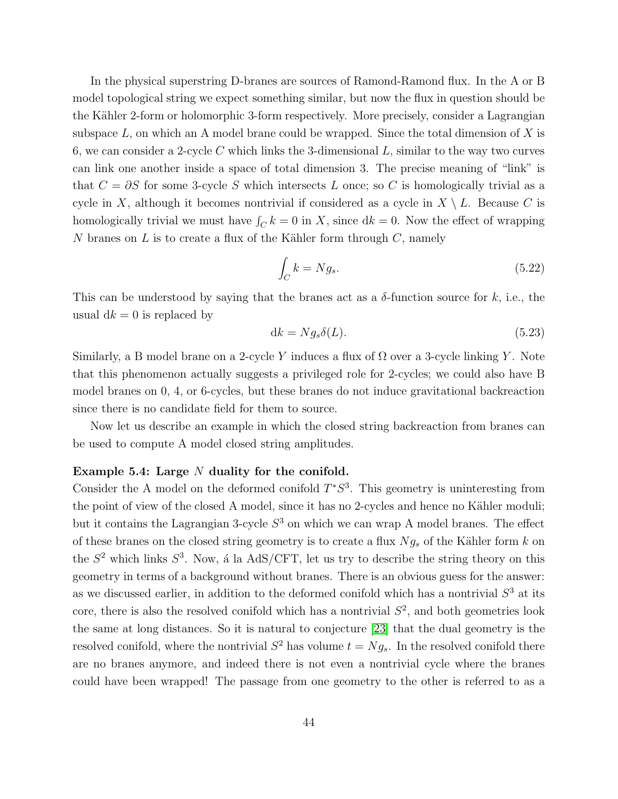In the physical superstring D-branes are sources of Ramond-Ramond flux. In the A or B model topological string we expect something similar, but now the flux in question should be the Kähler 2-form or holomorphic 3-form respectively. More precisely, consider a Lagrangian subspace  $L$ , on which an A model brane could be wrapped. Since the total dimension of  $X$  is 6, we can consider a 2-cycle C which links the 3-dimensional  $L$ , similar to the way two curves can link one another inside a space of total dimension 3. The precise meaning of "link" is that  $C = \partial S$  for some 3-cycle S which intersects L once; so C is homologically trivial as a cycle in X, although it becomes nontrivial if considered as a cycle in  $X \setminus L$ . Because C is homologically trivial we must have  $\int_C k = 0$  in X, since  $dk = 0$ . Now the effect of wrapping N branes on L is to create a flux of the Kähler form through  $C$ , namely

$$
\int_C k = Ng_s. \tag{5.22}
$$

This can be understood by saying that the branes act as a  $\delta$ -function source for k, i.e., the usual  $dk = 0$  is replaced by

$$
dk = Ng_s \delta(L). \tag{5.23}
$$

Similarly, a B model brane on a 2-cycle Y induces a flux of  $\Omega$  over a 3-cycle linking Y. Note that this phenomenon actually suggests a privileged role for 2-cycles; we could also have B model branes on 0, 4, or 6-cycles, but these branes do not induce gravitational backreaction since there is no candidate field for them to source.

Now let us describe an example in which the closed string backreaction from branes can be used to compute A model closed string amplitudes.

#### Example 5.4: Large N duality for the conifold.

Consider the A model on the deformed conifold  $T^*S^3$ . This geometry is uninteresting from the point of view of the closed A model, since it has no 2-cycles and hence no Kähler moduli; but it contains the Lagrangian 3-cycle  $S<sup>3</sup>$  on which we can wrap A model branes. The effect of these branes on the closed string geometry is to create a flux  $Ng_s$  of the Kähler form k on the  $S^2$  which links  $S^3$ . Now, a la AdS/CFT, let us try to describe the string theory on this geometry in terms of a background without branes. There is an obvious guess for the answer: as we discussed earlier, in addition to the deformed conifold which has a nontrivial  $S<sup>3</sup>$  at its core, there is also the resolved conifold which has a nontrivial  $S^2$ , and both geometries look the same at long distances. So it is natural to conjecture [\[23\]](#page-77-10) that the dual geometry is the resolved conifold, where the nontrivial  $S^2$  has volume  $t = Ng_s$ . In the resolved conifold there are no branes anymore, and indeed there is not even a nontrivial cycle where the branes could have been wrapped! The passage from one geometry to the other is referred to as a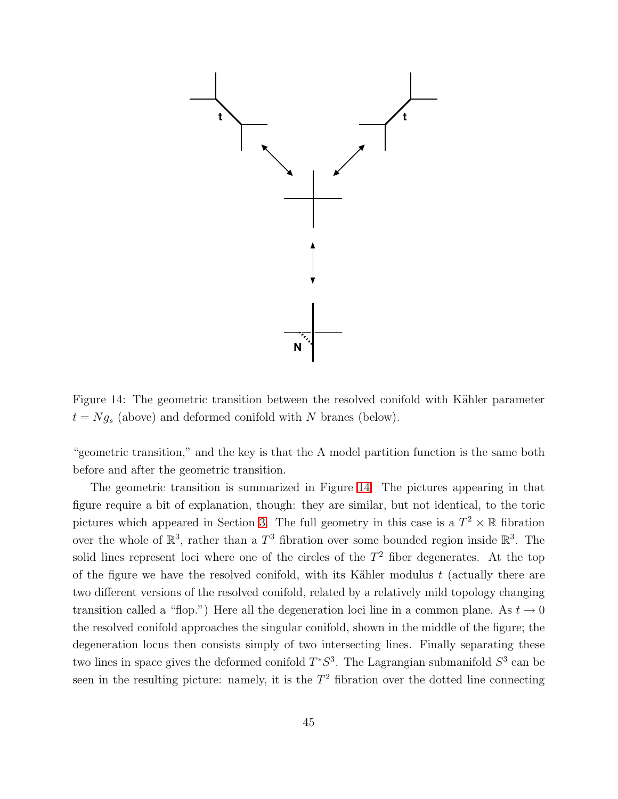

<span id="page-45-0"></span>Figure 14: The geometric transition between the resolved conifold with Kähler parameter  $t = Ng_s$  (above) and deformed conifold with N branes (below).

"geometric transition," and the key is that the A model partition function is the same both before and after the geometric transition.

The geometric transition is summarized in Figure [14.](#page-45-0) The pictures appearing in that figure require a bit of explanation, though: they are similar, but not identical, to the toric pictures which appeared in Section [3.](#page-16-0) The full geometry in this case is a  $T^2 \times \mathbb{R}$  fibration over the whole of  $\mathbb{R}^3$ , rather than a  $T^3$  fibration over some bounded region inside  $\mathbb{R}^3$ . The solid lines represent loci where one of the circles of the  $T<sup>2</sup>$  fiber degenerates. At the top of the figure we have the resolved conifold, with its Kähler modulus  $t$  (actually there are two different versions of the resolved conifold, related by a relatively mild topology changing transition called a "flop.") Here all the degeneration loci line in a common plane. As  $t \to 0$ the resolved conifold approaches the singular conifold, shown in the middle of the figure; the degeneration locus then consists simply of two intersecting lines. Finally separating these two lines in space gives the deformed conifold  $T^*S^3$ . The Lagrangian submanifold  $S^3$  can be seen in the resulting picture: namely, it is the  $T<sup>2</sup>$  fibration over the dotted line connecting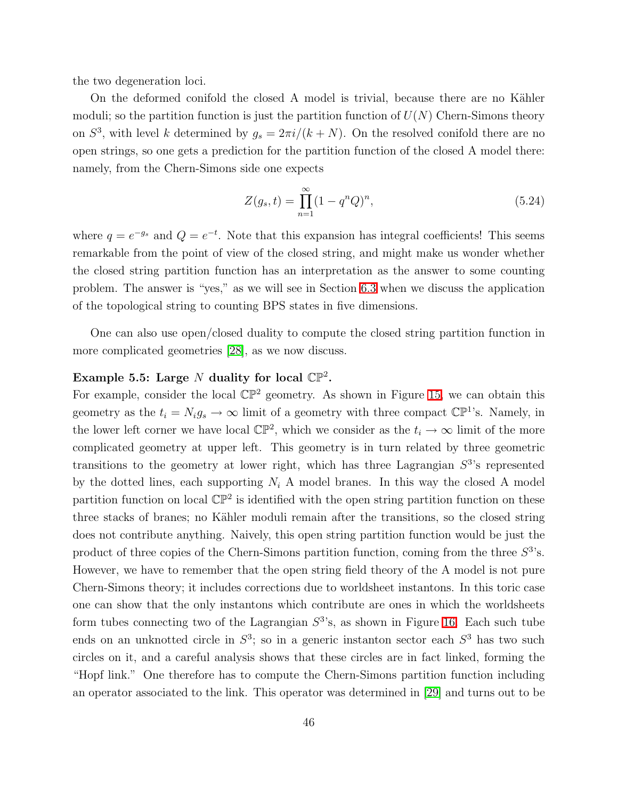the two degeneration loci.

On the deformed conifold the closed A model is trivial, because there are no Kähler moduli; so the partition function is just the partition function of  $U(N)$  Chern-Simons theory on  $S^3$ , with level k determined by  $g_s = 2\pi i/(k+N)$ . On the resolved conifold there are no open strings, so one gets a prediction for the partition function of the closed A model there: namely, from the Chern-Simons side one expects

$$
Z(g_s, t) = \prod_{n=1}^{\infty} (1 - q^n Q)^n,
$$
\n(5.24)

where  $q = e^{-g_s}$  and  $Q = e^{-t}$ . Note that this expansion has integral coefficients! This seems remarkable from the point of view of the closed string, and might make us wonder whether the closed string partition function has an interpretation as the answer to some counting problem. The answer is "yes," as we will see in Section [6.3](#page-64-0) when we discuss the application of the topological string to counting BPS states in five dimensions.

One can also use open/closed duality to compute the closed string partition function in more complicated geometries [\[28\]](#page-78-4), as we now discuss.

## Example 5.5: Large N duality for local  $\mathbb{CP}^2$ .

For example, consider the local  $\mathbb{CP}^2$  geometry. As shown in Figure [15,](#page-47-0) we can obtain this geometry as the  $t_i = N_i g_s \to \infty$  limit of a geometry with three compact  $\mathbb{CP}^1$ 's. Namely, in the lower left corner we have local  $\mathbb{CP}^2$ , which we consider as the  $t_i \to \infty$  limit of the more complicated geometry at upper left. This geometry is in turn related by three geometric transitions to the geometry at lower right, which has three Lagrangian  $S<sup>3</sup>$ 's represented by the dotted lines, each supporting  $N_i$  A model branes. In this way the closed A model partition function on local  $\mathbb{CP}^2$  is identified with the open string partition function on these three stacks of branes; no Kähler moduli remain after the transitions, so the closed string does not contribute anything. Naively, this open string partition function would be just the product of three copies of the Chern-Simons partition function, coming from the three  $S^3$ 's. However, we have to remember that the open string field theory of the A model is not pure Chern-Simons theory; it includes corrections due to worldsheet instantons. In this toric case one can show that the only instantons which contribute are ones in which the worldsheets form tubes connecting two of the Lagrangian  $S<sup>3</sup>$ 's, as shown in Figure [16.](#page-48-0) Each such tube ends on an unknotted circle in  $S^3$ ; so in a generic instanton sector each  $S^3$  has two such circles on it, and a careful analysis shows that these circles are in fact linked, forming the "Hopf link." One therefore has to compute the Chern-Simons partition function including an operator associated to the link. This operator was determined in [\[29\]](#page-78-5) and turns out to be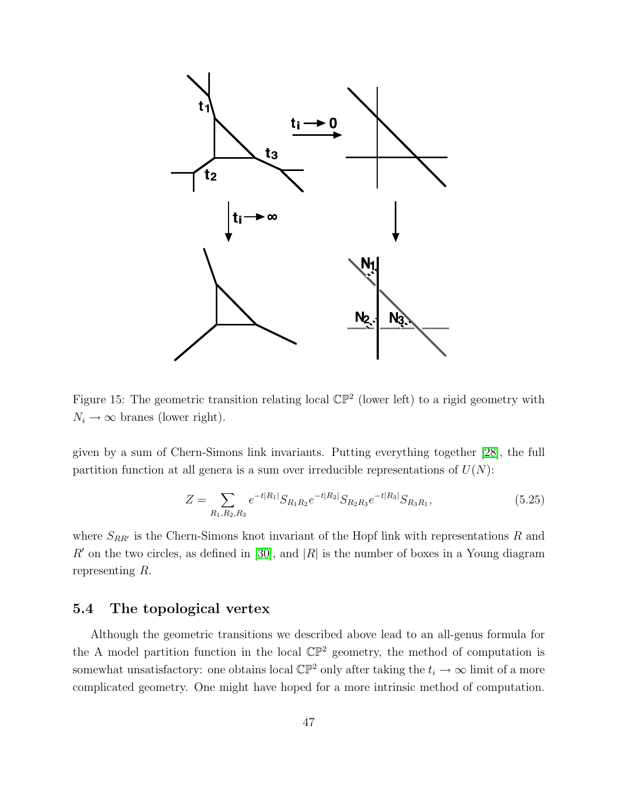

<span id="page-47-0"></span>Figure 15: The geometric transition relating local  $\mathbb{CP}^2$  (lower left) to a rigid geometry with  $N_i \rightarrow \infty$  branes (lower right).

given by a sum of Chern-Simons link invariants. Putting everything together [\[28\]](#page-78-4), the full partition function at all genera is a sum over irreducible representations of  $U(N)$ :

$$
Z = \sum_{R_1, R_2, R_3} e^{-t|R_1|} S_{R_1 R_2} e^{-t|R_2|} S_{R_2 R_3} e^{-t|R_3|} S_{R_3 R_1},
$$
\n(5.25)

where  $S_{RR'}$  is the Chern-Simons knot invariant of the Hopf link with representations R and  $R'$  on the two circles, as defined in [\[30\]](#page-78-6), and |R| is the number of boxes in a Young diagram representing R.

## 5.4 The topological vertex

Although the geometric transitions we described above lead to an all-genus formula for the A model partition function in the local  $\mathbb{CP}^2$  geometry, the method of computation is somewhat unsatisfactory: one obtains local  $\mathbb{CP}^2$  only after taking the  $t_i \to \infty$  limit of a more complicated geometry. One might have hoped for a more intrinsic method of computation.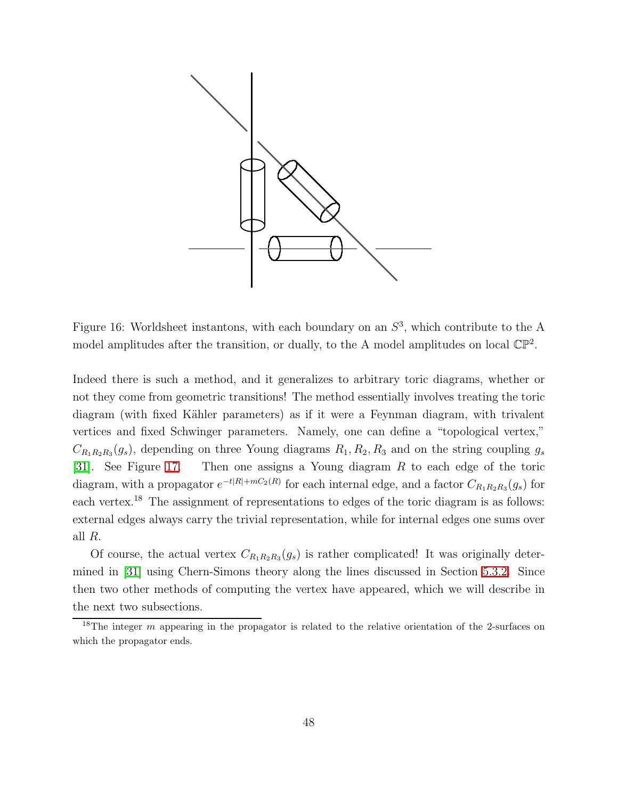

<span id="page-48-0"></span>Figure 16: Worldsheet instantons, with each boundary on an  $S<sup>3</sup>$ , which contribute to the A model amplitudes after the transition, or dually, to the A model amplitudes on local  $\mathbb{CP}^2$ .

Indeed there is such a method, and it generalizes to arbitrary toric diagrams, whether or not they come from geometric transitions! The method essentially involves treating the toric diagram (with fixed Kähler parameters) as if it were a Feynman diagram, with trivalent vertices and fixed Schwinger parameters. Namely, one can define a "topological vertex,"  $C_{R_1R_2R_3}(g_s)$ , depending on three Young diagrams  $R_1, R_2, R_3$  and on the string coupling  $g_s$ [\[31\]](#page-78-7). See Figure [17.](#page-49-0) Then one assigns a Young diagram R to each edge of the toric diagram, with a propagator  $e^{-t|R|+mC_2(R)}$  for each internal edge, and a factor  $C_{R_1R_2R_3}(g_s)$  for each vertex.<sup>18</sup> The assignment of representations to edges of the toric diagram is as follows: external edges always carry the trivial representation, while for internal edges one sums over all R.

Of course, the actual vertex  $C_{R_1R_2R_3}(g_s)$  is rather complicated! It was originally determined in [\[31\]](#page-78-7) using Chern-Simons theory along the lines discussed in Section [5.3.2.](#page-43-1) Since then two other methods of computing the vertex have appeared, which we will describe in the next two subsections.

<sup>&</sup>lt;sup>18</sup>The integer m appearing in the propagator is related to the relative orientation of the 2-surfaces on which the propagator ends.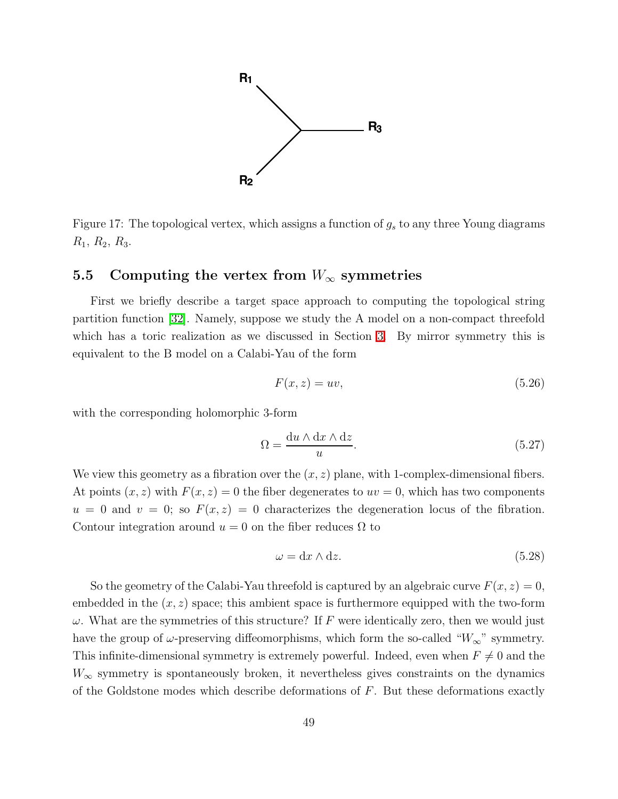

<span id="page-49-0"></span>Figure 17: The topological vertex, which assigns a function of  $g_s$  to any three Young diagrams  $R_1, R_2, R_3.$ 

## 5.5 Computing the vertex from  $W_{\infty}$  symmetries

First we briefly describe a target space approach to computing the topological string partition function [\[32\]](#page-78-8). Namely, suppose we study the A model on a non-compact threefold which has a toric realization as we discussed in Section [3.](#page-16-0) By mirror symmetry this is equivalent to the B model on a Calabi-Yau of the form

$$
F(x, z) = uv,\t\t(5.26)
$$

with the corresponding holomorphic 3-form

$$
\Omega = \frac{\mathrm{d}u \wedge \mathrm{d}x \wedge \mathrm{d}z}{u}.\tag{5.27}
$$

We view this geometry as a fibration over the  $(x, z)$  plane, with 1-complex-dimensional fibers. At points  $(x, z)$  with  $F(x, z) = 0$  the fiber degenerates to  $uv = 0$ , which has two components  $u = 0$  and  $v = 0$ ; so  $F(x, z) = 0$  characterizes the degeneration locus of the fibration. Contour integration around  $u = 0$  on the fiber reduces  $\Omega$  to

$$
\omega = dx \wedge dz. \tag{5.28}
$$

So the geometry of the Calabi-Yau threefold is captured by an algebraic curve  $F(x, z) = 0$ , embedded in the  $(x, z)$  space; this ambient space is furthermore equipped with the two-form  $\omega$ . What are the symmetries of this structure? If F were identically zero, then we would just have the group of  $\omega$ -preserving diffeomorphisms, which form the so-called " $W_{\infty}$ " symmetry. This infinite-dimensional symmetry is extremely powerful. Indeed, even when  $F \neq 0$  and the  $W_{\infty}$  symmetry is spontaneously broken, it nevertheless gives constraints on the dynamics of the Goldstone modes which describe deformations of  $F$ . But these deformations exactly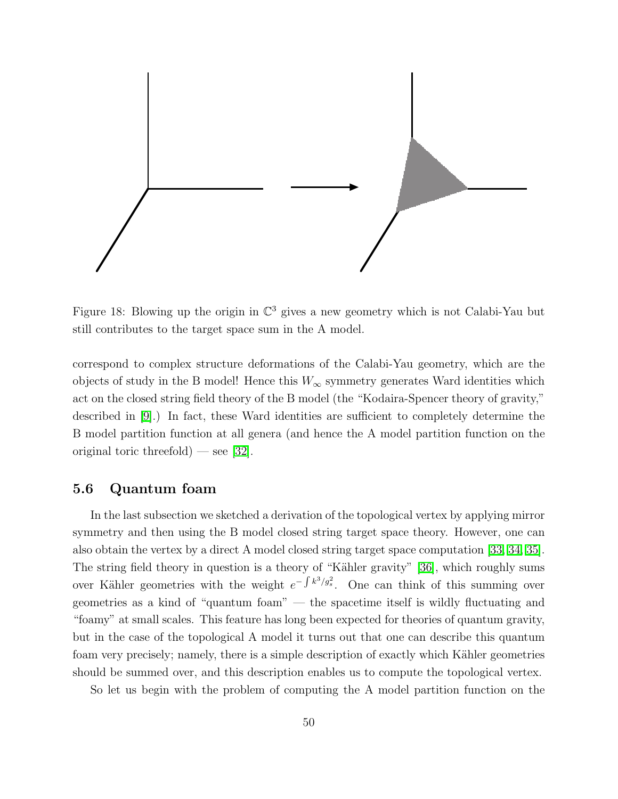

<span id="page-50-0"></span>Figure 18: Blowing up the origin in  $\mathbb{C}^3$  gives a new geometry which is not Calabi-Yau but still contributes to the target space sum in the A model.

correspond to complex structure deformations of the Calabi-Yau geometry, which are the objects of study in the B model! Hence this  $W_{\infty}$  symmetry generates Ward identities which act on the closed string field theory of the B model (the "Kodaira-Spencer theory of gravity," described in [\[9\]](#page-77-6).) In fact, these Ward identities are sufficient to completely determine the B model partition function at all genera (and hence the A model partition function on the original toric threefold) — see [\[32\]](#page-78-8).

### 5.6 Quantum foam

In the last subsection we sketched a derivation of the topological vertex by applying mirror symmetry and then using the B model closed string target space theory. However, one can also obtain the vertex by a direct A model closed string target space computation [\[33,](#page-78-9) [34,](#page-78-10) [35\]](#page-78-11). The string field theory in question is a theory of "Kähler gravity" [\[36\]](#page-78-12), which roughly sums over Kähler geometries with the weight  $e^{-\int k^3/g_s^2}$ . One can think of this summing over geometries as a kind of "quantum foam" — the spacetime itself is wildly fluctuating and "foamy" at small scales. This feature has long been expected for theories of quantum gravity, but in the case of the topological A model it turns out that one can describe this quantum foam very precisely; namely, there is a simple description of exactly which Kähler geometries should be summed over, and this description enables us to compute the topological vertex.

So let us begin with the problem of computing the A model partition function on the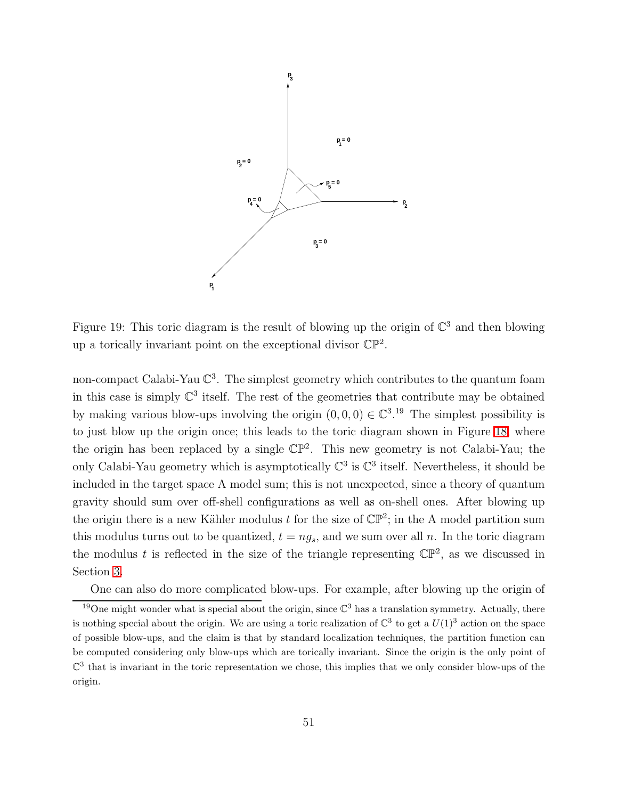

<span id="page-51-0"></span>Figure 19: This toric diagram is the result of blowing up the origin of  $\mathbb{C}^3$  and then blowing up a torically invariant point on the exceptional divisor  $\mathbb{CP}^2$ .

non-compact Calabi-Yau  $\mathbb{C}^3$ . The simplest geometry which contributes to the quantum foam in this case is simply  $\mathbb{C}^3$  itself. The rest of the geometries that contribute may be obtained by making various blow-ups involving the origin  $(0,0,0) \in \mathbb{C}^{3.19}$  The simplest possibility is to just blow up the origin once; this leads to the toric diagram shown in Figure [18,](#page-50-0) where the origin has been replaced by a single  $\mathbb{CP}^2$ . This new geometry is not Calabi-Yau; the only Calabi-Yau geometry which is asymptotically  $\mathbb{C}^3$  is  $\mathbb{C}^3$  itself. Nevertheless, it should be included in the target space A model sum; this is not unexpected, since a theory of quantum gravity should sum over off-shell configurations as well as on-shell ones. After blowing up the origin there is a new Kähler modulus t for the size of  $\mathbb{CP}^2$ ; in the A model partition sum this modulus turns out to be quantized,  $t = ng_s$ , and we sum over all n. In the toric diagram the modulus t is reflected in the size of the triangle representing  $\mathbb{CP}^2$ , as we discussed in Section [3.](#page-16-0)

One can also do more complicated blow-ups. For example, after blowing up the origin of

<sup>&</sup>lt;sup>19</sup>One might wonder what is special about the origin, since  $\mathbb{C}^3$  has a translation symmetry. Actually, there is nothing special about the origin. We are using a toric realization of  $\mathbb{C}^3$  to get a  $U(1)^3$  action on the space of possible blow-ups, and the claim is that by standard localization techniques, the partition function can be computed considering only blow-ups which are torically invariant. Since the origin is the only point of  $\mathbb{C}^3$  that is invariant in the toric representation we chose, this implies that we only consider blow-ups of the origin.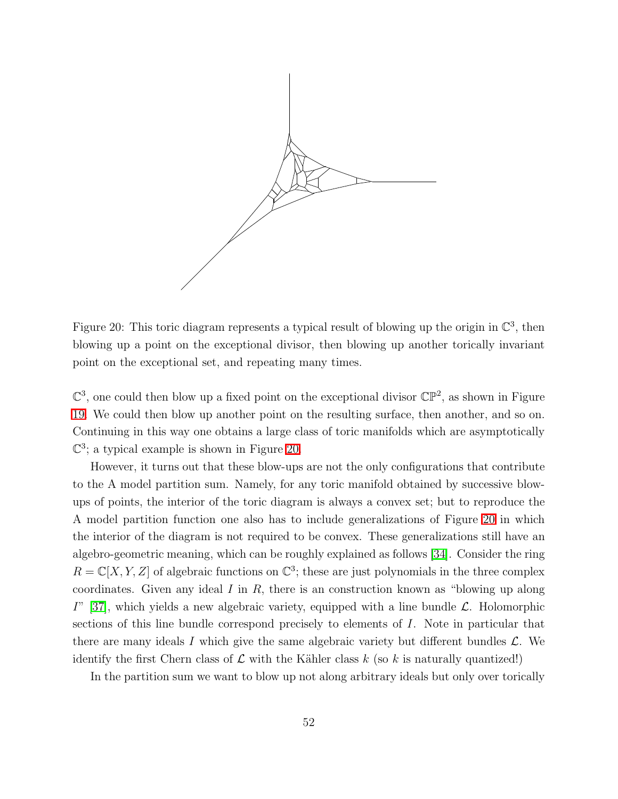

<span id="page-52-0"></span>Figure 20: This toric diagram represents a typical result of blowing up the origin in  $\mathbb{C}^3$ , then blowing up a point on the exceptional divisor, then blowing up another torically invariant point on the exceptional set, and repeating many times.

 $\mathbb{C}^3$ , one could then blow up a fixed point on the exceptional divisor  $\mathbb{CP}^2$ , as shown in Figure [19.](#page-51-0) We could then blow up another point on the resulting surface, then another, and so on. Continuing in this way one obtains a large class of toric manifolds which are asymptotically  $\mathbb{C}^3$ ; a typical example is shown in Figure [20.](#page-52-0)

However, it turns out that these blow-ups are not the only configurations that contribute to the A model partition sum. Namely, for any toric manifold obtained by successive blowups of points, the interior of the toric diagram is always a convex set; but to reproduce the A model partition function one also has to include generalizations of Figure [20](#page-52-0) in which the interior of the diagram is not required to be convex. These generalizations still have an algebro-geometric meaning, which can be roughly explained as follows [\[34\]](#page-78-10). Consider the ring  $R = \mathbb{C}[X, Y, Z]$  of algebraic functions on  $\mathbb{C}^3$ ; these are just polynomials in the three complex coordinates. Given any ideal  $I$  in  $R$ , there is an construction known as "blowing up along  $I^{\prime\prime}$  [\[37\]](#page-78-13), which yields a new algebraic variety, equipped with a line bundle  $\mathcal{L}$ . Holomorphic sections of this line bundle correspond precisely to elements of I. Note in particular that there are many ideals I which give the same algebraic variety but different bundles  $\mathcal{L}$ . We identify the first Chern class of  $\mathcal L$  with the Kähler class k (so k is naturally quantized!)

In the partition sum we want to blow up not along arbitrary ideals but only over torically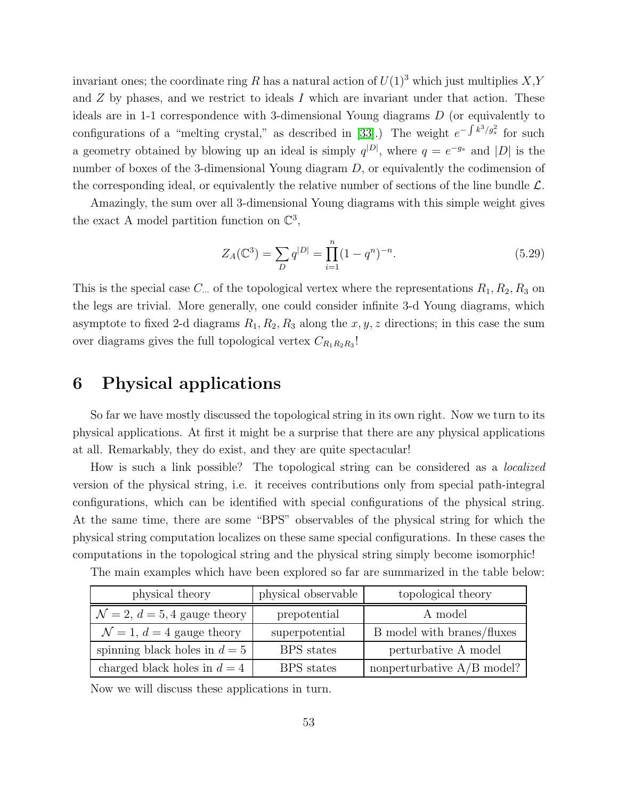invariant ones; the coordinate ring R has a natural action of  $U(1)^3$  which just multiplies X,Y and  $Z$  by phases, and we restrict to ideals  $I$  which are invariant under that action. These ideals are in 1-1 correspondence with 3-dimensional Young diagrams D (or equivalently to configurations of a "melting crystal," as described in [\[33\]](#page-78-9).) The weight  $e^{-\int k^3/g_s^2}$  for such a geometry obtained by blowing up an ideal is simply  $q^{|D|}$ , where  $q = e^{-g_s}$  and  $|D|$  is the number of boxes of the 3-dimensional Young diagram  $D$ , or equivalently the codimension of the corresponding ideal, or equivalently the relative number of sections of the line bundle  $\mathcal{L}$ .

Amazingly, the sum over all 3-dimensional Young diagrams with this simple weight gives the exact A model partition function on  $\mathbb{C}^3$ ,

$$
Z_A(\mathbb{C}^3) = \sum_D q^{|D|} = \prod_{i=1}^n (1 - q^n)^{-n}.
$$
 (5.29)

This is the special case C<sub> $\ldots$ </sub> of the topological vertex where the representations  $R_1, R_2, R_3$  on the legs are trivial. More generally, one could consider infinite 3-d Young diagrams, which asymptote to fixed 2-d diagrams  $R_1, R_2, R_3$  along the x, y, z directions; in this case the sum over diagrams gives the full topological vertex  $C_{R_1R_2R_3}!$ 

# 6 Physical applications

So far we have mostly discussed the topological string in its own right. Now we turn to its physical applications. At first it might be a surprise that there are any physical applications at all. Remarkably, they do exist, and they are quite spectacular!

How is such a link possible? The topological string can be considered as a localized version of the physical string, i.e. it receives contributions only from special path-integral configurations, which can be identified with special configurations of the physical string. At the same time, there are some "BPS" observables of the physical string for which the physical string computation localizes on these same special configurations. In these cases the computations in the topological string and the physical string simply become isomorphic!

| physical theory                          | physical observable | topological theory           |  |
|------------------------------------------|---------------------|------------------------------|--|
| $\mathcal{N} = 2, d = 5, 4$ gauge theory | prepotential        | A model                      |  |
| $\mathcal{N}=1, d=4$ gauge theory        | superpotential      | B model with branes/fluxes   |  |
| spinning black holes in $d=5$            | BPS states          | perturbative A model         |  |
| charged black holes in $d=4$             | BPS states          | nonperturbative $A/B$ model? |  |

The main examples which have been explored so far are summarized in the table below:

Now we will discuss these applications in turn.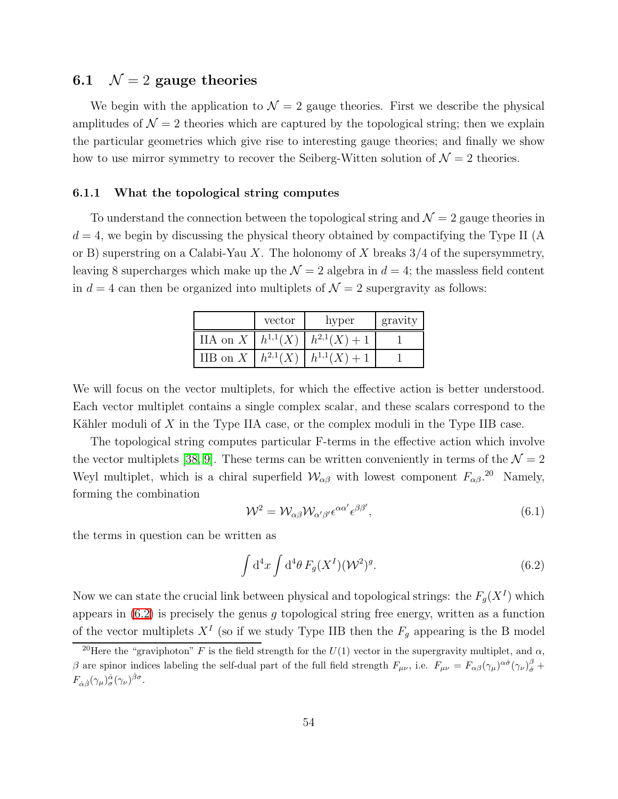# 6.1  $\mathcal{N} = 2$  gauge theories

We begin with the application to  $\mathcal{N} = 2$  gauge theories. First we describe the physical amplitudes of  $\mathcal{N} = 2$  theories which are captured by the topological string; then we explain the particular geometries which give rise to interesting gauge theories; and finally we show how to use mirror symmetry to recover the Seiberg-Witten solution of  $\mathcal{N}=2$  theories.

#### 6.1.1 What the topological string computes

To understand the connection between the topological string and  $\mathcal{N}=2$  gauge theories in  $d = 4$ , we begin by discussing the physical theory obtained by compactifying the Type II (A or B) superstring on a Calabi-Yau X. The holonomy of X breaks  $3/4$  of the supersymmetry, leaving 8 supercharges which make up the  $\mathcal{N} = 2$  algebra in  $d = 4$ ; the massless field content in  $d = 4$  can then be organized into multiplets of  $\mathcal{N} = 2$  supergravity as follows:

|            | vector       | hyper          | gravity |
|------------|--------------|----------------|---------|
| IIA on $X$ | $h^{1,1}(X)$ | $h^{2,1}(X)$   |         |
| IIB on $X$ | $h^{2,1}(X)$ | $h^{1,1}(X)$ - |         |

We will focus on the vector multiplets, for which the effective action is better understood. Each vector multiplet contains a single complex scalar, and these scalars correspond to the Kähler moduli of  $X$  in the Type IIA case, or the complex moduli in the Type IIB case.

The topological string computes particular F-terms in the effective action which involve the vector multiplets [\[38,](#page-78-14) [9\]](#page-77-6). These terms can be written conveniently in terms of the  $\mathcal{N}=2$ Weyl multiplet, which is a chiral superfield  $\mathcal{W}_{\alpha\beta}$  with lowest component  $F_{\alpha\beta}$ .<sup>20</sup> Namely, forming the combination

<span id="page-54-0"></span>
$$
W^2 = \mathcal{W}_{\alpha\beta} \mathcal{W}_{\alpha'\beta'} \epsilon^{\alpha\alpha'} \epsilon^{\beta\beta'}, \tag{6.1}
$$

the terms in question can be written as

$$
\int d^4x \int d^4\theta F_g(X^I)(\mathcal{W}^2)^g.
$$
\n(6.2)

Now we can state the crucial link between physical and topological strings: the  $F_g(X^I)$  which appears in  $(6.2)$  is precisely the genus g topological string free energy, written as a function of the vector multiplets  $X<sup>I</sup>$  (so if we study Type IIB then the  $F<sub>g</sub>$  appearing is the B model

<sup>&</sup>lt;sup>20</sup>Here the "graviphoton" F is the field strength for the  $U(1)$  vector in the supergravity multiplet, and  $\alpha$ , β are spinor indices labeling the self-dual part of the full field strength  $F_{\mu\nu}$ , i.e.  $F_{\mu\nu} = F_{\alpha\beta}(\gamma_{\mu})^{\alpha\dot{\sigma}}(\gamma_{\nu})^{\beta}_{\dot{\sigma}} +$  $F_{\dot{\alpha}\dot{\beta}}(\gamma_{\mu})_{\sigma}^{\dot{\alpha}}(\gamma_{\nu})^{\dot{\beta}\sigma}.$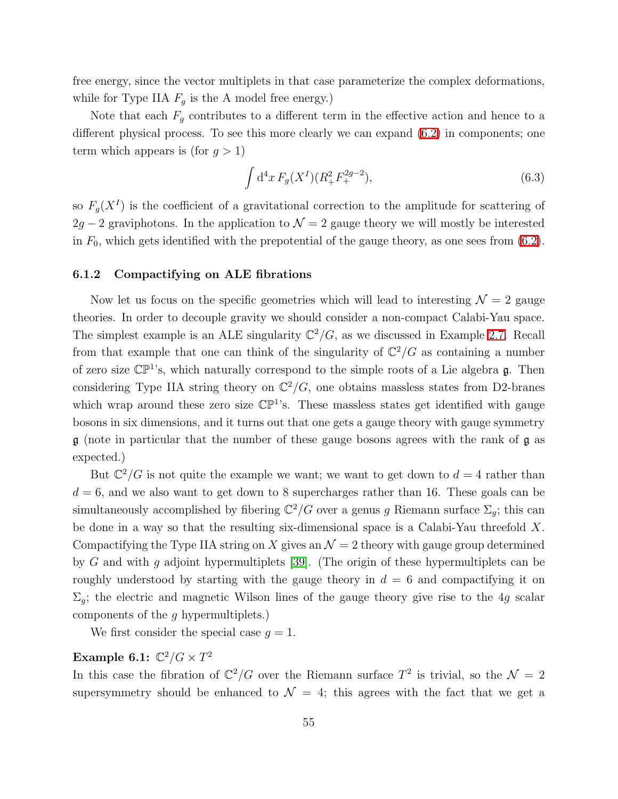free energy, since the vector multiplets in that case parameterize the complex deformations, while for Type IIA  $F<sub>g</sub>$  is the A model free energy.)

Note that each  $F_g$  contributes to a different term in the effective action and hence to a different physical process. To see this more clearly we can expand [\(6.2\)](#page-54-0) in components; one term which appears is (for  $q > 1$ )

$$
\int d^4x F_g(X^I)(R_+^2 + F_+^{2g-2}), \tag{6.3}
$$

so  $F_g(X^I)$  is the coefficient of a gravitational correction to the amplitude for scattering of 2g − 2 graviphotons. In the application to  $\mathcal{N} = 2$  gauge theory we will mostly be interested in  $F_0$ , which gets identified with the prepotential of the gauge theory, as one sees from [\(6.2\)](#page-54-0).

#### 6.1.2 Compactifying on ALE fibrations

Now let us focus on the specific geometries which will lead to interesting  $\mathcal{N} = 2$  gauge theories. In order to decouple gravity we should consider a non-compact Calabi-Yau space. The simplest example is an ALE singularity  $\mathbb{C}^2/G$ , as we discussed in Example [2.7.](#page-9-0) Recall from that example that one can think of the singularity of  $\mathbb{C}^2/G$  as containing a number of zero size  $\mathbb{CP}^1$ 's, which naturally correspond to the simple roots of a Lie algebra  $\mathfrak{g}$ . Then considering Type IIA string theory on  $\mathbb{C}^2/G$ , one obtains massless states from D2-branes which wrap around these zero size  $\mathbb{CP}^{1}$ 's. These massless states get identified with gauge bosons in six dimensions, and it turns out that one gets a gauge theory with gauge symmetry  $\mathfrak g$  (note in particular that the number of these gauge bosons agrees with the rank of  $\mathfrak g$  as expected.)

But  $\mathbb{C}^2/G$  is not quite the example we want; we want to get down to  $d=4$  rather than  $d = 6$ , and we also want to get down to 8 supercharges rather than 16. These goals can be simultaneously accomplished by fibering  $\mathbb{C}^2/G$  over a genus g Riemann surface  $\Sigma_g$ ; this can be done in a way so that the resulting six-dimensional space is a Calabi-Yau threefold X. Compactifying the Type IIA string on X gives an  $\mathcal{N}=2$  theory with gauge group determined by G and with q adjoint hypermultiplets [\[39\]](#page-78-15). (The origin of these hypermultiplets can be roughly understood by starting with the gauge theory in  $d = 6$  and compactifying it on  $\Sigma_q$ ; the electric and magnetic Wilson lines of the gauge theory give rise to the 4g scalar components of the  $g$  hypermultiplets.)

We first consider the special case  $q = 1$ .

# Example 6.1:  $\mathbb{C}^2/G \times T^2$

In this case the fibration of  $\mathbb{C}^2/G$  over the Riemann surface  $T^2$  is trivial, so the  $\mathcal{N}=2$ supersymmetry should be enhanced to  $\mathcal{N} = 4$ ; this agrees with the fact that we get a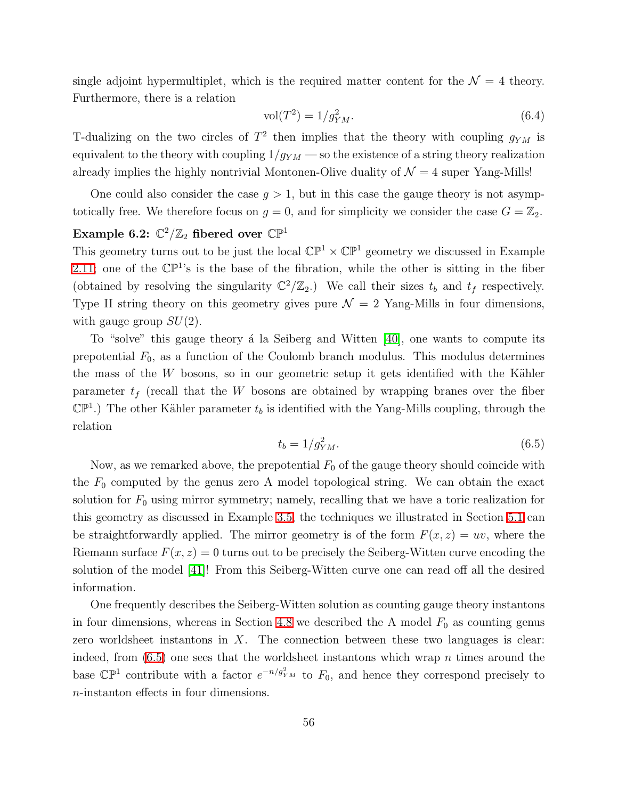single adjoint hypermultiplet, which is the required matter content for the  $\mathcal{N} = 4$  theory. Furthermore, there is a relation

$$
vol(T^2) = 1/g_{YM}^2.
$$
\n(6.4)

T-dualizing on the two circles of  $T^2$  then implies that the theory with coupling  $g_{YM}$  is equivalent to the theory with coupling  $1/g_{YM}$  — so the existence of a string theory realization already implies the highly nontrivial Montonen-Olive duality of  $\mathcal{N}=4$  super Yang-Mills!

One could also consider the case  $g > 1$ , but in this case the gauge theory is not asymptotically free. We therefore focus on  $g = 0$ , and for simplicity we consider the case  $G = \mathbb{Z}_2$ .

# Example 6.2:  $\mathbb{C}^2/\mathbb{Z}_2$  fibered over  $\mathbb{CP}^1$

This geometry turns out to be just the local  $\mathbb{CP}^1 \times \mathbb{CP}^1$  geometry we discussed in Example [2.11;](#page-12-0) one of the  $\mathbb{CP}^1$ 's is the base of the fibration, while the other is sitting in the fiber (obtained by resolving the singularity  $\mathbb{C}^2/\mathbb{Z}_2$ .) We call their sizes  $t_b$  and  $t_f$  respectively. Type II string theory on this geometry gives pure  $\mathcal{N} = 2$  Yang-Mills in four dimensions, with gauge group  $SU(2)$ .

To "solve" this gauge theory  $\acute{a}$  la Seiberg and Witten  $[40]$ , one wants to compute its prepotential  $F_0$ , as a function of the Coulomb branch modulus. This modulus determines the mass of the  $W$  bosons, so in our geometric setup it gets identified with the Kähler parameter  $t_f$  (recall that the W bosons are obtained by wrapping branes over the fiber  $\mathbb{CP}^1$ .) The other Kähler parameter  $t_b$  is identified with the Yang-Mills coupling, through the relation

$$
t_b = 1/g_{YM}^2. \tag{6.5}
$$

<span id="page-56-0"></span>Now, as we remarked above, the prepotential  $F_0$  of the gauge theory should coincide with the  $F_0$  computed by the genus zero A model topological string. We can obtain the exact solution for  $F_0$  using mirror symmetry; namely, recalling that we have a toric realization for this geometry as discussed in Example [3.5,](#page-21-0) the techniques we illustrated in Section [5.1](#page-35-0) can be straightforwardly applied. The mirror geometry is of the form  $F(x, z) = uv$ , where the Riemann surface  $F(x, z) = 0$  turns out to be precisely the Seiberg-Witten curve encoding the solution of the model [\[41\]](#page-79-1)! From this Seiberg-Witten curve one can read off all the desired information.

One frequently describes the Seiberg-Witten solution as counting gauge theory instantons in four dimensions, whereas in Section [4.8](#page-30-1) we described the A model  $F_0$  as counting genus zero worldsheet instantons in  $X$ . The connection between these two languages is clear: indeed, from  $(6.5)$  one sees that the worldsheet instantons which wrap n times around the base  $\mathbb{CP}^1$  contribute with a factor  $e^{-n/g_{YM}^2}$  to  $F_0$ , and hence they correspond precisely to n-instanton effects in four dimensions.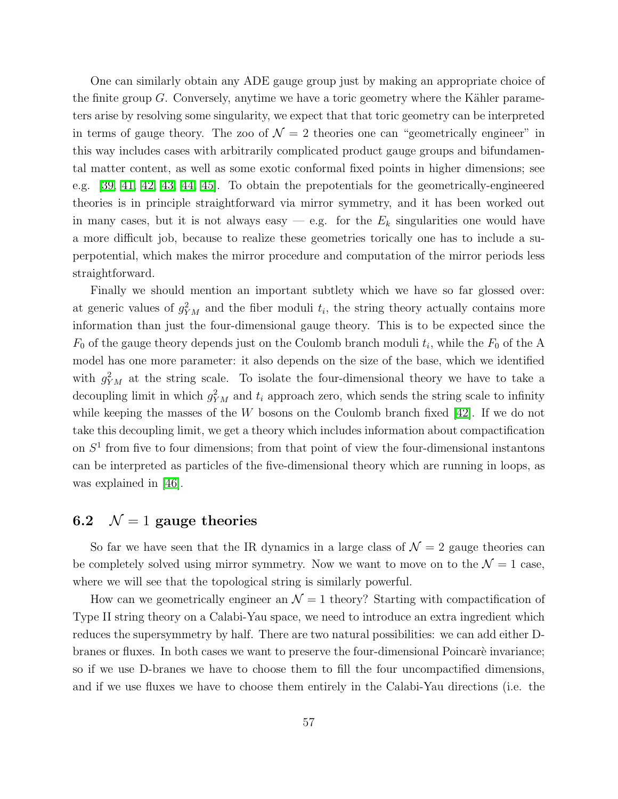One can similarly obtain any ADE gauge group just by making an appropriate choice of the finite group  $G$ . Conversely, anytime we have a toric geometry where the Kähler parameters arise by resolving some singularity, we expect that that toric geometry can be interpreted in terms of gauge theory. The zoo of  $\mathcal{N} = 2$  theories one can "geometrically engineer" in this way includes cases with arbitrarily complicated product gauge groups and bifundamental matter content, as well as some exotic conformal fixed points in higher dimensions; see e.g. [\[39,](#page-78-15) [41,](#page-79-1) [42,](#page-79-2) [43,](#page-79-3) [44,](#page-79-4) [45\]](#page-79-5). To obtain the prepotentials for the geometrically-engineered theories is in principle straightforward via mirror symmetry, and it has been worked out in many cases, but it is not always easy  $-$  e.g. for the  $E<sub>k</sub>$  singularities one would have a more difficult job, because to realize these geometries torically one has to include a superpotential, which makes the mirror procedure and computation of the mirror periods less straightforward.

Finally we should mention an important subtlety which we have so far glossed over: at generic values of  $g_{YM}^2$  and the fiber moduli  $t_i$ , the string theory actually contains more information than just the four-dimensional gauge theory. This is to be expected since the  $F_0$  of the gauge theory depends just on the Coulomb branch moduli  $t_i$ , while the  $F_0$  of the A model has one more parameter: it also depends on the size of the base, which we identified with  $g_{YM}^2$  at the string scale. To isolate the four-dimensional theory we have to take a decoupling limit in which  $g_{YM}^2$  and  $t_i$  approach zero, which sends the string scale to infinity while keeping the masses of the W bosons on the Coulomb branch fixed  $[42]$ . If we do not take this decoupling limit, we get a theory which includes information about compactification on  $S<sup>1</sup>$  from five to four dimensions; from that point of view the four-dimensional instantons can be interpreted as particles of the five-dimensional theory which are running in loops, as was explained in [\[46\]](#page-79-6).

## 6.2  $\mathcal{N} = 1$  gauge theories

So far we have seen that the IR dynamics in a large class of  $\mathcal{N}=2$  gauge theories can be completely solved using mirror symmetry. Now we want to move on to the  $\mathcal{N}=1$  case, where we will see that the topological string is similarly powerful.

How can we geometrically engineer an  $\mathcal{N}=1$  theory? Starting with compactification of Type II string theory on a Calabi-Yau space, we need to introduce an extra ingredient which reduces the supersymmetry by half. There are two natural possibilities: we can add either Dbranes or fluxes. In both cases we want to preserve the four-dimensional Poincaré invariance; so if we use D-branes we have to choose them to fill the four uncompactified dimensions, and if we use fluxes we have to choose them entirely in the Calabi-Yau directions (i.e. the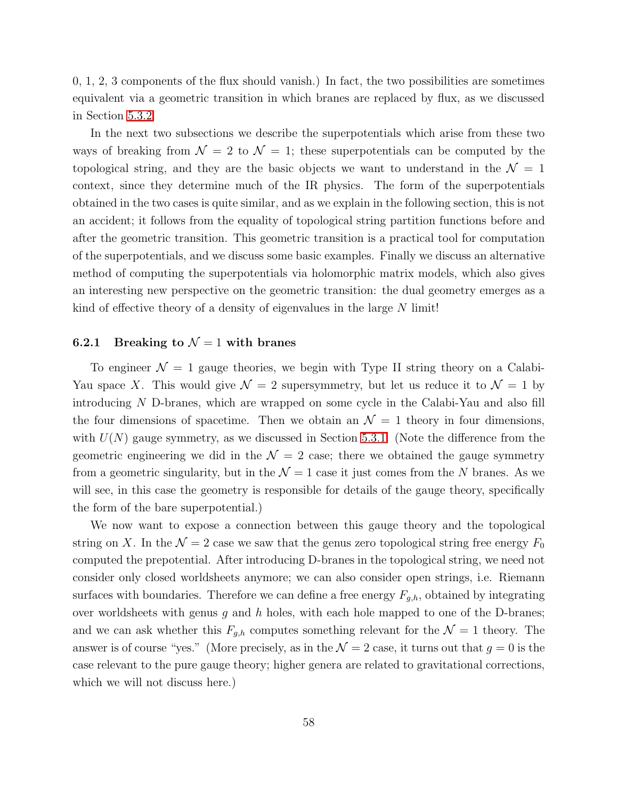0, 1, 2, 3 components of the flux should vanish.) In fact, the two possibilities are sometimes equivalent via a geometric transition in which branes are replaced by flux, as we discussed in Section [5.3.2.](#page-43-1)

In the next two subsections we describe the superpotentials which arise from these two ways of breaking from  $\mathcal{N} = 2$  to  $\mathcal{N} = 1$ ; these superpotentials can be computed by the topological string, and they are the basic objects we want to understand in the  $\mathcal{N} = 1$ context, since they determine much of the IR physics. The form of the superpotentials obtained in the two cases is quite similar, and as we explain in the following section, this is not an accident; it follows from the equality of topological string partition functions before and after the geometric transition. This geometric transition is a practical tool for computation of the superpotentials, and we discuss some basic examples. Finally we discuss an alternative method of computing the superpotentials via holomorphic matrix models, which also gives an interesting new perspective on the geometric transition: the dual geometry emerges as a kind of effective theory of a density of eigenvalues in the large  $N$  limit!

#### 6.2.1 Breaking to  $\mathcal{N}=1$  with branes

To engineer  $\mathcal{N} = 1$  gauge theories, we begin with Type II string theory on a Calabi-Yau space X. This would give  $\mathcal{N} = 2$  supersymmetry, but let us reduce it to  $\mathcal{N} = 1$  by introducing N D-branes, which are wrapped on some cycle in the Calabi-Yau and also fill the four dimensions of spacetime. Then we obtain an  $\mathcal{N}=1$  theory in four dimensions, with  $U(N)$  gauge symmetry, as we discussed in Section [5.3.1.](#page-41-0) (Note the difference from the geometric engineering we did in the  $\mathcal{N} = 2$  case; there we obtained the gauge symmetry from a geometric singularity, but in the  $\mathcal{N} = 1$  case it just comes from the N branes. As we will see, in this case the geometry is responsible for details of the gauge theory, specifically the form of the bare superpotential.)

We now want to expose a connection between this gauge theory and the topological string on X. In the  $\mathcal{N} = 2$  case we saw that the genus zero topological string free energy  $F_0$ computed the prepotential. After introducing D-branes in the topological string, we need not consider only closed worldsheets anymore; we can also consider open strings, i.e. Riemann surfaces with boundaries. Therefore we can define a free energy  $F_{g,h}$ , obtained by integrating over worldsheets with genus  $g$  and  $h$  holes, with each hole mapped to one of the D-branes; and we can ask whether this  $F_{g,h}$  computes something relevant for the  $\mathcal{N}=1$  theory. The answer is of course "yes." (More precisely, as in the  $\mathcal{N}=2$  case, it turns out that  $g=0$  is the case relevant to the pure gauge theory; higher genera are related to gravitational corrections, which we will not discuss here.)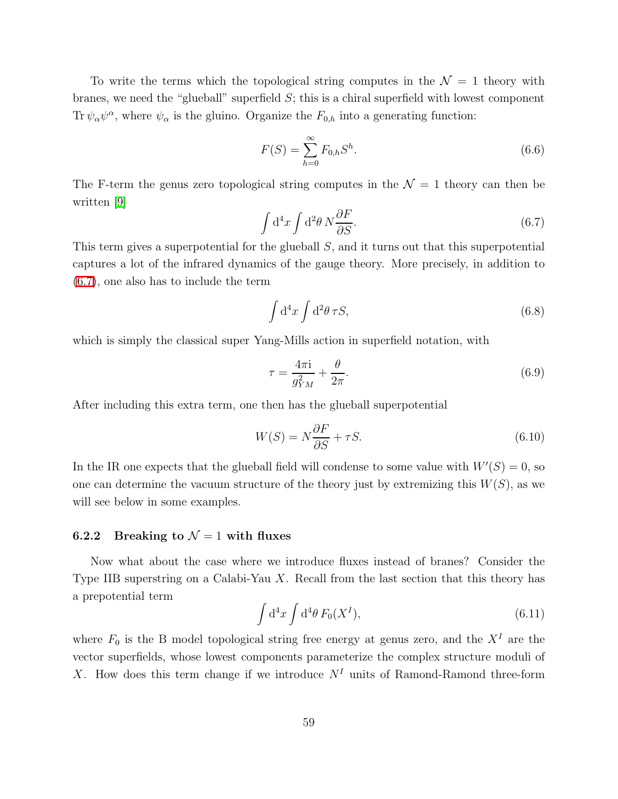To write the terms which the topological string computes in the  $\mathcal{N} = 1$  theory with branes, we need the "glueball" superfield  $S$ ; this is a chiral superfield with lowest component Tr  $\psi_{\alpha}\psi^{\alpha}$ , where  $\psi_{\alpha}$  is the gluino. Organize the  $F_{0,h}$  into a generating function:

$$
F(S) = \sum_{h=0}^{\infty} F_{0,h} S^h.
$$
\n(6.6)

<span id="page-59-0"></span>The F-term the genus zero topological string computes in the  $\mathcal{N} = 1$  theory can then be written [\[9\]](#page-77-6)

$$
\int d^4x \int d^2\theta \, N \frac{\partial F}{\partial S}.\tag{6.7}
$$

This term gives a superpotential for the glueball S, and it turns out that this superpotential captures a lot of the infrared dynamics of the gauge theory. More precisely, in addition to [\(6.7\)](#page-59-0), one also has to include the term

$$
\int d^4x \int d^2\theta \,\tau S,\tag{6.8}
$$

which is simply the classical super Yang-Mills action in superfield notation, with

<span id="page-59-2"></span>
$$
\tau = \frac{4\pi i}{g_{YM}^2} + \frac{\theta}{2\pi}.\tag{6.9}
$$

After including this extra term, one then has the glueball superpotential

$$
W(S) = N\frac{\partial F}{\partial S} + \tau S. \tag{6.10}
$$

In the IR one expects that the glueball field will condense to some value with  $W'(S) = 0$ , so one can determine the vacuum structure of the theory just by extremizing this  $W(S)$ , as we will see below in some examples.

#### 6.2.2 Breaking to  $\mathcal{N}=1$  with fluxes

<span id="page-59-1"></span>Now what about the case where we introduce fluxes instead of branes? Consider the Type IIB superstring on a Calabi-Yau X. Recall from the last section that this theory has a prepotential term

$$
\int d^4x \int d^4\theta F_0(X^I), \tag{6.11}
$$

where  $F_0$  is the B model topological string free energy at genus zero, and the  $X<sup>I</sup>$  are the vector superfields, whose lowest components parameterize the complex structure moduli of X. How does this term change if we introduce  $N<sup>I</sup>$  units of Ramond-Ramond three-form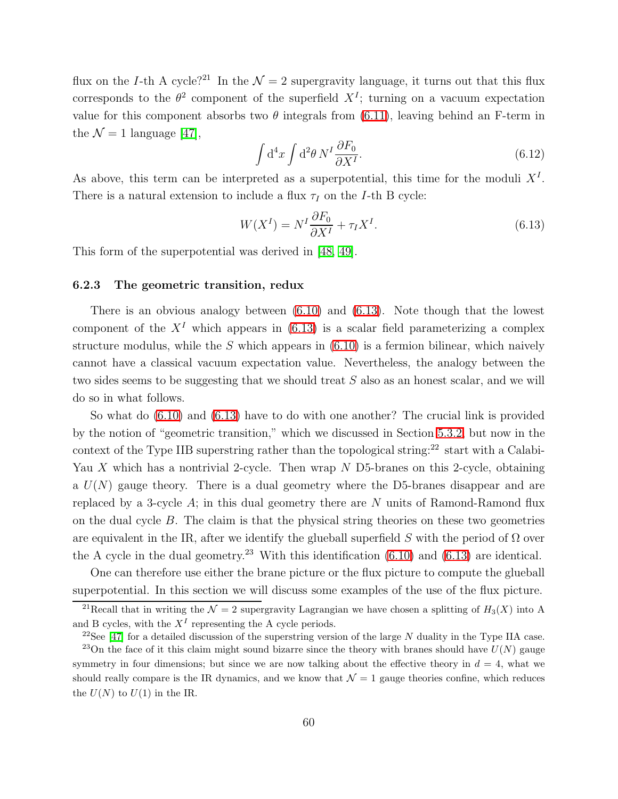<span id="page-60-1"></span>flux on the I-th A cycle?<sup>21</sup> In the  $\mathcal{N} = 2$  supergravity language, it turns out that this flux corresponds to the  $\theta^2$  component of the superfield  $X^I$ ; turning on a vacuum expectation value for this component absorbs two  $\theta$  integrals from [\(6.11\)](#page-59-1), leaving behind an F-term in the  $\mathcal{N} = 1$  language [\[47\]](#page-79-7),

<span id="page-60-0"></span>
$$
\int d^4x \int d^2\theta \, N^I \frac{\partial F_0}{\partial X^I}.
$$
\n(6.12)

As above, this term can be interpreted as a superpotential, this time for the moduli  $X<sup>I</sup>$ . There is a natural extension to include a flux  $\tau_I$  on the *I*-th B cycle:

$$
W(X^{I}) = N^{I} \frac{\partial F_{0}}{\partial X^{I}} + \tau_{I} X^{I}.
$$
\n(6.13)

This form of the superpotential was derived in [\[48,](#page-79-8) [49\]](#page-79-9).

#### 6.2.3 The geometric transition, redux

There is an obvious analogy between [\(6.10\)](#page-59-2) and [\(6.13\)](#page-60-0). Note though that the lowest component of the  $X<sup>I</sup>$  which appears in [\(6.13\)](#page-60-0) is a scalar field parameterizing a complex structure modulus, while the S which appears in  $(6.10)$  is a fermion bilinear, which naively cannot have a classical vacuum expectation value. Nevertheless, the analogy between the two sides seems to be suggesting that we should treat S also as an honest scalar, and we will do so in what follows.

So what do [\(6.10\)](#page-59-2) and [\(6.13\)](#page-60-0) have to do with one another? The crucial link is provided by the notion of "geometric transition," which we discussed in Section [5.3.2,](#page-43-1) but now in the context of the Type IIB superstring rather than the topological string: $^{22}$  start with a Calabi-Yau X which has a nontrivial 2-cycle. Then wrap N D5-branes on this 2-cycle, obtaining a  $U(N)$  gauge theory. There is a dual geometry where the D5-branes disappear and are replaced by a 3-cycle  $A$ ; in this dual geometry there are  $N$  units of Ramond-Ramond flux on the dual cycle  $B$ . The claim is that the physical string theories on these two geometries are equivalent in the IR, after we identify the glueball superfield S with the period of  $\Omega$  over the A cycle in the dual geometry.<sup>23</sup> With this identification  $(6.10)$  and  $(6.13)$  are identical.

One can therefore use either the brane picture or the flux picture to compute the glueball superpotential. In this section we will discuss some examples of the use of the flux picture.

<sup>&</sup>lt;sup>21</sup>Recall that in writing the  $\mathcal{N} = 2$  supergravity Lagrangian we have chosen a splitting of  $H_3(X)$  into A and B cycles, with the  $X<sup>I</sup>$  representing the A cycle periods.

<sup>&</sup>lt;sup>22</sup>See [\[47\]](#page-79-7) for a detailed discussion of the superstring version of the large N duality in the Type IIA case.

<sup>&</sup>lt;sup>23</sup>On the face of it this claim might sound bizarre since the theory with branes should have  $U(N)$  gauge symmetry in four dimensions; but since we are now talking about the effective theory in  $d = 4$ , what we should really compare is the IR dynamics, and we know that  $\mathcal{N}=1$  gauge theories confine, which reduces the  $U(N)$  to  $U(1)$  in the IR.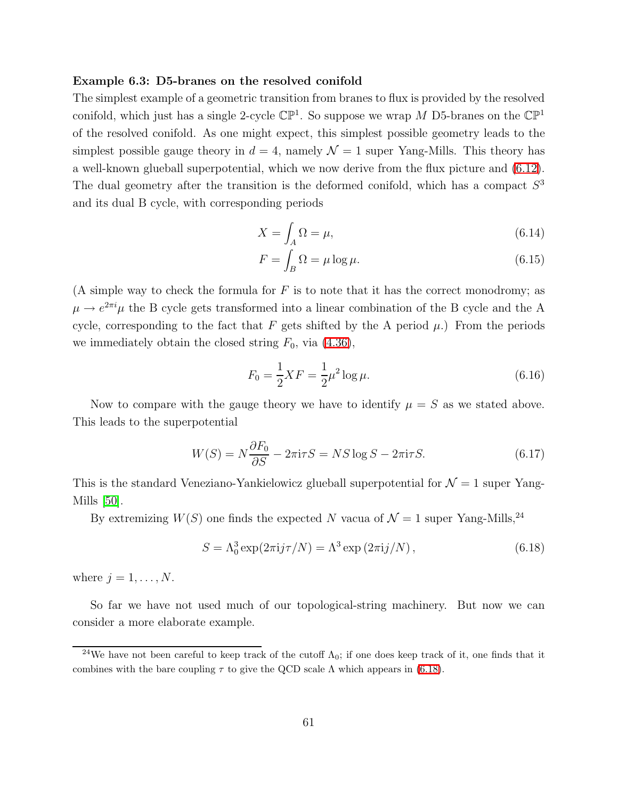#### Example 6.3: D5-branes on the resolved conifold

The simplest example of a geometric transition from branes to flux is provided by the resolved conifold, which just has a single 2-cycle  $\mathbb{CP}^1$ . So suppose we wrap M D5-branes on the  $\mathbb{CP}^1$ of the resolved conifold. As one might expect, this simplest possible geometry leads to the simplest possible gauge theory in  $d = 4$ , namely  $\mathcal{N} = 1$  super Yang-Mills. This theory has a well-known glueball superpotential, which we now derive from the flux picture and [\(6.12\)](#page-60-1). The dual geometry after the transition is the deformed conifold, which has a compact  $S<sup>3</sup>$ and its dual B cycle, with corresponding periods

$$
X = \int_{A} \Omega = \mu,\tag{6.14}
$$

$$
F = \int_{B} \Omega = \mu \log \mu. \tag{6.15}
$$

(A simple way to check the formula for  $F$  is to note that it has the correct monodromy; as  $\mu \to e^{2\pi i} \mu$  the B cycle gets transformed into a linear combination of the B cycle and the A cycle, corresponding to the fact that F gets shifted by the A period  $\mu$ .) From the periods we immediately obtain the closed string  $F_0$ , via  $(4.36)$ ,

<span id="page-61-0"></span>
$$
F_0 = \frac{1}{2} X F = \frac{1}{2} \mu^2 \log \mu.
$$
 (6.16)

Now to compare with the gauge theory we have to identify  $\mu = S$  as we stated above. This leads to the superpotential

$$
W(S) = N\frac{\partial F_0}{\partial S} - 2\pi i \tau S = NS \log S - 2\pi i \tau S. \tag{6.17}
$$

This is the standard Veneziano-Yankielowicz glueball superpotential for  $\mathcal{N}=1$  super Yang-Mills [\[50\]](#page-79-10).

By extremizing  $W(S)$  one finds the expected N vacua of  $\mathcal{N}=1$  super Yang-Mills,<sup>24</sup>

$$
S = \Lambda_0^3 \exp(2\pi i j \tau/N) = \Lambda^3 \exp(2\pi i j/N), \qquad (6.18)
$$

where  $j = 1, \ldots, N$ .

<span id="page-61-1"></span>So far we have not used much of our topological-string machinery. But now we can consider a more elaborate example.

<sup>&</sup>lt;sup>24</sup>We have not been careful to keep track of the cutoff  $\Lambda_0$ ; if one does keep track of it, one finds that it combines with the bare coupling  $\tau$  to give the QCD scale  $\Lambda$  which appears in [\(6.18\)](#page-61-0).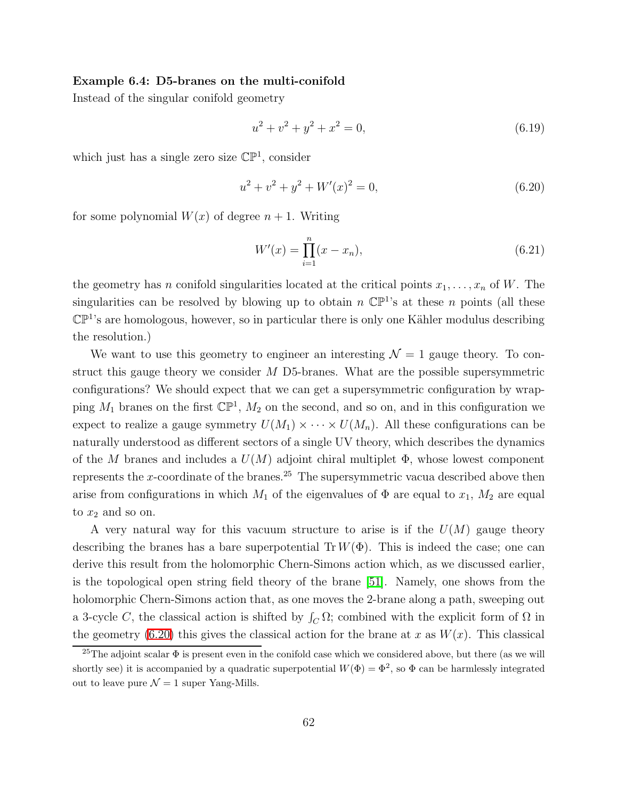#### Example 6.4: D5-branes on the multi-conifold

Instead of the singular conifold geometry

<span id="page-62-0"></span>
$$
u^2 + v^2 + y^2 + x^2 = 0,\t\t(6.19)
$$

which just has a single zero size  $\mathbb{CP}^1$ , consider

$$
u^2 + v^2 + y^2 + W'(x)^2 = 0,
$$
\n(6.20)

for some polynomial  $W(x)$  of degree  $n + 1$ . Writing

$$
W'(x) = \prod_{i=1}^{n} (x - x_n),
$$
\n(6.21)

the geometry has n conifold singularities located at the critical points  $x_1, \ldots, x_n$  of W. The singularities can be resolved by blowing up to obtain  $n \mathbb{CP}^1$ 's at these n points (all these  $\mathbb{CP}^1$ 's are homologous, however, so in particular there is only one Kähler modulus describing the resolution.)

We want to use this geometry to engineer an interesting  $\mathcal{N}=1$  gauge theory. To construct this gauge theory we consider M D5-branes. What are the possible supersymmetric configurations? We should expect that we can get a supersymmetric configuration by wrapping  $M_1$  branes on the first  $\mathbb{CP}^1$ ,  $M_2$  on the second, and so on, and in this configuration we expect to realize a gauge symmetry  $U(M_1) \times \cdots \times U(M_n)$ . All these configurations can be naturally understood as different sectors of a single UV theory, which describes the dynamics of the M branes and includes a  $U(M)$  adjoint chiral multiplet  $\Phi$ , whose lowest component represents the x-coordinate of the branes.<sup>25</sup> The supersymmetric vacua described above then arise from configurations in which  $M_1$  of the eigenvalues of  $\Phi$  are equal to  $x_1$ ,  $M_2$  are equal to  $x_2$  and so on.

A very natural way for this vacuum structure to arise is if the  $U(M)$  gauge theory describing the branes has a bare superpotential  $Tr W(\Phi)$ . This is indeed the case; one can derive this result from the holomorphic Chern-Simons action which, as we discussed earlier, is the topological open string field theory of the brane [\[51\]](#page-79-11). Namely, one shows from the holomorphic Chern-Simons action that, as one moves the 2-brane along a path, sweeping out a 3-cycle C, the classical action is shifted by  $\int_C \Omega$ ; combined with the explicit form of  $\Omega$  in the geometry [\(6.20\)](#page-62-0) this gives the classical action for the brane at x as  $W(x)$ . This classical

<sup>&</sup>lt;sup>25</sup>The adjoint scalar  $\Phi$  is present even in the conifold case which we considered above, but there (as we will shortly see) it is accompanied by a quadratic superpotential  $W(\Phi) = \Phi^2$ , so  $\Phi$  can be harmlessly integrated out to leave pure  $\mathcal{N} = 1$  super Yang-Mills.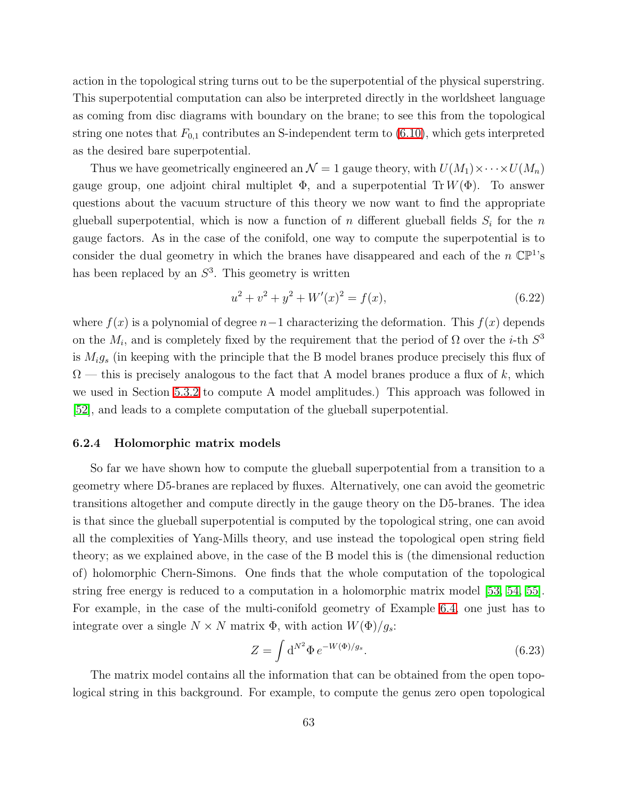action in the topological string turns out to be the superpotential of the physical superstring. This superpotential computation can also be interpreted directly in the worldsheet language as coming from disc diagrams with boundary on the brane; to see this from the topological string one notes that  $F_{0,1}$  contributes an S-independent term to  $(6.10)$ , which gets interpreted as the desired bare superpotential.

Thus we have geometrically engineered an  $\mathcal{N}=1$  gauge theory, with  $U(M_1)\times\cdots\times U(M_n)$ gauge group, one adjoint chiral multiplet  $\Phi$ , and a superpotential Tr  $W(\Phi)$ . To answer questions about the vacuum structure of this theory we now want to find the appropriate glueball superpotential, which is now a function of n different glueball fields  $S_i$  for the n gauge factors. As in the case of the conifold, one way to compute the superpotential is to consider the dual geometry in which the branes have disappeared and each of the  $n \mathbb{CP}^1$ 's has been replaced by an  $S<sup>3</sup>$ . This geometry is written

$$
u^{2} + v^{2} + y^{2} + W'(x)^{2} = f(x),
$$
\n(6.22)

where  $f(x)$  is a polynomial of degree  $n-1$  characterizing the deformation. This  $f(x)$  depends on the  $M_i$ , and is completely fixed by the requirement that the period of  $\Omega$  over the *i*-th  $S^3$ is  $M_i g_s$  (in keeping with the principle that the B model branes produce precisely this flux of  $\Omega$  — this is precisely analogous to the fact that A model branes produce a flux of k, which we used in Section [5.3.2](#page-43-1) to compute A model amplitudes.) This approach was followed in [\[52\]](#page-79-12), and leads to a complete computation of the glueball superpotential.

#### 6.2.4 Holomorphic matrix models

So far we have shown how to compute the glueball superpotential from a transition to a geometry where D5-branes are replaced by fluxes. Alternatively, one can avoid the geometric transitions altogether and compute directly in the gauge theory on the D5-branes. The idea is that since the glueball superpotential is computed by the topological string, one can avoid all the complexities of Yang-Mills theory, and use instead the topological open string field theory; as we explained above, in the case of the B model this is (the dimensional reduction of) holomorphic Chern-Simons. One finds that the whole computation of the topological string free energy is reduced to a computation in a holomorphic matrix model [\[53,](#page-79-13) [54,](#page-79-14) [55\]](#page-79-15). For example, in the case of the multi-conifold geometry of Example [6.4,](#page-61-1) one just has to integrate over a single  $N \times N$  matrix  $\Phi$ , with action  $W(\Phi)/g_s$ :

$$
Z = \int \mathrm{d}^{N^2} \Phi \, e^{-W(\Phi)/g_s}.\tag{6.23}
$$

The matrix model contains all the information that can be obtained from the open topological string in this background. For example, to compute the genus zero open topological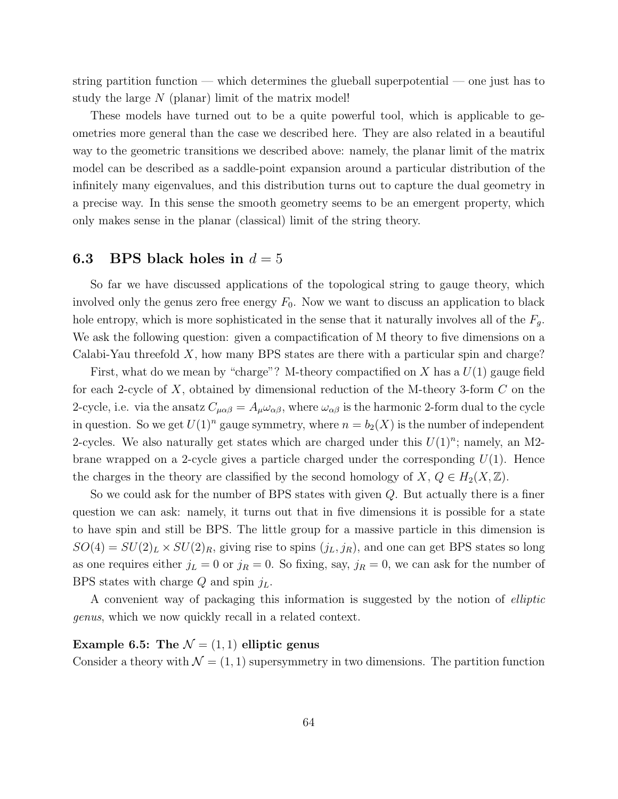string partition function — which determines the glueball superpotential — one just has to study the large  $N$  (planar) limit of the matrix model!

These models have turned out to be a quite powerful tool, which is applicable to geometries more general than the case we described here. They are also related in a beautiful way to the geometric transitions we described above: namely, the planar limit of the matrix model can be described as a saddle-point expansion around a particular distribution of the infinitely many eigenvalues, and this distribution turns out to capture the dual geometry in a precise way. In this sense the smooth geometry seems to be an emergent property, which only makes sense in the planar (classical) limit of the string theory.

## <span id="page-64-0"></span>6.3 BPS black holes in  $d = 5$

So far we have discussed applications of the topological string to gauge theory, which involved only the genus zero free energy  $F_0$ . Now we want to discuss an application to black hole entropy, which is more sophisticated in the sense that it naturally involves all of the  $F_g$ . We ask the following question: given a compactification of M theory to five dimensions on a Calabi-Yau threefold  $X$ , how many BPS states are there with a particular spin and charge?

First, what do we mean by "charge"? M-theory compactified on X has a  $U(1)$  gauge field for each 2-cycle of  $X$ , obtained by dimensional reduction of the M-theory 3-form  $C$  on the 2-cycle, i.e. via the ansatz  $C_{\mu\alpha\beta} = A_{\mu}\omega_{\alpha\beta}$ , where  $\omega_{\alpha\beta}$  is the harmonic 2-form dual to the cycle in question. So we get  $U(1)^n$  gauge symmetry, where  $n = b_2(X)$  is the number of independent 2-cycles. We also naturally get states which are charged under this  $U(1)^n$ ; namely, an M2brane wrapped on a 2-cycle gives a particle charged under the corresponding  $U(1)$ . Hence the charges in the theory are classified by the second homology of  $X, Q \in H_2(X, \mathbb{Z})$ .

So we could ask for the number of BPS states with given Q. But actually there is a finer question we can ask: namely, it turns out that in five dimensions it is possible for a state to have spin and still be BPS. The little group for a massive particle in this dimension is  $SO(4) = SU(2)_L \times SU(2)_R$ , giving rise to spins  $(j_L, j_R)$ , and one can get BPS states so long as one requires either  $j_L = 0$  or  $j_R = 0$ . So fixing, say,  $j_R = 0$ , we can ask for the number of BPS states with charge  $Q$  and spin  $j_L$ .

A convenient way of packaging this information is suggested by the notion of elliptic genus, which we now quickly recall in a related context.

#### Example 6.5: The  $\mathcal{N} = (1, 1)$  elliptic genus

Consider a theory with  $\mathcal{N} = (1, 1)$  supersymmetry in two dimensions. The partition function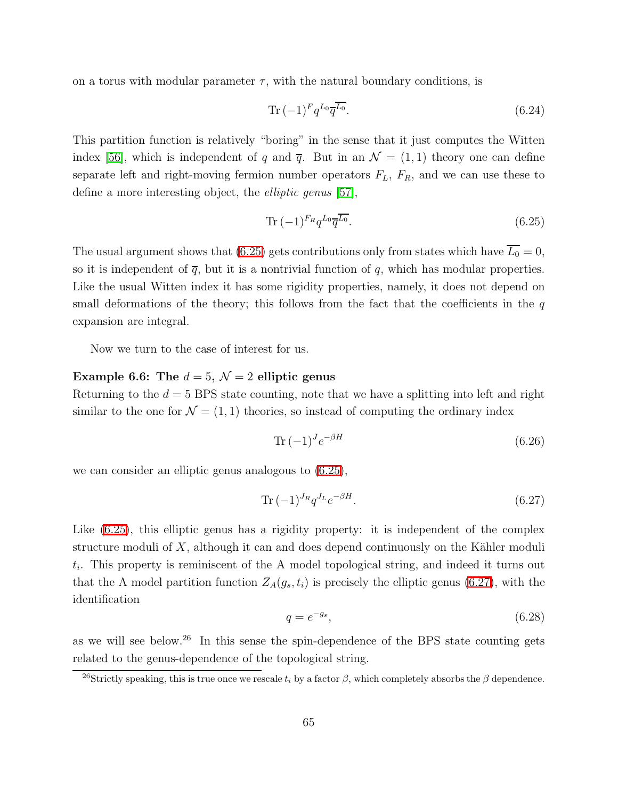on a torus with modular parameter  $\tau$ , with the natural boundary conditions, is

$$
\operatorname{Tr} \left( -1 \right)^F q^{L_0} \overline{q}^{\overline{L_0}}.
$$
\n(6.24)

This partition function is relatively "boring" in the sense that it just computes the Witten index [\[56\]](#page-80-0), which is independent of q and  $\bar{q}$ . But in an  $\mathcal{N} = (1,1)$  theory one can define separate left and right-moving fermion number operators  $F_L$ ,  $F_R$ , and we can use these to define a more interesting object, the elliptic genus [\[57\]](#page-80-1),

<span id="page-65-0"></span>
$$
\operatorname{Tr} \left( -1 \right)^{F_R} q^{L_0} \overline{q}^{\overline{L_0}}.
$$
\n
$$
(6.25)
$$

The usual argument shows that [\(6.25\)](#page-65-0) gets contributions only from states which have  $\overline{L_0} = 0$ , so it is independent of  $\overline{q}$ , but it is a nontrivial function of q, which has modular properties. Like the usual Witten index it has some rigidity properties, namely, it does not depend on small deformations of the theory; this follows from the fact that the coefficients in the  $q$ expansion are integral.

Now we turn to the case of interest for us.

#### Example 6.6: The  $d = 5$ ,  $\mathcal{N} = 2$  elliptic genus

Returning to the  $d = 5$  BPS state counting, note that we have a splitting into left and right similar to the one for  $\mathcal{N} = (1, 1)$  theories, so instead of computing the ordinary index

<span id="page-65-1"></span>
$$
\operatorname{Tr} \left( -1 \right)^{J} e^{-\beta H} \tag{6.26}
$$

we can consider an elliptic genus analogous to [\(6.25\)](#page-65-0),

$$
\text{Tr}\,(-1)^{J_R}q^{J_L}e^{-\beta H}.\tag{6.27}
$$

Like  $(6.25)$ , this elliptic genus has a rigidity property: it is independent of the complex structure moduli of  $X$ , although it can and does depend continuously on the Kähler moduli  $t_i$ . This property is reminiscent of the A model topological string, and indeed it turns out that the A model partition function  $Z_A(g_s, t_i)$  is precisely the elliptic genus [\(6.27\)](#page-65-1), with the identification

$$
q = e^{-g_s},\tag{6.28}
$$

as we will see below.<sup>26</sup> In this sense the spin-dependence of the BPS state counting gets related to the genus-dependence of the topological string.

<sup>&</sup>lt;sup>26</sup>Strictly speaking, this is true once we rescale  $t_i$  by a factor  $\beta$ , which completely absorbs the  $\beta$  dependence.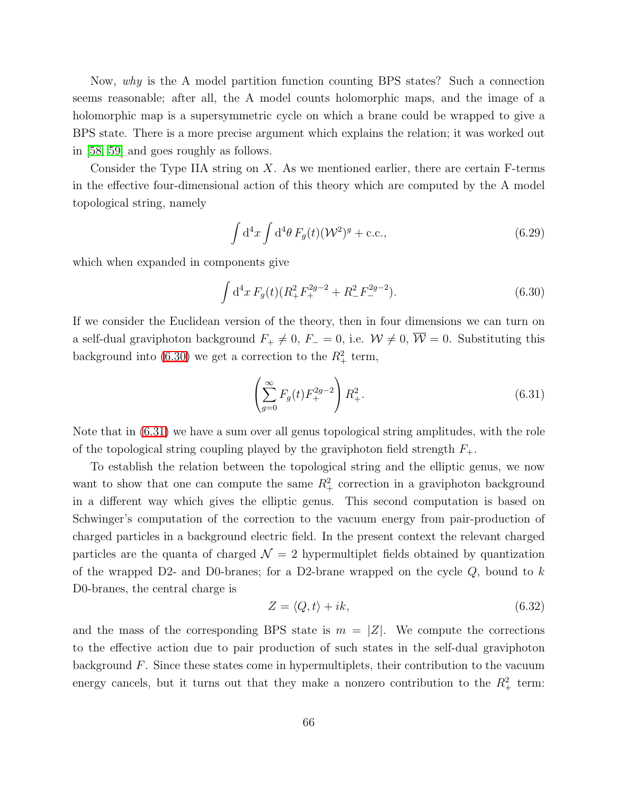Now, why is the A model partition function counting BPS states? Such a connection seems reasonable; after all, the A model counts holomorphic maps, and the image of a holomorphic map is a supersymmetric cycle on which a brane could be wrapped to give a BPS state. There is a more precise argument which explains the relation; it was worked out in [\[58,](#page-80-2) [59\]](#page-80-3) and goes roughly as follows.

Consider the Type IIA string on  $X$ . As we mentioned earlier, there are certain F-terms in the effective four-dimensional action of this theory which are computed by the A model topological string, namely

<span id="page-66-0"></span>
$$
\int d^4x \int d^4\theta F_g(t)(\mathcal{W}^2)^g + \text{c.c.},\tag{6.29}
$$

which when expanded in components give

$$
\int d^4x F_g(t)(R_+^2 F_+^{2g-2} + R_-^2 F_-^{2g-2}).
$$
\n(6.30)

If we consider the Euclidean version of the theory, then in four dimensions we can turn on a self-dual graviphoton background  $F_+ \neq 0$ ,  $F_-= 0$ , i.e.  $\mathcal{W} \neq 0$ ,  $\overline{\mathcal{W}}= 0$ . Substituting this background into [\(6.30\)](#page-66-0) we get a correction to the  $R_+^2$  term,

<span id="page-66-1"></span>
$$
\left(\sum_{g=0}^{\infty} F_g(t) F_+^{2g-2}\right) R_+^2.
$$
\n(6.31)

Note that in [\(6.31\)](#page-66-1) we have a sum over all genus topological string amplitudes, with the role of the topological string coupling played by the graviphoton field strength  $F_{+}$ .

To establish the relation between the topological string and the elliptic genus, we now want to show that one can compute the same  $R_+^2$  correction in a graviphoton background in a different way which gives the elliptic genus. This second computation is based on Schwinger's computation of the correction to the vacuum energy from pair-production of charged particles in a background electric field. In the present context the relevant charged particles are the quanta of charged  $\mathcal{N} = 2$  hypermultiplet fields obtained by quantization of the wrapped D2- and D0-branes; for a D2-brane wrapped on the cycle  $Q$ , bound to  $k$ D0-branes, the central charge is

$$
Z = \langle Q, t \rangle + ik,\tag{6.32}
$$

and the mass of the corresponding BPS state is  $m = |Z|$ . We compute the corrections to the effective action due to pair production of such states in the self-dual graviphoton background  $F$ . Since these states come in hypermultiplets, their contribution to the vacuum energy cancels, but it turns out that they make a nonzero contribution to the  $R_+^2$  term: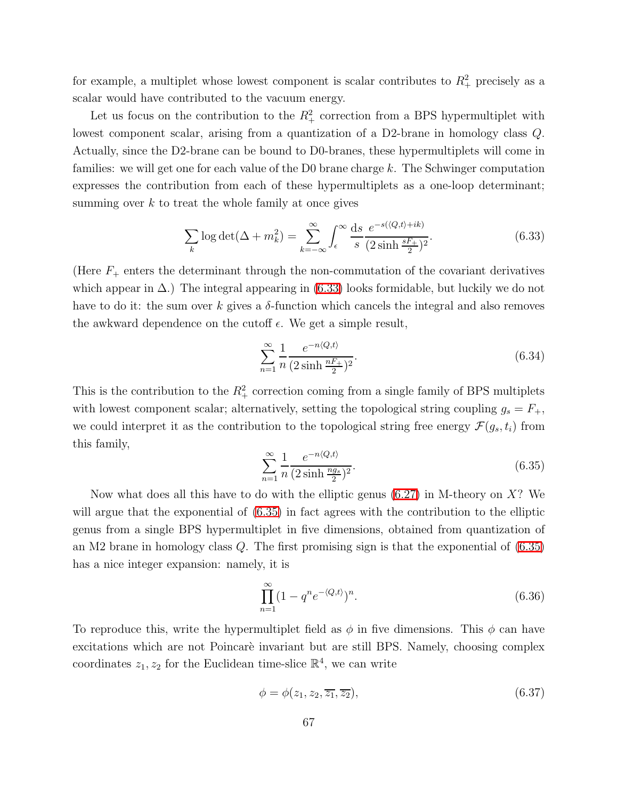for example, a multiplet whose lowest component is scalar contributes to  $R_+^2$  precisely as a scalar would have contributed to the vacuum energy.

Let us focus on the contribution to the  $R_+^2$  correction from a BPS hypermultiplet with lowest component scalar, arising from a quantization of a D2-brane in homology class Q. Actually, since the D2-brane can be bound to D0-branes, these hypermultiplets will come in families: we will get one for each value of the D0 brane charge  $k$ . The Schwinger computation expresses the contribution from each of these hypermultiplets as a one-loop determinant; summing over  $k$  to treat the whole family at once gives

<span id="page-67-0"></span>
$$
\sum_{k} \log \det(\Delta + m_k^2) = \sum_{k=-\infty}^{\infty} \int_{\epsilon}^{\infty} \frac{ds}{s} \frac{e^{-s(\langle Q, t \rangle + ik)}}{(2 \sinh \frac{sF_+}{2})^2}.
$$
(6.33)

(Here  $F_+$  enters the determinant through the non-commutation of the covariant derivatives which appear in  $\Delta$ .) The integral appearing in [\(6.33\)](#page-67-0) looks formidable, but luckily we do not have to do it: the sum over k gives a  $\delta$ -function which cancels the integral and also removes the awkward dependence on the cutoff  $\epsilon$ . We get a simple result,

$$
\sum_{n=1}^{\infty} \frac{1}{n} \frac{e^{-n\langle Q, t \rangle}}{(2 \sinh \frac{nF_{+}}{2})^2}.
$$
\n(6.34)

<span id="page-67-1"></span>This is the contribution to the  $R_+^2$  correction coming from a single family of BPS multiplets with lowest component scalar; alternatively, setting the topological string coupling  $g_s = F_+$ , we could interpret it as the contribution to the topological string free energy  $\mathcal{F}(g_s, t_i)$  from this family,

$$
\sum_{n=1}^{\infty} \frac{1}{n} \frac{e^{-n\langle Q, t \rangle}}{(2 \sinh \frac{ng_s}{2})^2}.
$$
\n(6.35)

Now what does all this have to do with the elliptic genus  $(6.27)$  in M-theory on X? We will argue that the exponential of  $(6.35)$  in fact agrees with the contribution to the elliptic genus from a single BPS hypermultiplet in five dimensions, obtained from quantization of an M2 brane in homology class Q. The first promising sign is that the exponential of [\(6.35\)](#page-67-1) has a nice integer expansion: namely, it is

<span id="page-67-2"></span>
$$
\prod_{n=1}^{\infty} (1 - q^n e^{-\langle Q, t \rangle})^n.
$$
\n(6.36)

To reproduce this, write the hypermultiplet field as  $\phi$  in five dimensions. This  $\phi$  can have excitations which are not Poincaré invariant but are still BPS. Namely, choosing complex coordinates  $z_1, z_2$  for the Euclidean time-slice  $\mathbb{R}^4$ , we can write

$$
\phi = \phi(z_1, z_2, \overline{z_1}, \overline{z_2}),\tag{6.37}
$$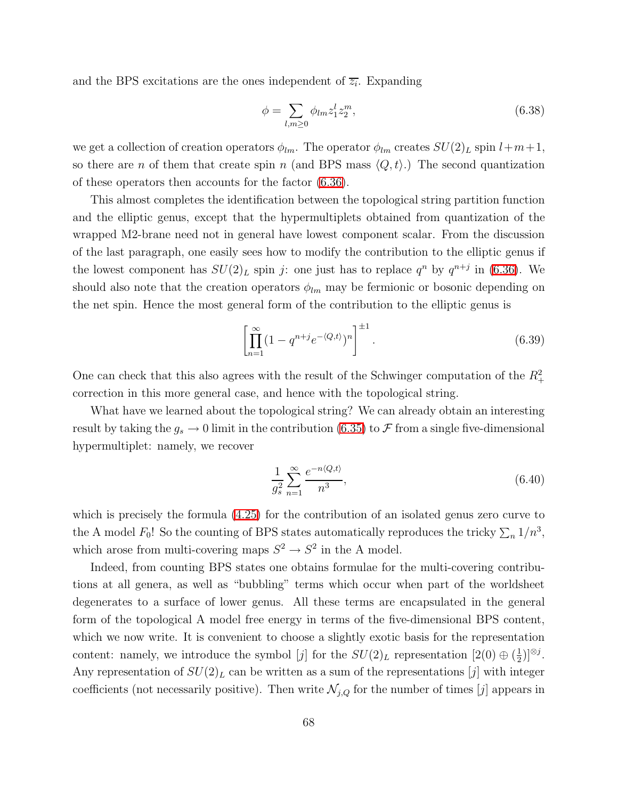and the BPS excitations are the ones independent of  $\overline{z_i}$ . Expanding

$$
\phi = \sum_{l,m \ge 0} \phi_{lm} z_1^l z_2^m,\tag{6.38}
$$

we get a collection of creation operators  $\phi_{lm}$ . The operator  $\phi_{lm}$  creates  $SU(2)_L$  spin  $l+m+1$ , so there are *n* of them that create spin *n* (and BPS mass  $\langle Q, t \rangle$ .) The second quantization of these operators then accounts for the factor [\(6.36\)](#page-67-2).

This almost completes the identification between the topological string partition function and the elliptic genus, except that the hypermultiplets obtained from quantization of the wrapped M2-brane need not in general have lowest component scalar. From the discussion of the last paragraph, one easily sees how to modify the contribution to the elliptic genus if the lowest component has  $SU(2)_L$  spin j: one just has to replace  $q^n$  by  $q^{n+j}$  in [\(6.36\)](#page-67-2). We should also note that the creation operators  $\phi_{lm}$  may be fermionic or bosonic depending on the net spin. Hence the most general form of the contribution to the elliptic genus is

$$
\left[\prod_{n=1}^{\infty} (1 - q^{n+j} e^{-\langle Q, t \rangle})^n\right]^{\pm 1}.
$$
\n(6.39)

One can check that this also agrees with the result of the Schwinger computation of the  $R_+^2$ correction in this more general case, and hence with the topological string.

What have we learned about the topological string? We can already obtain an interesting result by taking the  $g_s \to 0$  limit in the contribution [\(6.35\)](#page-67-1) to  $\mathcal F$  from a single five-dimensional hypermultiplet: namely, we recover

$$
\frac{1}{g_s^2} \sum_{n=1}^{\infty} \frac{e^{-n\langle Q, t \rangle}}{n^3},\tag{6.40}
$$

which is precisely the formula [\(4.25\)](#page-31-0) for the contribution of an isolated genus zero curve to the A model  $F_0$ ! So the counting of BPS states automatically reproduces the tricky  $\sum_n 1/n^3$ , which arose from multi-covering maps  $S^2 \to S^2$  in the A model.

Indeed, from counting BPS states one obtains formulae for the multi-covering contributions at all genera, as well as "bubbling" terms which occur when part of the worldsheet degenerates to a surface of lower genus. All these terms are encapsulated in the general form of the topological A model free energy in terms of the five-dimensional BPS content, which we now write. It is convenient to choose a slightly exotic basis for the representation content: namely, we introduce the symbol [j] for the  $SU(2)_L$  representation  $[2(0) \oplus (\frac{1}{2})]$  $\frac{1}{2})]^{\otimes j}$ . Any representation of  $SU(2)_L$  can be written as a sum of the representations [j] with integer coefficients (not necessarily positive). Then write  $\mathcal{N}_{i,Q}$  for the number of times [j] appears in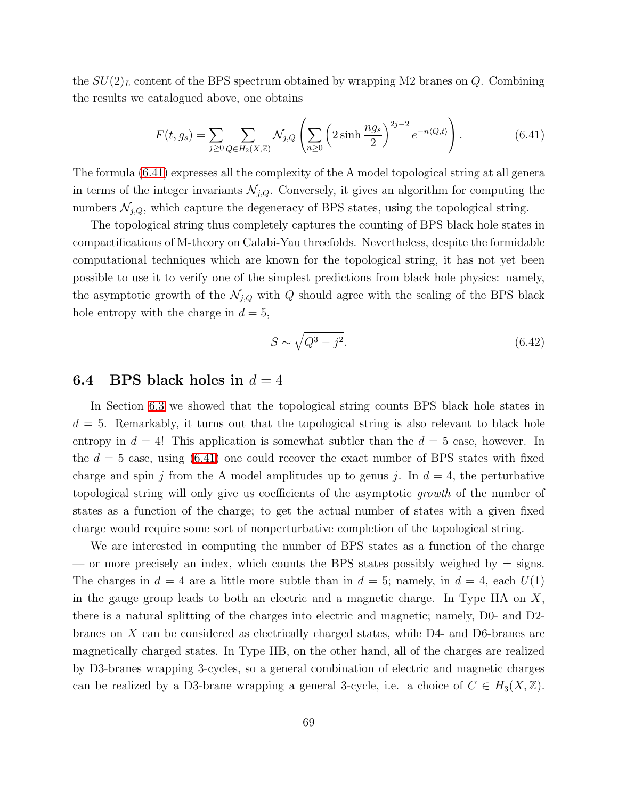the  $SU(2)_L$  content of the BPS spectrum obtained by wrapping M2 branes on  $Q$ . Combining the results we catalogued above, one obtains

<span id="page-69-0"></span>
$$
F(t, g_s) = \sum_{j \ge 0} \sum_{Q \in H_2(X, \mathbb{Z})} \mathcal{N}_{j,Q} \left( \sum_{n \ge 0} \left( 2 \sinh \frac{n g_s}{2} \right)^{2j-2} e^{-n \langle Q, t \rangle} \right). \tag{6.41}
$$

The formula [\(6.41\)](#page-69-0) expresses all the complexity of the A model topological string at all genera in terms of the integer invariants  $\mathcal{N}_{j,Q}$ . Conversely, it gives an algorithm for computing the numbers  $\mathcal{N}_{j,Q}$ , which capture the degeneracy of BPS states, using the topological string.

The topological string thus completely captures the counting of BPS black hole states in compactifications of M-theory on Calabi-Yau threefolds. Nevertheless, despite the formidable computational techniques which are known for the topological string, it has not yet been possible to use it to verify one of the simplest predictions from black hole physics: namely, the asymptotic growth of the  $\mathcal{N}_{j,Q}$  with Q should agree with the scaling of the BPS black hole entropy with the charge in  $d = 5$ ,

$$
S \sim \sqrt{Q^3 - j^2}.\tag{6.42}
$$

#### 6.4 BPS black holes in  $d = 4$

In Section [6.3](#page-64-0) we showed that the topological string counts BPS black hole states in  $d = 5$ . Remarkably, it turns out that the topological string is also relevant to black hole entropy in  $d = 4!$  This application is somewhat subtler than the  $d = 5$  case, however. In the  $d = 5$  case, using  $(6.41)$  one could recover the exact number of BPS states with fixed charge and spin j from the A model amplitudes up to genus j. In  $d = 4$ , the perturbative topological string will only give us coefficients of the asymptotic growth of the number of states as a function of the charge; to get the actual number of states with a given fixed charge would require some sort of nonperturbative completion of the topological string.

We are interested in computing the number of BPS states as a function of the charge or more precisely an index, which counts the BPS states possibly weighed by  $\pm$  signs. The charges in  $d = 4$  are a little more subtle than in  $d = 5$ ; namely, in  $d = 4$ , each  $U(1)$ in the gauge group leads to both an electric and a magnetic charge. In Type IIA on  $X$ . there is a natural splitting of the charges into electric and magnetic; namely, D0- and D2 branes on X can be considered as electrically charged states, while D4- and D6-branes are magnetically charged states. In Type IIB, on the other hand, all of the charges are realized by D3-branes wrapping 3-cycles, so a general combination of electric and magnetic charges can be realized by a D3-brane wrapping a general 3-cycle, i.e. a choice of  $C \in H_3(X, \mathbb{Z})$ .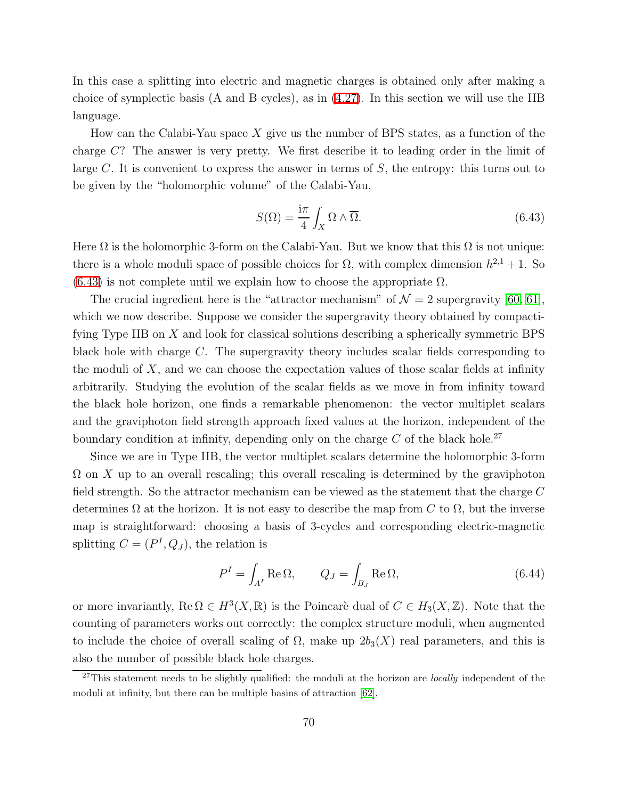In this case a splitting into electric and magnetic charges is obtained only after making a choice of symplectic basis (A and B cycles), as in [\(4.27\)](#page-32-0). In this section we will use the IIB language.

How can the Calabi-Yau space X give us the number of BPS states, as a function of the charge C? The answer is very pretty. We first describe it to leading order in the limit of large C. It is convenient to express the answer in terms of  $S$ , the entropy: this turns out to be given by the "holomorphic volume" of the Calabi-Yau,

<span id="page-70-0"></span>
$$
S(\Omega) = \frac{\mathrm{i}\pi}{4} \int_X \Omega \wedge \overline{\Omega}.\tag{6.43}
$$

Here  $\Omega$  is the holomorphic 3-form on the Calabi-Yau. But we know that this  $\Omega$  is not unique: there is a whole moduli space of possible choices for  $\Omega$ , with complex dimension  $h^{2,1} + 1$ . So  $(6.43)$  is not complete until we explain how to choose the appropriate  $\Omega$ .

The crucial ingredient here is the "attractor mechanism" of  $\mathcal{N}=2$  supergravity [\[60,](#page-80-4) [61\]](#page-80-5), which we now describe. Suppose we consider the supergravity theory obtained by compactifying Type IIB on X and look for classical solutions describing a spherically symmetric BPS black hole with charge C. The supergravity theory includes scalar fields corresponding to the moduli of  $X$ , and we can choose the expectation values of those scalar fields at infinity arbitrarily. Studying the evolution of the scalar fields as we move in from infinity toward the black hole horizon, one finds a remarkable phenomenon: the vector multiplet scalars and the graviphoton field strength approach fixed values at the horizon, independent of the boundary condition at infinity, depending only on the charge C of the black hole.<sup>27</sup>

Since we are in Type IIB, the vector multiplet scalars determine the holomorphic 3-form  $\Omega$  on X up to an overall rescaling; this overall rescaling is determined by the graviphoton field strength. So the attractor mechanism can be viewed as the statement that the charge C determines  $\Omega$  at the horizon. It is not easy to describe the map from C to  $\Omega$ , but the inverse map is straightforward: choosing a basis of 3-cycles and corresponding electric-magnetic splitting  $C = (P<sup>I</sup>, Q<sub>J</sub>)$ , the relation is

<span id="page-70-1"></span>
$$
P^{I} = \int_{A^{I}} \text{Re}\,\Omega, \qquad Q_{J} = \int_{B_{J}} \text{Re}\,\Omega,\tag{6.44}
$$

or more invariantly,  $\text{Re }\Omega \in H^3(X,\mathbb{R})$  is the Poincarè dual of  $C \in H_3(X,\mathbb{Z})$ . Note that the counting of parameters works out correctly: the complex structure moduli, when augmented to include the choice of overall scaling of  $\Omega$ , make up  $2b_3(X)$  real parameters, and this is also the number of possible black hole charges.

<sup>&</sup>lt;sup>27</sup>This statement needs to be slightly qualified: the moduli at the horizon are *locally* independent of the moduli at infinity, but there can be multiple basins of attraction [\[62\]](#page-80-6).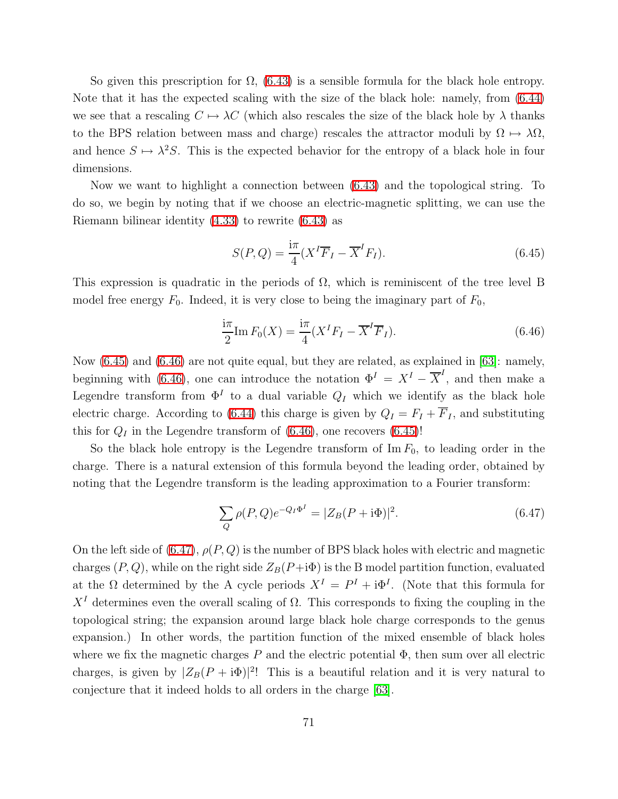So given this prescription for  $\Omega$ , [\(6.43\)](#page-70-0) is a sensible formula for the black hole entropy. Note that it has the expected scaling with the size of the black hole: namely, from [\(6.44\)](#page-70-1) we see that a rescaling  $C \mapsto \lambda C$  (which also rescales the size of the black hole by  $\lambda$  thanks to the BPS relation between mass and charge) rescales the attractor moduli by  $\Omega \mapsto \lambda \Omega$ , and hence  $S \mapsto \lambda^2 S$ . This is the expected behavior for the entropy of a black hole in four dimensions.

Now we want to highlight a connection between [\(6.43\)](#page-70-0) and the topological string. To do so, we begin by noting that if we choose an electric-magnetic splitting, we can use the Riemann bilinear identity [\(4.33\)](#page-33-1) to rewrite [\(6.43\)](#page-70-0) as

<span id="page-71-1"></span><span id="page-71-0"></span>
$$
S(P,Q) = \frac{\mathrm{i}\pi}{4} (X^I \overline{F}_I - \overline{X}^I F_I). \tag{6.45}
$$

This expression is quadratic in the periods of  $\Omega$ , which is reminiscent of the tree level B model free energy  $F_0$ . Indeed, it is very close to being the imaginary part of  $F_0$ ,

$$
\frac{\mathrm{i}\pi}{2}\mathrm{Im}\,F_0(X) = \frac{\mathrm{i}\pi}{4}(X^I F_I - \overline{X}^I \overline{F}_I). \tag{6.46}
$$

Now [\(6.45\)](#page-71-0) and [\(6.46\)](#page-71-1) are not quite equal, but they are related, as explained in [\[63\]](#page-80-7): namely, beginning with [\(6.46\)](#page-71-1), one can introduce the notation  $\Phi^I = X^I - \overline{X}^I$ , and then make a Legendre transform from  $\Phi^I$  to a dual variable  $Q_I$  which we identify as the black hole electric charge. According to [\(6.44\)](#page-70-1) this charge is given by  $Q_I = F_I + \overline{F}_I$ , and substituting this for  $Q_I$  in the Legendre transform of [\(6.46\)](#page-71-1), one recovers [\(6.45\)](#page-71-0)!

So the black hole entropy is the Legendre transform of  $\text{Im } F_0$ , to leading order in the charge. There is a natural extension of this formula beyond the leading order, obtained by noting that the Legendre transform is the leading approximation to a Fourier transform:

<span id="page-71-2"></span>
$$
\sum_{Q} \rho(P, Q)e^{-Q_I \Phi^I} = |Z_B(P + i\Phi)|^2.
$$
\n(6.47)

On the left side of [\(6.47\)](#page-71-2),  $\rho(P,Q)$  is the number of BPS black holes with electric and magnetic charges  $(P, Q)$ , while on the right side  $Z_B(P + i\Phi)$  is the B model partition function, evaluated at the  $\Omega$  determined by the A cycle periods  $X^I = P^I + i\Phi^I$ . (Note that this formula for  $X<sup>I</sup>$  determines even the overall scaling of Ω. This corresponds to fixing the coupling in the topological string; the expansion around large black hole charge corresponds to the genus expansion.) In other words, the partition function of the mixed ensemble of black holes where we fix the magnetic charges  $P$  and the electric potential  $\Phi$ , then sum over all electric charges, is given by  $|Z_B(P + i\Phi)|^2$ ! This is a beautiful relation and it is very natural to conjecture that it indeed holds to all orders in the charge [\[63\]](#page-80-7).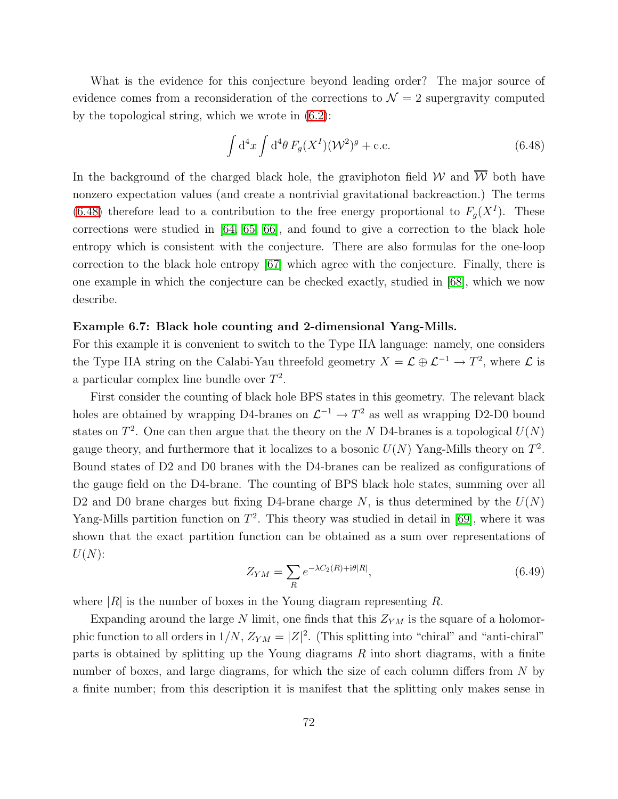What is the evidence for this conjecture beyond leading order? The major source of evidence comes from a reconsideration of the corrections to  $\mathcal{N}=2$  supergravity computed by the topological string, which we wrote in [\(6.2\)](#page-54-0):

<span id="page-72-0"></span>
$$
\int d^4x \int d^4\theta F_g(X^I)(\mathcal{W}^2)^g + c.c.
$$
\n(6.48)

In the background of the charged black hole, the graviphoton field  $W$  and  $\overline{W}$  both have nonzero expectation values (and create a nontrivial gravitational backreaction.) The terms [\(6.48\)](#page-72-0) therefore lead to a contribution to the free energy proportional to  $F<sub>g</sub>(X<sup>I</sup>)$ . These corrections were studied in [\[64,](#page-80-0) [65,](#page-80-1) [66\]](#page-80-2), and found to give a correction to the black hole entropy which is consistent with the conjecture. There are also formulas for the one-loop correction to the black hole entropy [\[67\]](#page-80-3) which agree with the conjecture. Finally, there is one example in which the conjecture can be checked exactly, studied in [\[68\]](#page-80-4), which we now describe.

## Example 6.7: Black hole counting and 2-dimensional Yang-Mills.

For this example it is convenient to switch to the Type IIA language: namely, one considers the Type IIA string on the Calabi-Yau threefold geometry  $X = \mathcal{L} \oplus \mathcal{L}^{-1} \to T^2$ , where  $\mathcal{L}$  is a particular complex line bundle over  $T^2$ .

First consider the counting of black hole BPS states in this geometry. The relevant black holes are obtained by wrapping D4-branes on  $\mathcal{L}^{-1} \to T^2$  as well as wrapping D2-D0 bound states on  $T^2$ . One can then argue that the theory on the N D4-branes is a topological  $U(N)$ gauge theory, and furthermore that it localizes to a bosonic  $U(N)$  Yang-Mills theory on  $T^2$ . Bound states of D2 and D0 branes with the D4-branes can be realized as configurations of the gauge field on the D4-brane. The counting of BPS black hole states, summing over all D2 and D0 brane charges but fixing D4-brane charge  $N$ , is thus determined by the  $U(N)$ Yang-Mills partition function on  $T^2$ . This theory was studied in detail in [\[69\]](#page-80-5), where it was shown that the exact partition function can be obtained as a sum over representations of  $U(N)$ :

$$
Z_{YM} = \sum_{R} e^{-\lambda C_2(R) + i\theta|R|},\tag{6.49}
$$

where  $|R|$  is the number of boxes in the Young diagram representing R.

Expanding around the large N limit, one finds that this  $Z_{YM}$  is the square of a holomorphic function to all orders in  $1/N$ ,  $Z_{YM} = |Z|^2$ . (This splitting into "chiral" and "anti-chiral" parts is obtained by splitting up the Young diagrams  $R$  into short diagrams, with a finite number of boxes, and large diagrams, for which the size of each column differs from N by a finite number; from this description it is manifest that the splitting only makes sense in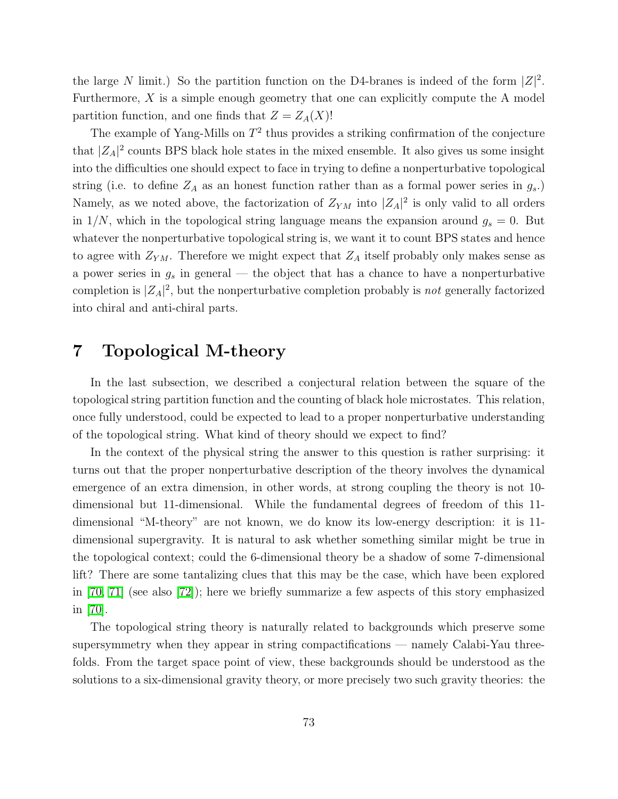the large N limit.) So the partition function on the D4-branes is indeed of the form  $|Z|^2$ . Furthermore,  $X$  is a simple enough geometry that one can explicitly compute the  $A$  model partition function, and one finds that  $Z = Z_A(X)!$ 

The example of Yang-Mills on  $T^2$  thus provides a striking confirmation of the conjecture that  $|Z_A|^2$  counts BPS black hole states in the mixed ensemble. It also gives us some insight into the difficulties one should expect to face in trying to define a nonperturbative topological string (i.e. to define  $Z_A$  as an honest function rather than as a formal power series in  $g_s$ .) Namely, as we noted above, the factorization of  $Z_{YM}$  into  $|Z_A|^2$  is only valid to all orders in  $1/N$ , which in the topological string language means the expansion around  $g_s = 0$ . But whatever the nonperturbative topological string is, we want it to count BPS states and hence to agree with  $Z_{YM}$ . Therefore we might expect that  $Z_A$  itself probably only makes sense as a power series in  $g_s$  in general — the object that has a chance to have a nonperturbative completion is  $|Z_A|^2$ , but the nonperturbative completion probably is *not* generally factorized into chiral and anti-chiral parts.

## 7 Topological M-theory

In the last subsection, we described a conjectural relation between the square of the topological string partition function and the counting of black hole microstates. This relation, once fully understood, could be expected to lead to a proper nonperturbative understanding of the topological string. What kind of theory should we expect to find?

In the context of the physical string the answer to this question is rather surprising: it turns out that the proper nonperturbative description of the theory involves the dynamical emergence of an extra dimension, in other words, at strong coupling the theory is not 10 dimensional but 11-dimensional. While the fundamental degrees of freedom of this 11 dimensional "M-theory" are not known, we do know its low-energy description: it is 11 dimensional supergravity. It is natural to ask whether something similar might be true in the topological context; could the 6-dimensional theory be a shadow of some 7-dimensional lift? There are some tantalizing clues that this may be the case, which have been explored in [\[70,](#page-80-6) [71\]](#page-80-7) (see also [\[72\]](#page-80-8)); here we briefly summarize a few aspects of this story emphasized in [\[70\]](#page-80-6).

The topological string theory is naturally related to backgrounds which preserve some supersymmetry when they appear in string compactifications — namely Calabi-Yau threefolds. From the target space point of view, these backgrounds should be understood as the solutions to a six-dimensional gravity theory, or more precisely two such gravity theories: the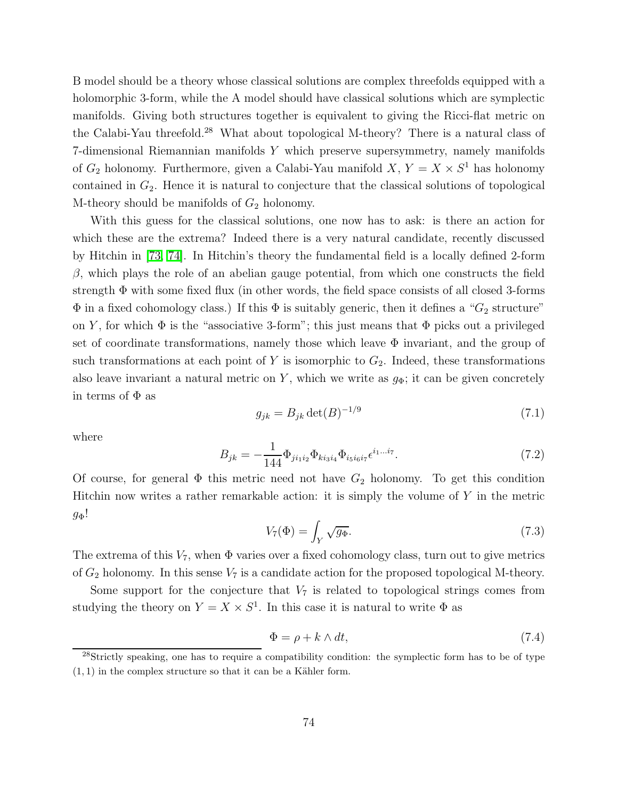B model should be a theory whose classical solutions are complex threefolds equipped with a holomorphic 3-form, while the A model should have classical solutions which are symplectic manifolds. Giving both structures together is equivalent to giving the Ricci-flat metric on the Calabi-Yau threefold.<sup>28</sup> What about topological M-theory? There is a natural class of 7-dimensional Riemannian manifolds Y which preserve supersymmetry, namely manifolds of  $G_2$  holonomy. Furthermore, given a Calabi-Yau manifold  $X, Y = X \times S^1$  has holonomy contained in  $G_2$ . Hence it is natural to conjecture that the classical solutions of topological M-theory should be manifolds of  $G_2$  holonomy.

With this guess for the classical solutions, one now has to ask: is there an action for which these are the extrema? Indeed there is a very natural candidate, recently discussed by Hitchin in [\[73,](#page-81-0) [74\]](#page-81-1). In Hitchin's theory the fundamental field is a locally defined 2-form  $\beta$ , which plays the role of an abelian gauge potential, from which one constructs the field strength  $\Phi$  with some fixed flux (in other words, the field space consists of all closed 3-forms  $\Phi$  in a fixed cohomology class.) If this  $\Phi$  is suitably generic, then it defines a " $G_2$  structure" on Y, for which  $\Phi$  is the "associative 3-form"; this just means that  $\Phi$  picks out a privileged set of coordinate transformations, namely those which leave  $\Phi$  invariant, and the group of such transformations at each point of Y is isomorphic to  $G_2$ . Indeed, these transformations also leave invariant a natural metric on Y, which we write as  $g_{\Phi}$ ; it can be given concretely in terms of  $\Phi$  as

$$
g_{jk} = B_{jk} \det(B)^{-1/9} \tag{7.1}
$$

where

$$
B_{jk} = -\frac{1}{144} \Phi_{j i_1 i_2} \Phi_{k i_3 i_4} \Phi_{i_5 i_6 i_7} \epsilon^{i_1 \dots i_7}.
$$
 (7.2)

Of course, for general  $\Phi$  this metric need not have  $G_2$  holonomy. To get this condition Hitchin now writes a rather remarkable action: it is simply the volume of  $Y$  in the metric  $g_{\Phi}$ !

$$
V_7(\Phi) = \int_Y \sqrt{g_{\Phi}}.\tag{7.3}
$$

The extrema of this  $V_7$ , when  $\Phi$  varies over a fixed cohomology class, turn out to give metrics of  $G_2$  holonomy. In this sense  $V_7$  is a candidate action for the proposed topological M-theory.

Some support for the conjecture that  $V<sub>7</sub>$  is related to topological strings comes from studying the theory on  $Y = X \times S^1$ . In this case it is natural to write  $\Phi$  as

$$
\Phi = \rho + k \wedge dt,\tag{7.4}
$$

<sup>&</sup>lt;sup>28</sup>Strictly speaking, one has to require a compatibility condition: the symplectic form has to be of type  $(1, 1)$  in the complex structure so that it can be a Kähler form.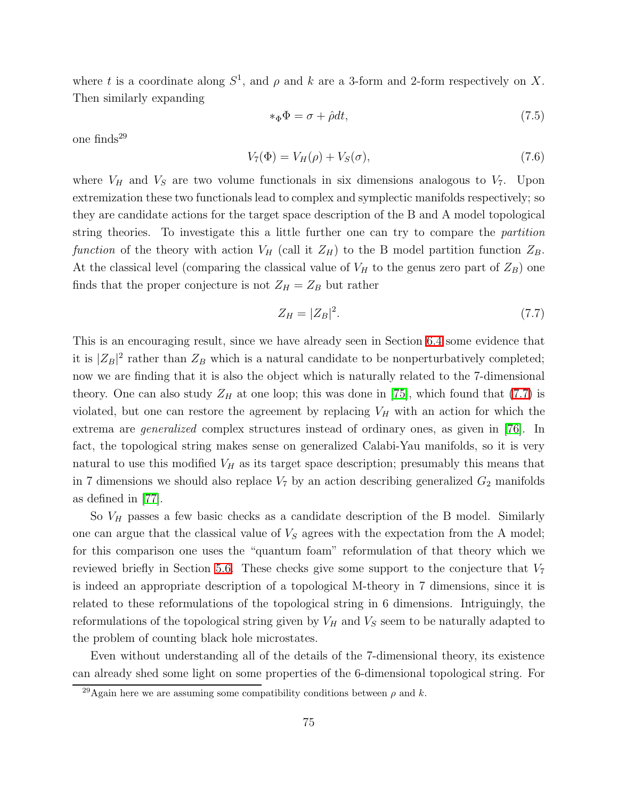where t is a coordinate along  $S^1$ , and  $\rho$  and k are a 3-form and 2-form respectively on X. Then similarly expanding

$$
*_\Phi \Phi = \sigma + \hat{\rho} dt,\tag{7.5}
$$

one finds<sup>29</sup>

$$
V_7(\Phi) = V_H(\rho) + V_S(\sigma),\tag{7.6}
$$

where  $V_H$  and  $V_S$  are two volume functionals in six dimensions analogous to  $V_7$ . Upon extremization these two functionals lead to complex and symplectic manifolds respectively; so they are candidate actions for the target space description of the B and A model topological string theories. To investigate this a little further one can try to compare the partition function of the theory with action  $V_H$  (call it  $Z_H$ ) to the B model partition function  $Z_B$ . At the classical level (comparing the classical value of  $V_H$  to the genus zero part of  $Z_B$ ) one finds that the proper conjecture is not  $Z_H = Z_B$  but rather

<span id="page-75-0"></span>
$$
Z_H = |Z_B|^2. \tag{7.7}
$$

This is an encouraging result, since we have already seen in Section [6.4](#page-69-0) some evidence that it is  $|Z_B|^2$  rather than  $Z_B$  which is a natural candidate to be nonperturbatively completed; now we are finding that it is also the object which is naturally related to the 7-dimensional theory. One can also study  $Z_H$  at one loop; this was done in [\[75\]](#page-81-2), which found that [\(7.7\)](#page-75-0) is violated, but one can restore the agreement by replacing  $V_H$  with an action for which the extrema are generalized complex structures instead of ordinary ones, as given in [\[76\]](#page-81-3). In fact, the topological string makes sense on generalized Calabi-Yau manifolds, so it is very natural to use this modified  $V_H$  as its target space description; presumably this means that in 7 dimensions we should also replace  $V_7$  by an action describing generalized  $G_2$  manifolds as defined in [\[77\]](#page-81-4).

So  $V_H$  passes a few basic checks as a candidate description of the B model. Similarly one can argue that the classical value of  $V<sub>S</sub>$  agrees with the expectation from the A model; for this comparison one uses the "quantum foam" reformulation of that theory which we reviewed briefly in Section [5.6.](#page-50-0) These checks give some support to the conjecture that  $V_7$ is indeed an appropriate description of a topological M-theory in 7 dimensions, since it is related to these reformulations of the topological string in 6 dimensions. Intriguingly, the reformulations of the topological string given by  $V_H$  and  $V_S$  seem to be naturally adapted to the problem of counting black hole microstates.

Even without understanding all of the details of the 7-dimensional theory, its existence can already shed some light on some properties of the 6-dimensional topological string. For

<sup>&</sup>lt;sup>29</sup>Again here we are assuming some compatibility conditions between  $\rho$  and k.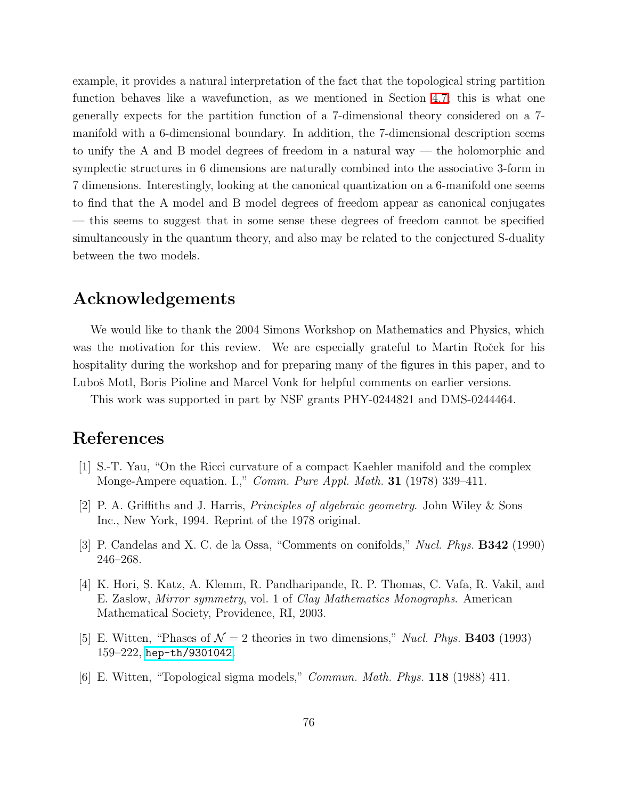example, it provides a natural interpretation of the fact that the topological string partition function behaves like a wavefunction, as we mentioned in Section [4.7;](#page-30-0) this is what one generally expects for the partition function of a 7-dimensional theory considered on a 7 manifold with a 6-dimensional boundary. In addition, the 7-dimensional description seems to unify the A and B model degrees of freedom in a natural way — the holomorphic and symplectic structures in 6 dimensions are naturally combined into the associative 3-form in 7 dimensions. Interestingly, looking at the canonical quantization on a 6-manifold one seems to find that the A model and B model degrees of freedom appear as canonical conjugates — this seems to suggest that in some sense these degrees of freedom cannot be specified simultaneously in the quantum theory, and also may be related to the conjectured S-duality between the two models.

## Acknowledgements

We would like to thank the 2004 Simons Workshop on Mathematics and Physics, which was the motivation for this review. We are especially grateful to Martin Rocek for his hospitality during the workshop and for preparing many of the figures in this paper, and to Luboš Motl, Boris Pioline and Marcel Vonk for helpful comments on earlier versions.

This work was supported in part by NSF grants PHY-0244821 and DMS-0244464.

## References

- [1] S.-T. Yau, "On the Ricci curvature of a compact Kaehler manifold and the complex Monge-Ampere equation. I.," *Comm. Pure Appl. Math.* 31 (1978) 339–411.
- [2] P. A. Griffiths and J. Harris, Principles of algebraic geometry. John Wiley & Sons Inc., New York, 1994. Reprint of the 1978 original.
- [3] P. Candelas and X. C. de la Ossa, "Comments on conifolds," Nucl. Phys. B342 (1990) 246–268.
- [4] K. Hori, S. Katz, A. Klemm, R. Pandharipande, R. P. Thomas, C. Vafa, R. Vakil, and E. Zaslow, Mirror symmetry, vol. 1 of Clay Mathematics Monographs. American Mathematical Society, Providence, RI, 2003.
- [5] E. Witten, "Phases of  $\mathcal{N} = 2$  theories in two dimensions," Nucl. Phys. **B403** (1993) 159–222, [hep-th/9301042](http://www.arXiv.org/abs/hep-th/9301042).
- [6] E. Witten, "Topological sigma models," Commun. Math. Phys. 118 (1988) 411.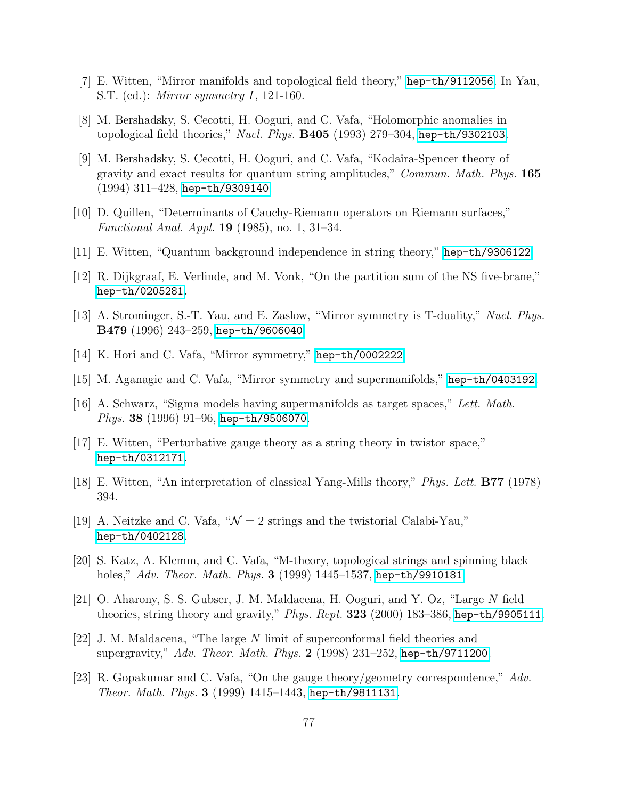- [7] E. Witten, "Mirror manifolds and topological field theory," [hep-th/9112056](http://www.arXiv.org/abs/hep-th/9112056). In Yau, S.T. (ed.): *Mirror symmetry I*, 121-160.
- [8] M. Bershadsky, S. Cecotti, H. Ooguri, and C. Vafa, "Holomorphic anomalies in topological field theories," Nucl. Phys.  $B405$  (1993) 279–304, [hep-th/9302103](http://www.arXiv.org/abs/hep-th/9302103).
- [9] M. Bershadsky, S. Cecotti, H. Ooguri, and C. Vafa, "Kodaira-Spencer theory of gravity and exact results for quantum string amplitudes," *Commun. Math. Phys.* 165 (1994) 311–428, [hep-th/9309140](http://www.arXiv.org/abs/hep-th/9309140).
- [10] D. Quillen, "Determinants of Cauchy-Riemann operators on Riemann surfaces," Functional Anal. Appl. 19 (1985), no. 1, 31–34.
- [11] E. Witten, "Quantum background independence in string theory," [hep-th/9306122](http://arXiv.org/abs/hep-th/9306122).
- [12] R. Dijkgraaf, E. Verlinde, and M. Vonk, "On the partition sum of the NS five-brane," [hep-th/0205281](http://www.arXiv.org/abs/hep-th/0205281).
- [13] A. Strominger, S.-T. Yau, and E. Zaslow, "Mirror symmetry is T-duality," Nucl. Phys. B479 (1996) 243–259, [hep-th/9606040](http://www.arXiv.org/abs/hep-th/9606040).
- [14] K. Hori and C. Vafa, "Mirror symmetry," [hep-th/0002222](http://www.arXiv.org/abs/hep-th/0002222).
- [15] M. Aganagic and C. Vafa, "Mirror symmetry and supermanifolds," [hep-th/0403192](http://www.arXiv.org/abs/hep-th/0403192).
- [16] A. Schwarz, "Sigma models having supermanifolds as target spaces," Lett. Math. Phys. 38 (1996) 91–96, [hep-th/9506070](http://www.arXiv.org/abs/hep-th/9506070).
- [17] E. Witten, "Perturbative gauge theory as a string theory in twistor space," [hep-th/0312171](http://www.arXiv.org/abs/hep-th/0312171).
- [18] E. Witten, "An interpretation of classical Yang-Mills theory," Phys. Lett. B77 (1978) 394.
- [19] A. Neitzke and C. Vafa,  $\mathcal{N} = 2$  strings and the twistorial Calabi-Yau," [hep-th/0402128](http://www.arXiv.org/abs/hep-th/0402128).
- [20] S. Katz, A. Klemm, and C. Vafa, "M-theory, topological strings and spinning black holes," Adv. Theor. Math. Phys. 3 (1999) 1445–1537, [hep-th/9910181](http://www.arXiv.org/abs/hep-th/9910181).
- [21] O. Aharony, S. S. Gubser, J. M. Maldacena, H. Ooguri, and Y. Oz, "Large N field theories, string theory and gravity," *Phys. Rept.* **323** (2000) 183–386, [hep-th/9905111](http://www.arXiv.org/abs/hep-th/9905111).
- [22] J. M. Maldacena, "The large N limit of superconformal field theories and supergravity,"  $Adv.$  Theor. Math. Phys. 2 (1998) 231–252, [hep-th/9711200](http://www.arXiv.org/abs/hep-th/9711200).
- [23] R. Gopakumar and C. Vafa, "On the gauge theory/geometry correspondence," Adv. Theor. Math. Phys. 3 (1999) 1415–1443, [hep-th/9811131](http://arXiv.org/abs/hep-th/9811131).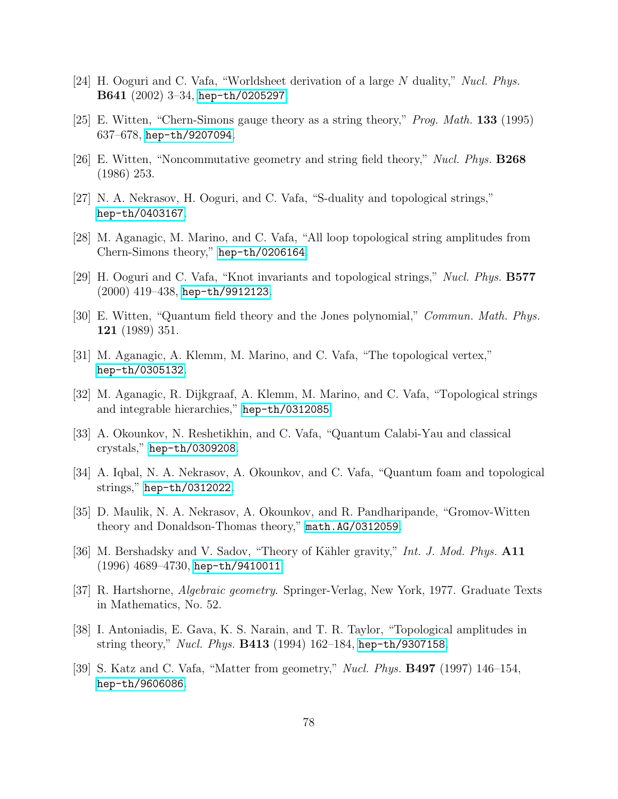- [24] H. Ooguri and C. Vafa, "Worldsheet derivation of a large N duality," Nucl. Phys. B641 (2002) 3–34, [hep-th/0205297](http://www.arXiv.org/abs/hep-th/0205297).
- [25] E. Witten, "Chern-Simons gauge theory as a string theory," Prog. Math. 133 (1995)  $637-678$ , [hep-th/9207094](http://www.arXiv.org/abs/hep-th/9207094).
- [26] E. Witten, "Noncommutative geometry and string field theory," Nucl. Phys. B268 (1986) 253.
- [27] N. A. Nekrasov, H. Ooguri, and C. Vafa, "S-duality and topological strings," [hep-th/0403167](http://www.arXiv.org/abs/hep-th/0403167).
- [28] M. Aganagic, M. Marino, and C. Vafa, "All loop topological string amplitudes from Chern-Simons theory," [hep-th/0206164](http://arXiv.org/abs/hep-th/0206164).
- [29] H. Ooguri and C. Vafa, "Knot invariants and topological strings," Nucl. Phys. B577 (2000) 419–438, [hep-th/9912123](http://arXiv.org/abs/hep-th/9912123).
- [30] E. Witten, "Quantum field theory and the Jones polynomial," Commun. Math. Phys. 121 (1989) 351.
- [31] M. Aganagic, A. Klemm, M. Marino, and C. Vafa, "The topological vertex," [hep-th/0305132](http://www.arXiv.org/abs/hep-th/0305132).
- [32] M. Aganagic, R. Dijkgraaf, A. Klemm, M. Marino, and C. Vafa, "Topological strings and integrable hierarchies," [hep-th/0312085](http://www.arXiv.org/abs/hep-th/0312085).
- [33] A. Okounkov, N. Reshetikhin, and C. Vafa, "Quantum Calabi-Yau and classical crystals," [hep-th/0309208](http://www.arXiv.org/abs/hep-th/0309208).
- [34] A. Iqbal, N. A. Nekrasov, A. Okounkov, and C. Vafa, "Quantum foam and topological strings," [hep-th/0312022](http://www.arXiv.org/abs/hep-th/0312022).
- [35] D. Maulik, N. A. Nekrasov, A. Okounkov, and R. Pandharipande, "Gromov-Witten theory and Donaldson-Thomas theory," [math.AG/0312059](http://www.arXiv.org/abs/math.AG/0312059).
- [36] M. Bershadsky and V. Sadov, "Theory of Kähler gravity," *Int. J. Mod. Phys.* A11 (1996) 4689–4730, [hep-th/9410011](http://www.arXiv.org/abs/hep-th/9410011).
- [37] R. Hartshorne, Algebraic geometry. Springer-Verlag, New York, 1977. Graduate Texts in Mathematics, No. 52.
- [38] I. Antoniadis, E. Gava, K. S. Narain, and T. R. Taylor, "Topological amplitudes in string theory," Nucl. Phys. **B413** (1994) 162–184, [hep-th/9307158](http://arXiv.org/abs/hep-th/9307158).
- [39] S. Katz and C. Vafa, "Matter from geometry," Nucl. Phys. B497 (1997) 146–154, [hep-th/9606086](http://arXiv.org/abs/hep-th/9606086).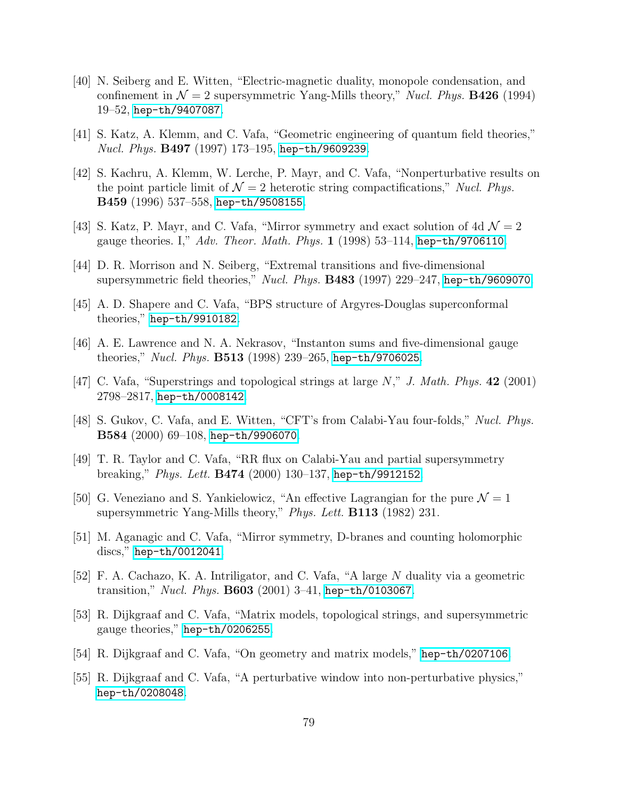- [40] N. Seiberg and E. Witten, "Electric-magnetic duality, monopole condensation, and confinement in  $\mathcal{N} = 2$  supersymmetric Yang-Mills theory," *Nucl. Phys.* **B426** (1994) 19–52, [hep-th/9407087](http://www.arXiv.org/abs/hep-th/9407087).
- [41] S. Katz, A. Klemm, and C. Vafa, "Geometric engineering of quantum field theories," Nucl. Phys. **B497** (1997) 173-195, [hep-th/9609239](http://www.arXiv.org/abs/hep-th/9609239).
- [42] S. Kachru, A. Klemm, W. Lerche, P. Mayr, and C. Vafa, "Nonperturbative results on the point particle limit of  $\mathcal{N} = 2$  heterotic string compactifications," Nucl. Phys. B459 (1996) 537–558, [hep-th/9508155](http://www.arXiv.org/abs/hep-th/9508155).
- [43] S. Katz, P. Mayr, and C. Vafa, "Mirror symmetry and exact solution of 4d  $\mathcal{N}=2$ gauge theories. I," Adv. Theor. Math. Phys. 1 (1998)  $53-114$ , [hep-th/9706110](http://arXiv.org/abs/hep-th/9706110).
- [44] D. R. Morrison and N. Seiberg, "Extremal transitions and five-dimensional supersymmetric field theories," *Nucl. Phys.* **B483** (1997) 229–247, [hep-th/9609070](http://arXiv.org/abs/hep-th/9609070).
- [45] A. D. Shapere and C. Vafa, "BPS structure of Argyres-Douglas superconformal theories," [hep-th/9910182](http://www.arXiv.org/abs/hep-th/9910182).
- [46] A. E. Lawrence and N. A. Nekrasov, "Instanton sums and five-dimensional gauge theories," *Nucl. Phys.*  $B513$  (1998) 239-265, [hep-th/9706025](http://www.arXiv.org/abs/hep-th/9706025).
- [47] C. Vafa, "Superstrings and topological strings at large N," J. Math. Phys. 42 (2001) 2798–2817, [hep-th/0008142](http://arXiv.org/abs/hep-th/0008142).
- [48] S. Gukov, C. Vafa, and E. Witten, "CFT's from Calabi-Yau four-folds," Nucl. Phys. B584 (2000) 69–108, [hep-th/9906070](http://arXiv.org/abs/hep-th/9906070).
- [49] T. R. Taylor and C. Vafa, "RR flux on Calabi-Yau and partial supersymmetry breaking," *Phys. Lett.* **B474** (2000) 130–137, [hep-th/9912152](http://www.arXiv.org/abs/hep-th/9912152).
- [50] G. Veneziano and S. Yankielowicz, "An effective Lagrangian for the pure  $\mathcal{N} = 1$ supersymmetric Yang-Mills theory," Phys. Lett. **B113** (1982) 231.
- [51] M. Aganagic and C. Vafa, "Mirror symmetry, D-branes and counting holomorphic discs," [hep-th/0012041](http://www.arXiv.org/abs/hep-th/0012041).
- [52] F. A. Cachazo, K. A. Intriligator, and C. Vafa, "A large N duality via a geometric transition," *Nucl. Phys.* **B603** (2001) 3-41, [hep-th/0103067](http://www.arXiv.org/abs/hep-th/0103067).
- [53] R. Dijkgraaf and C. Vafa, "Matrix models, topological strings, and supersymmetric gauge theories," [hep-th/0206255](http://arXiv.org/abs/hep-th/0206255).
- [54] R. Dijkgraaf and C. Vafa, "On geometry and matrix models," [hep-th/0207106](http://arXiv.org/abs/hep-th/0207106).
- [55] R. Dijkgraaf and C. Vafa, "A perturbative window into non-perturbative physics," [hep-th/0208048](http://arXiv.org/abs/hep-th/0208048).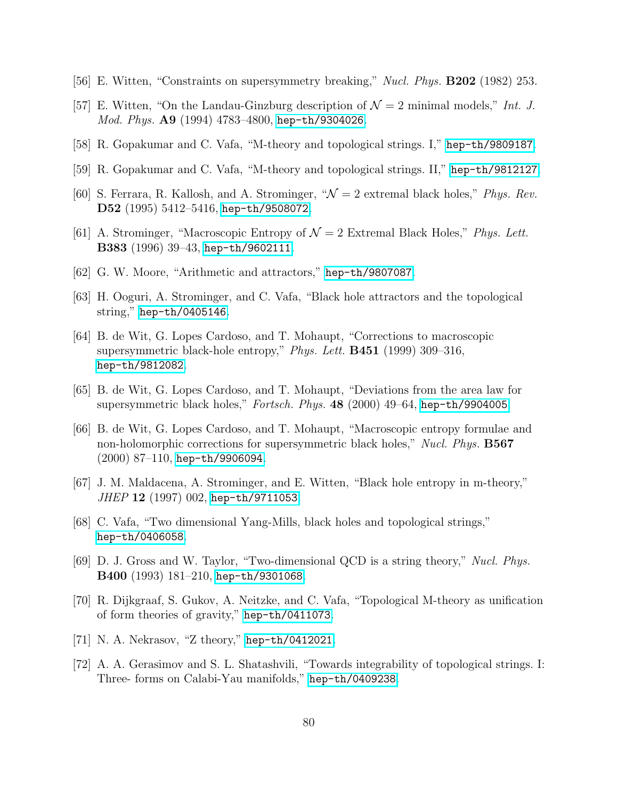- [56] E. Witten, "Constraints on supersymmetry breaking," Nucl. Phys. B202 (1982) 253.
- [57] E. Witten, "On the Landau-Ginzburg description of  $\mathcal{N}=2$  minimal models," Int. J. Mod. Phys. **A9** (1994) 4783-4800, [hep-th/9304026](http://www.arXiv.org/abs/hep-th/9304026).
- [58] R. Gopakumar and C. Vafa, "M-theory and topological strings. I," [hep-th/9809187](http://www.arXiv.org/abs/hep-th/9809187).
- [59] R. Gopakumar and C. Vafa, "M-theory and topological strings. II," [hep-th/9812127](http://www.arXiv.org/abs/hep-th/9812127).
- [60] S. Ferrara, R. Kallosh, and A. Strominger, " $\mathcal{N}=2$  extremal black holes," *Phys. Rev.* D52 (1995) 5412–5416, [hep-th/9508072](http://www.arXiv.org/abs/hep-th/9508072).
- [61] A. Strominger, "Macroscopic Entropy of  $\mathcal{N}=2$  Extremal Black Holes," *Phys. Lett.* B383 (1996) 39–43, [hep-th/9602111](http://www.arXiv.org/abs/hep-th/9602111).
- [62] G. W. Moore, "Arithmetic and attractors," [hep-th/9807087](http://www.arXiv.org/abs/hep-th/9807087).
- <span id="page-80-0"></span>[63] H. Ooguri, A. Strominger, and C. Vafa, "Black hole attractors and the topological string," [hep-th/0405146](http://www.arXiv.org/abs/hep-th/0405146).
- [64] B. de Wit, G. Lopes Cardoso, and T. Mohaupt, "Corrections to macroscopic supersymmetric black-hole entropy," Phys. Lett. B451 (1999) 309-316, [hep-th/9812082](http://www.arXiv.org/abs/hep-th/9812082).
- <span id="page-80-1"></span>[65] B. de Wit, G. Lopes Cardoso, and T. Mohaupt, "Deviations from the area law for supersymmetric black holes," Fortsch. Phys. 48 (2000) 49–64, [hep-th/9904005](http://www.arXiv.org/abs/hep-th/9904005).
- <span id="page-80-2"></span>[66] B. de Wit, G. Lopes Cardoso, and T. Mohaupt, "Macroscopic entropy formulae and non-holomorphic corrections for supersymmetric black holes," *Nucl. Phys.* **B567**  $(2000)$  87–110, [hep-th/9906094](http://www.arXiv.org/abs/hep-th/9906094).
- <span id="page-80-3"></span>[67] J. M. Maldacena, A. Strominger, and E. Witten, "Black hole entropy in m-theory," JHEP 12 (1997) 002, [hep-th/9711053](http://www.arXiv.org/abs/hep-th/9711053).
- <span id="page-80-4"></span>[68] C. Vafa, "Two dimensional Yang-Mills, black holes and topological strings," [hep-th/0406058](http://www.arXiv.org/abs/hep-th/0406058).
- <span id="page-80-5"></span>[69] D. J. Gross and W. Taylor, "Two-dimensional QCD is a string theory," Nucl. Phys. B400 (1993) 181–210, [hep-th/9301068](http://arXiv.org/abs/hep-th/9301068).
- <span id="page-80-6"></span>[70] R. Dijkgraaf, S. Gukov, A. Neitzke, and C. Vafa, "Topological M-theory as unification of form theories of gravity," [hep-th/0411073](http://www.arXiv.org/abs/hep-th/0411073).
- <span id="page-80-8"></span><span id="page-80-7"></span>[71] N. A. Nekrasov, "Z theory," [hep-th/0412021](http://www.arXiv.org/abs/hep-th/0412021).
- [72] A. A. Gerasimov and S. L. Shatashvili, "Towards integrability of topological strings. I: Three- forms on Calabi-Yau manifolds," [hep-th/0409238](http://www.arXiv.org/abs/hep-th/0409238).